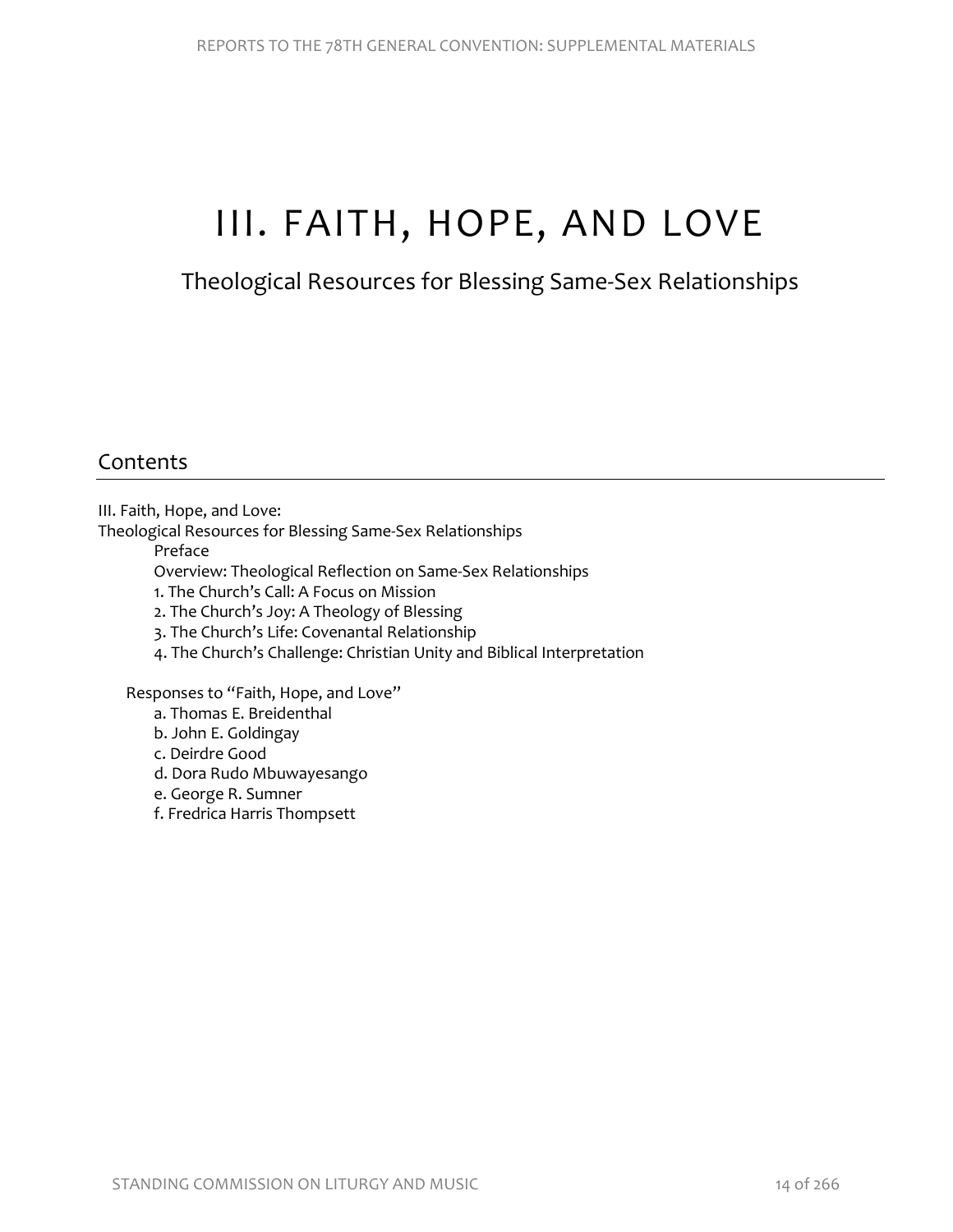# III. FAITH, HOPE, AND LOVE

# Theological Resources for Blessing Same-Sex Relationships

# Contents

III. Faith, Hope, and Love:

Theological Resources for Blessing Same-Sex Relationships

Preface

Overview: Theological Reflection on Same-Sex Relationships

- 1. The Church's Call: A Focus on Mission
- 2. The Church's Joy: A Theology of Blessing
- 3. The Church's Life: Covenantal Relationship
- 4. The Church's Challenge: Christian Unity and Biblical Interpretation

Responses to "Faith, Hope, and Love"

- a. Thomas E. Breidenthal
- b. John E. Goldingay
- c. Deirdre Good
- d. Dora Rudo Mbuwayesango
- e. George R. Sumner
- f. Fredrica Harris Thompsett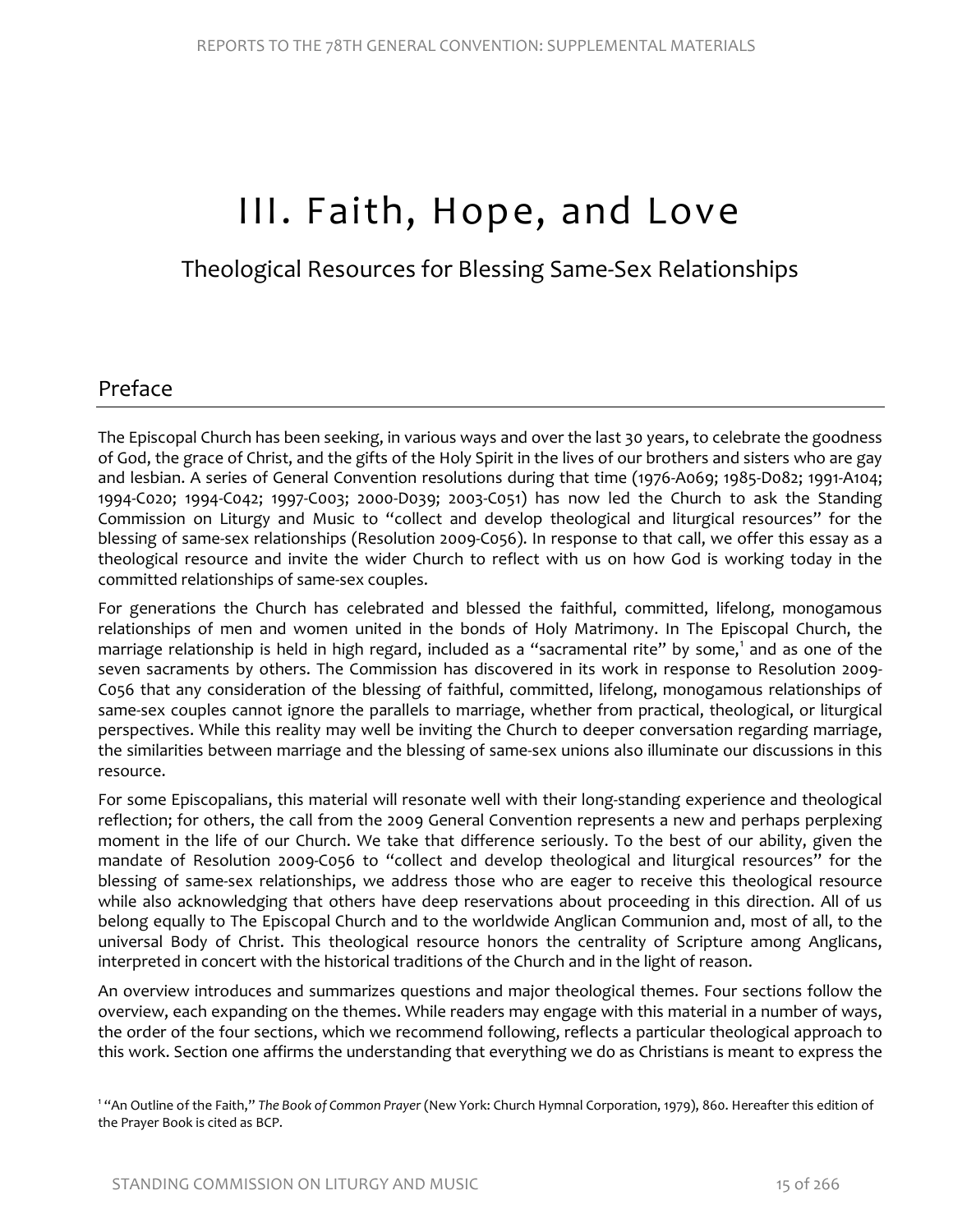# III. Faith, Hope, and Love

Theological Resources for Blessing Same-Sex Relationships

# Preface

The Episcopal Church has been seeking, in various ways and over the last 30 years, to celebrate the goodness of God, the grace of Christ, and the gifts of the Holy Spirit in the lives of our brothers and sisters who are gay and lesbian. A series of General Convention resolutions during that time (1976-A069; 1985-D082; 1991-A104; 1994-C020; 1994-C042; 1997-C003; 2000-D039; 2003-C051) has now led the Church to ask the Standing Commission on Liturgy and Music to "collect and develop theological and liturgical resources" for the blessing of same-sex relationships (Resolution 2009-C056). In response to that call, we offer this essay as a theological resource and invite the wider Church to reflect with us on how God is working today in the committed relationships of same-sex couples.

For generations the Church has celebrated and blessed the faithful, committed, lifelong, monogamous relationships of men and women united in the bonds of Holy Matrimony. In The Episcopal Church, the marriage relationship is held in high regard, included as a "sacramental rite" by some, [1](#page-1-0) and as one of the seven sacraments by others. The Commission has discovered in its work in response to Resolution 2009- C056 that any consideration of the blessing of faithful, committed, lifelong, monogamous relationships of same-sex couples cannot ignore the parallels to marriage, whether from practical, theological, or liturgical perspectives. While this reality may well be inviting the Church to deeper conversation regarding marriage, the similarities between marriage and the blessing of same-sex unions also illuminate our discussions in this resource.

For some Episcopalians, this material will resonate well with their long-standing experience and theological reflection; for others, the call from the 2009 General Convention represents a new and perhaps perplexing moment in the life of our Church. We take that difference seriously. To the best of our ability, given the mandate of Resolution 2009-C056 to "collect and develop theological and liturgical resources" for the blessing of same-sex relationships, we address those who are eager to receive this theological resource while also acknowledging that others have deep reservations about proceeding in this direction. All of us belong equally to The Episcopal Church and to the worldwide Anglican Communion and, most of all, to the universal Body of Christ. This theological resource honors the centrality of Scripture among Anglicans, interpreted in concert with the historical traditions of the Church and in the light of reason.

An overview introduces and summarizes questions and major theological themes. Four sections follow the overview, each expanding on the themes. While readers may engage with this material in a number of ways, the order of the four sections, which we recommend following, reflects a particular theological approach to this work. Section one affirms the understanding that everything we do as Christians is meant to express the

<span id="page-1-0"></span>1 "An Outline of the Faith," *The Book of Common Prayer* (New York: Church Hymnal Corporation, 1979), 860. Hereafter this edition of the Prayer Book is cited as BCP.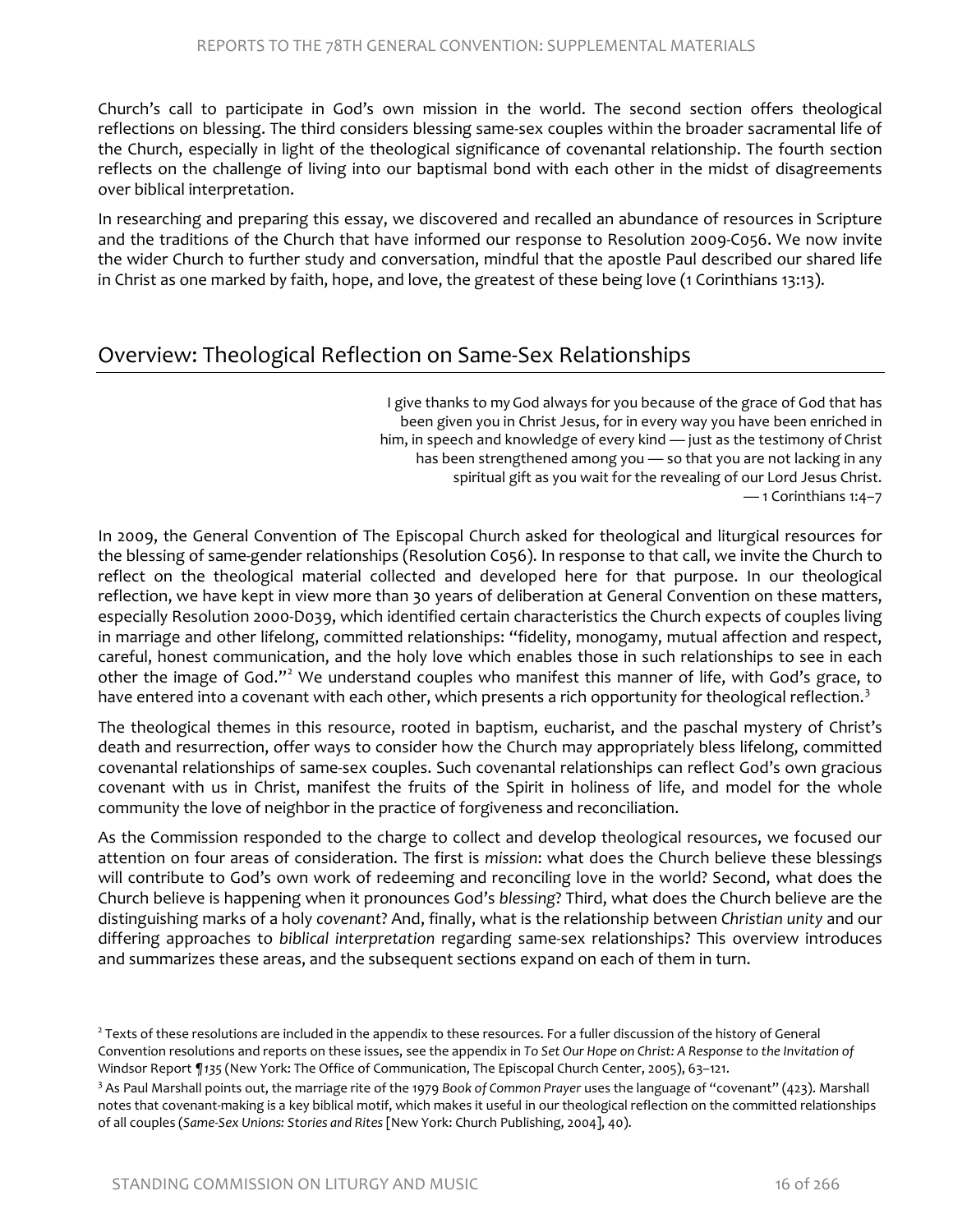Church's call to participate in God's own mission in the world. The second section offers theological reflections on blessing. The third considers blessing same-sex couples within the broader sacramental life of the Church, especially in light of the theological significance of covenantal relationship. The fourth section reflects on the challenge of living into our baptismal bond with each other in the midst of disagreements over biblical interpretation.

In researching and preparing this essay, we discovered and recalled an abundance of resources in Scripture and the traditions of the Church that have informed our response to Resolution 2009-C056. We now invite the wider Church to further study and conversation, mindful that the apostle Paul described our shared life in Christ as one marked by faith, hope, and love, the greatest of these being love (1 Corinthians 13:13).

### Overview: Theological Reflection on Same-Sex Relationships

I give thanks to myGod always for you because of the grace of God that has been given you in Christ Jesus, for in every way you have been enriched in him, in speech and knowledge of every kind — just as the testimony of Christ has been strengthened among you — so that you are not lacking in any spiritual gift as you wait for the revealing of our Lord Jesus Christ. — 1 Corinthians 1:4–7

In 2009, the General Convention of The Episcopal Church asked for theological and liturgical resources for the blessing of same-gender relationships (Resolution C056). In response to that call, we invite the Church to reflect on the theological material collected and developed here for that purpose. In our theological reflection, we have kept in view more than 30 years of deliberation at General Convention on these matters, especially Resolution 2000-D039, which identified certain characteristics the Church expects of couples living in marriage and other lifelong, committed relationships: "fidelity, monogamy, mutual affection and respect, careful, honest communication, and the holy love which enables those in such relationships to see in each other the image of God."<sup>[2](#page-2-0)</sup> We understand couples who manifest this manner of life, with God's grace, to have entered into a covenant with each other, which presents a rich opportunity for theological reflection.<sup>[3](#page-2-1)</sup>

The theological themes in this resource, rooted in baptism, eucharist, and the paschal mystery of Christ's death and resurrection, offer ways to consider how the Church may appropriately bless lifelong, committed covenantal relationships of same-sex couples. Such covenantal relationships can reflect God's own gracious covenant with us in Christ, manifest the fruits of the Spirit in holiness of life, and model for the whole community the love of neighbor in the practice of forgiveness and reconciliation.

As the Commission responded to the charge to collect and develop theological resources, we focused our attention on four areas of consideration. The first is *mission*: what does the Church believe these blessings will contribute to God's own work of redeeming and reconciling love in the world? Second, what does the Church believe is happening when it pronounces God's *blessing*? Third, what does the Church believe are the distinguishing marks of a holy *covenant*? And, finally, what is the relationship between *Christian unity* and our differing approaches to *biblical interpretation* regarding same-sex relationships? This overview introduces and summarizes these areas, and the subsequent sections expand on each of them in turn.

<span id="page-2-0"></span><sup>&</sup>lt;sup>2</sup> Texts of these resolutions are included in the appendix to these resources. For a fuller discussion of the history of General Convention resolutions and reports on these issues, see the appendix in *To Set Our Hope on Christ: A Response to the Invitation of*  Windsor Report *¶135* (New York: The Office of Communication, The Episcopal Church Center, 2005), 63–121.

<span id="page-2-1"></span><sup>3</sup> As Paul Marshall points out, the marriage rite of the 1979 *Book of Common Prayer* uses the language of "covenant" (423). Marshall notes that covenant-making is a key biblical motif, which makes it useful in our theological reflection on the committed relationships of all couples (*Same-Sex Unions: Stories and Rites* [New York: Church Publishing, 2004], 40).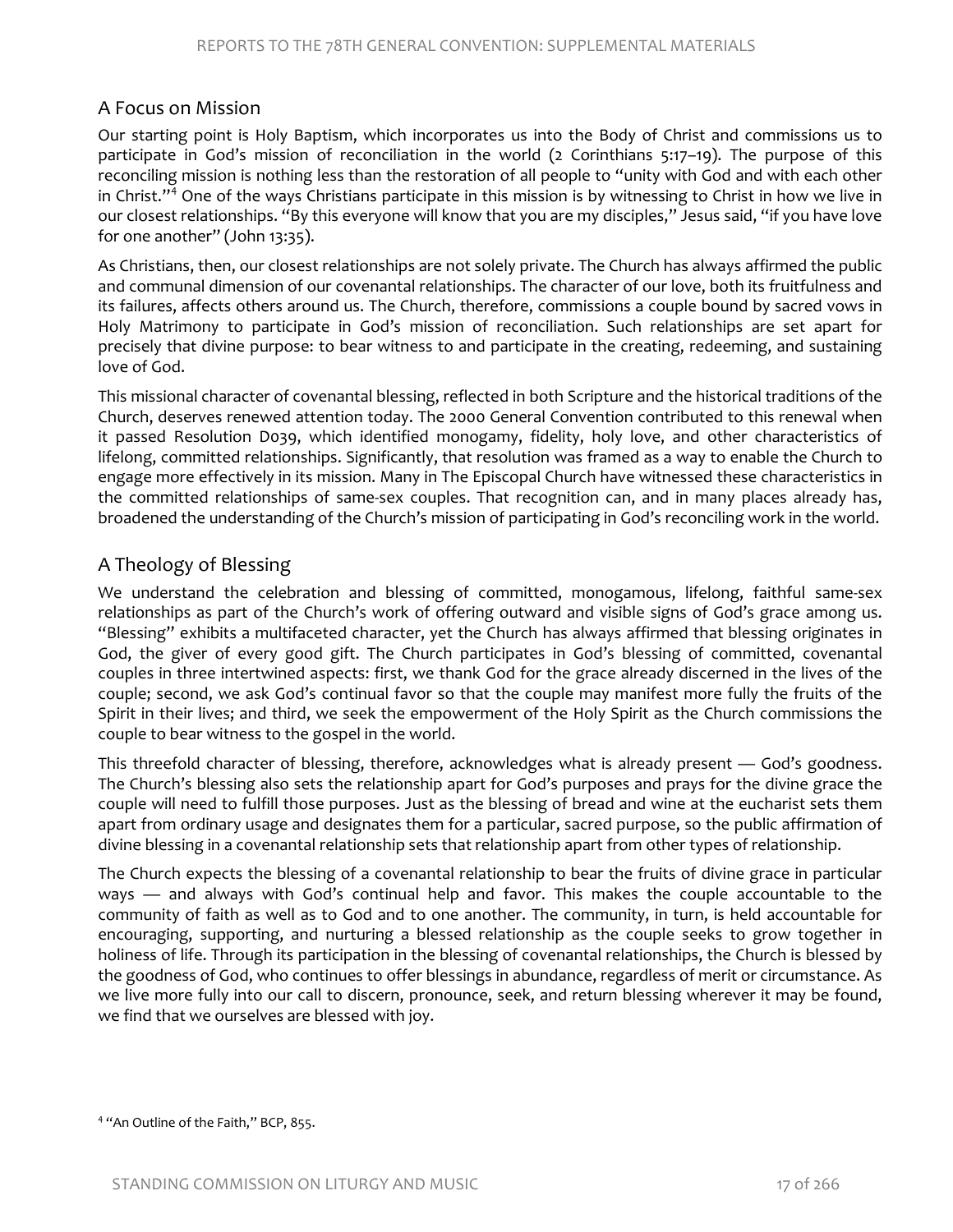#### A Focus on Mission

Our starting point is Holy Baptism, which incorporates us into the Body of Christ and commissions us to participate in God's mission of reconciliation in the world (2 Corinthians 5:17–19). The purpose of this reconciling mission is nothing less than the restoration of all people to "unity with God and with each other in Christ."[4](#page-3-0) One of the ways Christians participate in this mission is by witnessing to Christ in how we live in our closest relationships. "By this everyone will know that you are my disciples," Jesus said, "if you have love for one another" (John 13:35).

As Christians, then, our closest relationships are not solely private. The Church has always affirmed the public and communal dimension of our covenantal relationships. The character of our love, both its fruitfulness and its failures, affects others around us. The Church, therefore, commissions a couple bound by sacred vows in Holy Matrimony to participate in God's mission of reconciliation. Such relationships are set apart for precisely that divine purpose: to bear witness to and participate in the creating, redeeming, and sustaining love of God.

This missional character of covenantal blessing, reflected in both Scripture and the historical traditions of the Church, deserves renewed attention today. The 2000 General Convention contributed to this renewal when it passed Resolution D039, which identified monogamy, fidelity, holy love, and other characteristics of lifelong, committed relationships. Significantly, that resolution was framed as a way to enable the Church to engage more effectively in its mission. Many in The Episcopal Church have witnessed these characteristics in the committed relationships of same-sex couples. That recognition can, and in many places already has, broadened the understanding of the Church's mission of participating in God's reconciling work in the world.

#### A Theology of Blessing

We understand the celebration and blessing of committed, monogamous, lifelong, faithful same-sex relationships as part of the Church's work of offering outward and visible signs of God's grace among us. "Blessing" exhibits a multifaceted character, yet the Church has always affirmed that blessing originates in God, the giver of every good gift. The Church participates in God's blessing of committed, covenantal couples in three intertwined aspects: first, we thank God for the grace already discerned in the lives of the couple; second, we ask God's continual favor so that the couple may manifest more fully the fruits of the Spirit in their lives; and third, we seek the empowerment of the Holy Spirit as the Church commissions the couple to bear witness to the gospel in the world.

This threefold character of blessing, therefore, acknowledges what is already present — God's goodness. The Church's blessing also sets the relationship apart for God's purposes and prays for the divine grace the couple will need to fulfill those purposes. Just as the blessing of bread and wine at the eucharist sets them apart from ordinary usage and designates them for a particular, sacred purpose, so the public affirmation of divine blessing in a covenantal relationship sets that relationship apart from other types of relationship.

The Church expects the blessing of a covenantal relationship to bear the fruits of divine grace in particular ways — and always with God's continual help and favor. This makes the couple accountable to the community of faith as well as to God and to one another. The community, in turn, is held accountable for encouraging, supporting, and nurturing a blessed relationship as the couple seeks to grow together in holiness of life. Through its participation in the blessing of covenantal relationships, the Church is blessed by the goodness of God, who continues to offer blessings in abundance, regardless of merit or circumstance. As we live more fully into our call to discern, pronounce, seek, and return blessing wherever it may be found, we find that we ourselves are blessed with joy.

<span id="page-3-0"></span><sup>&</sup>lt;sup>4</sup> "An Outline of the Faith," BCP, 855.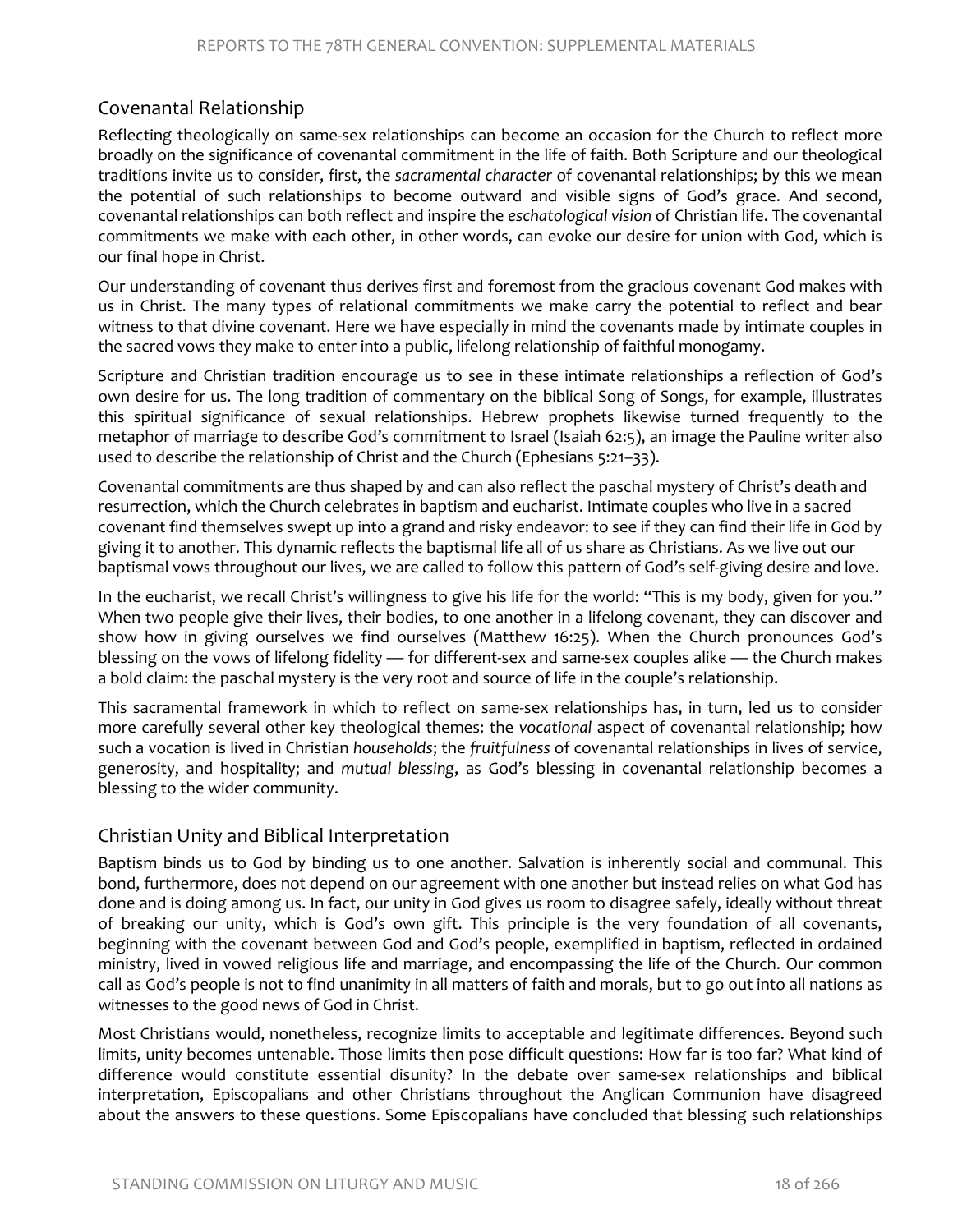#### Covenantal Relationship

Reflecting theologically on same-sex relationships can become an occasion for the Church to reflect more broadly on the significance of covenantal commitment in the life of faith. Both Scripture and our theological traditions invite us to consider, first, the *sacramental character* of covenantal relationships; by this we mean the potential of such relationships to become outward and visible signs of God's grace. And second, covenantal relationships can both reflect and inspire the *eschatological vision* of Christian life. The covenantal commitments we make with each other, in other words, can evoke our desire for union with God, which is our final hope in Christ.

Our understanding of covenant thus derives first and foremost from the gracious covenant God makes with us in Christ. The many types of relational commitments we make carry the potential to reflect and bear witness to that divine covenant. Here we have especially in mind the covenants made by intimate couples in the sacred vows they make to enter into a public, lifelong relationship of faithful monogamy.

Scripture and Christian tradition encourage us to see in these intimate relationships a reflection of God's own desire for us. The long tradition of commentary on the biblical Song of Songs, for example, illustrates this spiritual significance of sexual relationships. Hebrew prophets likewise turned frequently to the metaphor of marriage to describe God's commitment to Israel (Isaiah 62:5), an image the Pauline writer also used to describe the relationship of Christ and the Church (Ephesians 5:21–33).

Covenantal commitments are thus shaped by and can also reflect the paschal mystery of Christ's death and resurrection, which the Church celebrates in baptism and eucharist. Intimate couples who live in a sacred covenant find themselves swept up into a grand and risky endeavor: to see if they can find their life in God by giving it to another. This dynamic reflects the baptismal life all of us share as Christians. As we live out our baptismal vows throughout our lives, we are called to follow this pattern of God's self-giving desire and love.

In the eucharist, we recall Christ's willingness to give his life for the world: "This is my body, given for you." When two people give their lives, their bodies, to one another in a lifelong covenant, they can discover and show how in giving ourselves we find ourselves (Matthew 16:25). When the Church pronounces God's blessing on the vows of lifelong fidelity — for different-sex and same-sex couples alike — the Church makes a bold claim: the paschal mystery is the very root and source of life in the couple's relationship.

This sacramental framework in which to reflect on same-sex relationships has, in turn, led us to consider more carefully several other key theological themes: the *vocational* aspect of covenantal relationship; how such a vocation is lived in Christian *households*; the *fruitfulness* of covenantal relationships in lives of service, generosity, and hospitality; and *mutual blessing*, as God's blessing in covenantal relationship becomes a blessing to the wider community.

#### Christian Unity and Biblical Interpretation

Baptism binds us to God by binding us to one another. Salvation is inherently social and communal. This bond, furthermore, does not depend on our agreement with one another but instead relies on what God has done and is doing among us. In fact, our unity in God gives us room to disagree safely, ideally without threat of breaking our unity, which is God's own gift. This principle is the very foundation of all covenants, beginning with the covenant between God and God's people, exemplified in baptism, reflected in ordained ministry, lived in vowed religious life and marriage, and encompassing the life of the Church. Our common call as God's people is not to find unanimity in all matters of faith and morals, but to go out into all nations as witnesses to the good news of God in Christ.

Most Christians would, nonetheless, recognize limits to acceptable and legitimate differences. Beyond such limits, unity becomes untenable. Those limits then pose difficult questions: How far is too far? What kind of difference would constitute essential disunity? In the debate over same-sex relationships and biblical interpretation, Episcopalians and other Christians throughout the Anglican Communion have disagreed about the answers to these questions. Some Episcopalians have concluded that blessing such relationships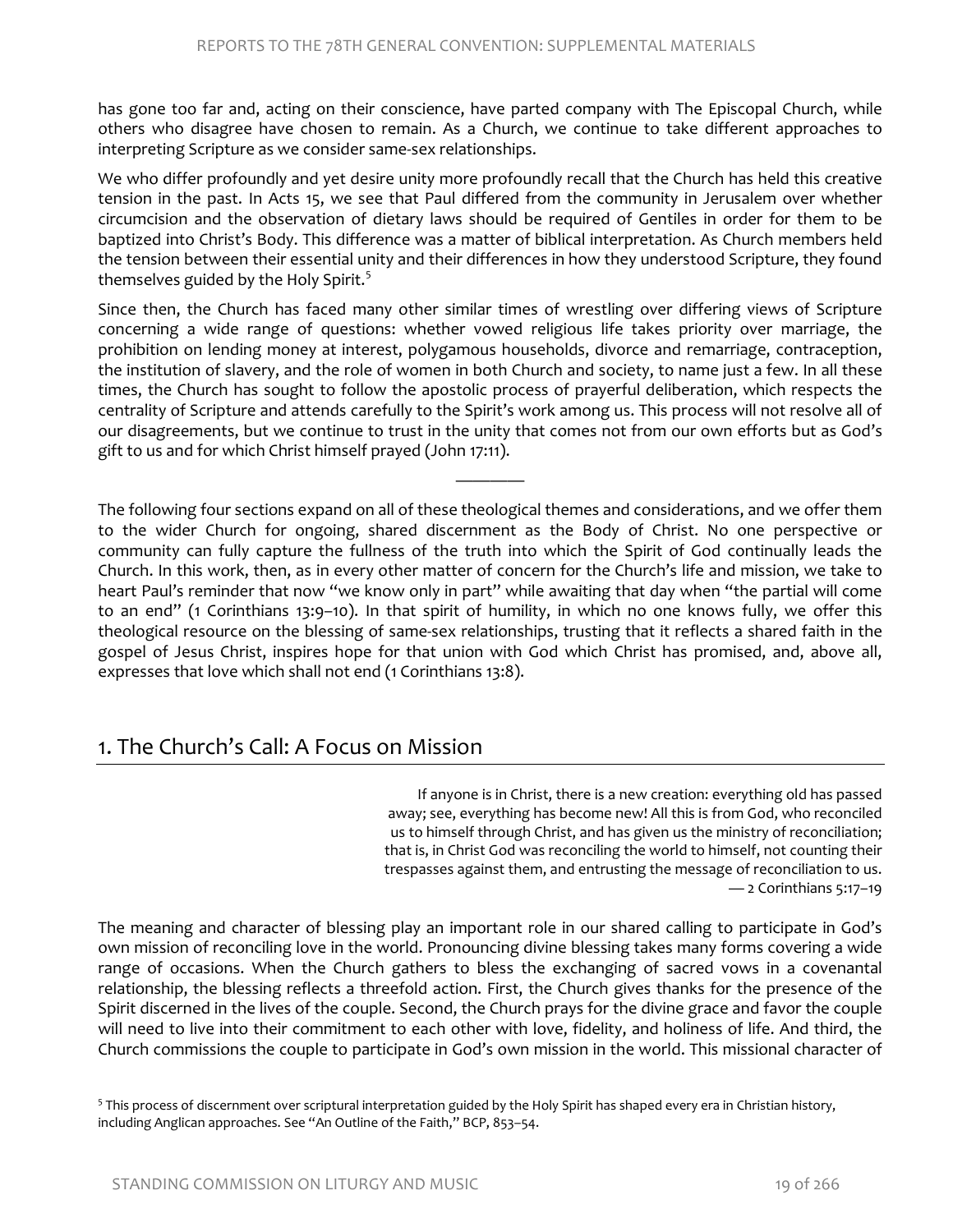has gone too far and, acting on their conscience, have parted company with The Episcopal Church, while others who disagree have chosen to remain. As a Church, we continue to take different approaches to interpreting Scripture as we consider same-sex relationships.

We who differ profoundly and yet desire unity more profoundly recall that the Church has held this creative tension in the past. In Acts 15, we see that Paul differed from the community in Jerusalem over whether circumcision and the observation of dietary laws should be required of Gentiles in order for them to be baptized into Christ's Body. This difference was a matter of biblical interpretation. As Church members held the tension between their essential unity and their differences in how they understood Scripture, they found themselves guided by the Holy Spirit.<sup>[5](#page-5-0)</sup>

Since then, the Church has faced many other similar times of wrestling over differing views of Scripture concerning a wide range of questions: whether vowed religious life takes priority over marriage, the prohibition on lending money at interest, polygamous households, divorce and remarriage, contraception, the institution of slavery, and the role of women in both Church and society, to name just a few. In all these times, the Church has sought to follow the apostolic process of prayerful deliberation, which respects the centrality of Scripture and attends carefully to the Spirit's work among us. This process will not resolve all of our disagreements, but we continue to trust in the unity that comes not from our own efforts but as God's gift to us and for which Christ himself prayed (John 17:11).

————

The following four sections expand on all of these theological themes and considerations, and we offer them to the wider Church for ongoing, shared discernment as the Body of Christ. No one perspective or community can fully capture the fullness of the truth into which the Spirit of God continually leads the Church. In this work, then, as in every other matter of concern for the Church's life and mission, we take to heart Paul's reminder that now "we know only in part" while awaiting that day when "the partial will come to an end" (1 Corinthians 13:9–10). In that spirit of humility, in which no one knows fully, we offer this theological resource on the blessing of same-sex relationships, trusting that it reflects a shared faith in the gospel of Jesus Christ, inspires hope for that union with God which Christ has promised, and, above all, expresses that love which shall not end (1 Corinthians 13:8).

# 1. The Church's Call: A Focus on Mission

If anyone is in Christ, there is a new creation: everything old has passed away; see, everything has become new! All this is from God, who reconciled us to himself through Christ, and has given us the ministry of reconciliation; that is, in Christ God was reconciling the world to himself, not counting their trespasses against them, and entrusting the message of reconciliation to us. — 2 Corinthians 5:17–19

The meaning and character of blessing play an important role in our shared calling to participate in God's own mission of reconciling love in the world. Pronouncing divine blessing takes many forms covering a wide range of occasions. When the Church gathers to bless the exchanging of sacred vows in a covenantal relationship, the blessing reflects a threefold action. First, the Church gives thanks for the presence of the Spirit discerned in the lives of the couple. Second, the Church prays for the divine grace and favor the couple will need to live into their commitment to each other with love, fidelity, and holiness of life. And third, the Church commissions the couple to participate in God's own mission in the world. This missional character of

<span id="page-5-0"></span> $5$  This process of discernment over scriptural interpretation guided by the Holy Spirit has shaped every era in Christian history, including Anglican approaches. See "An Outline of the Faith," BCP, 853–54.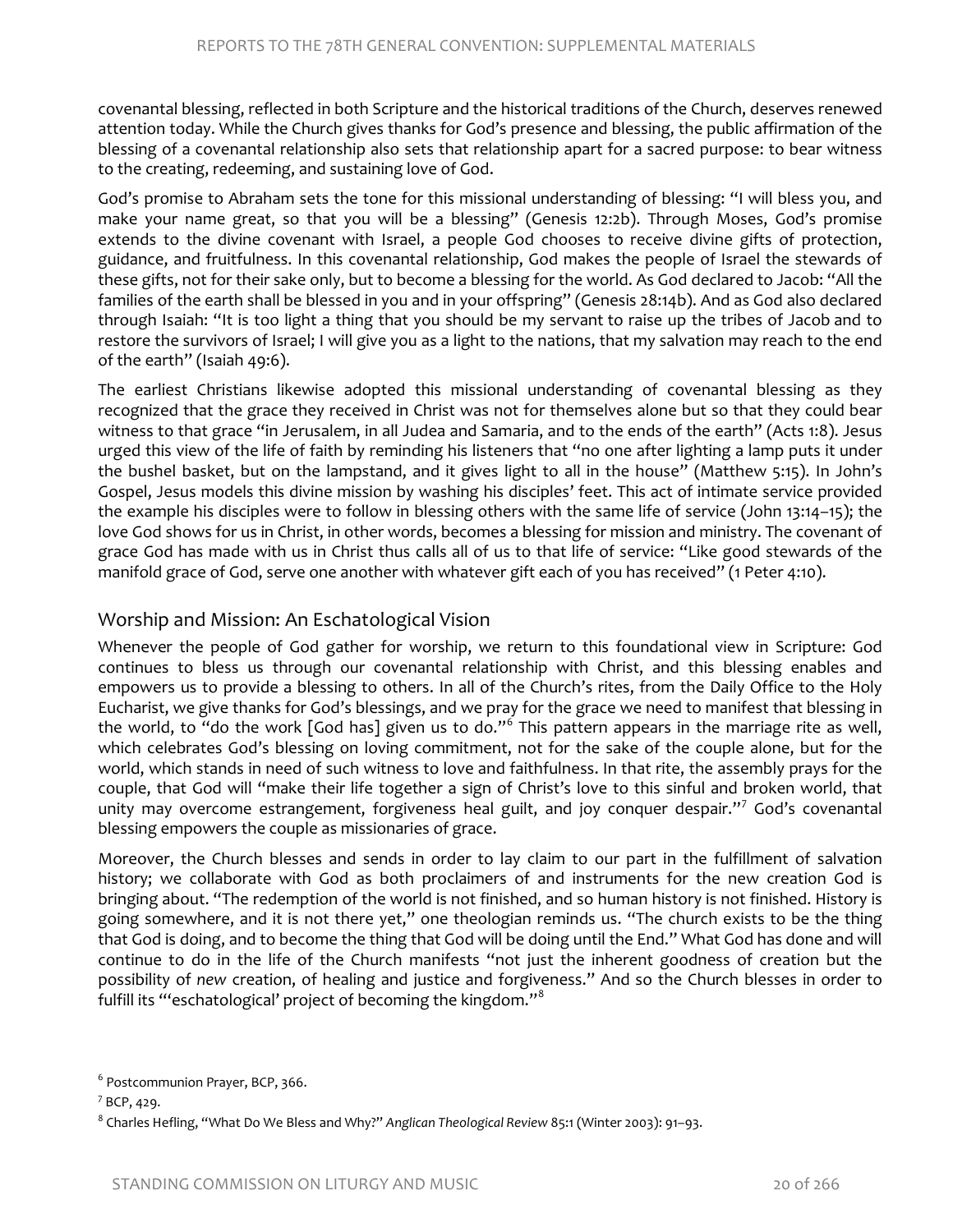covenantal blessing, reflected in both Scripture and the historical traditions of the Church, deserves renewed attention today. While the Church gives thanks for God's presence and blessing, the public affirmation of the blessing of a covenantal relationship also sets that relationship apart for a sacred purpose: to bear witness to the creating, redeeming, and sustaining love of God.

God's promise to Abraham sets the tone for this missional understanding of blessing: "I will bless you, and make your name great, so that you will be a blessing" (Genesis 12:2b). Through Moses, God's promise extends to the divine covenant with Israel, a people God chooses to receive divine gifts of protection, guidance, and fruitfulness. In this covenantal relationship, God makes the people of Israel the stewards of these gifts, not for their sake only, but to become a blessing for the world. As God declared to Jacob: "All the families of the earth shall be blessed in you and in your offspring" (Genesis 28:14b). And as God also declared through Isaiah: "It is too light a thing that you should be my servant to raise up the tribes of Jacob and to restore the survivors of Israel; I will give you as a light to the nations, that my salvation may reach to the end of the earth" (Isaiah 49:6).

The earliest Christians likewise adopted this missional understanding of covenantal blessing as they recognized that the grace they received in Christ was not for themselves alone but so that they could bear witness to that grace "in Jerusalem, in all Judea and Samaria, and to the ends of the earth" (Acts 1:8). Jesus urged this view of the life of faith by reminding his listeners that "no one after lighting a lamp puts it under the bushel basket, but on the lampstand, and it gives light to all in the house" (Matthew 5:15). In John's Gospel, Jesus models this divine mission by washing his disciples' feet. This act of intimate service provided the example his disciples were to follow in blessing others with the same life of service (John 13:14–15); the love God shows for us in Christ, in other words, becomes a blessing for mission and ministry. The covenant of grace God has made with us in Christ thus calls all of us to that life of service: "Like good stewards of the manifold grace of God, serve one another with whatever gift each of you has received" (1 Peter 4:10).

#### Worship and Mission: An Eschatological Vision

Whenever the people of God gather for worship, we return to this foundational view in Scripture: God continues to bless us through our covenantal relationship with Christ, and this blessing enables and empowers us to provide a blessing to others. In all of the Church's rites, from the Daily Office to the Holy Eucharist, we give thanks for God's blessings, and we pray for the grace we need to manifest that blessing in the world, to "do the work [God has] given us to do."<sup>[6](#page-6-0)</sup> This pattern appears in the marriage rite as well, which celebrates God's blessing on loving commitment, not for the sake of the couple alone, but for the world, which stands in need of such witness to love and faithfulness. In that rite, the assembly prays for the couple, that God will "make their life together a sign of Christ's love to this sinful and broken world, that unity may overcome estrangement, forgiveness heal guilt, and joy conquer despair."<sup>[7](#page-6-1)</sup> God's covenantal blessing empowers the couple as missionaries of grace.

Moreover, the Church blesses and sends in order to lay claim to our part in the fulfillment of salvation history; we collaborate with God as both proclaimers of and instruments for the new creation God is bringing about. "The redemption of the world is not finished, and so human history is not finished. History is going somewhere, and it is not there yet," one theologian reminds us. "The church exists to be the thing that God is doing, and to become the thing that God will be doing until the End." What God has done and will continue to do in the life of the Church manifests "not just the inherent goodness of creation but the possibility of *new* creation, of healing and justice and forgiveness." And so the Church blesses in order to fulfill its "'eschatological' project of becoming the kingdom."<sup>[8](#page-6-2)</sup>

<span id="page-6-0"></span><sup>6</sup> Postcommunion Prayer, BCP, 366.

<span id="page-6-1"></span><sup>7</sup> BCP, 429.

<span id="page-6-2"></span><sup>8</sup> Charles Hefling, "What Do We Bless and Why?" *Anglican Theological Review* 85:1 (Winter 2003): 91–93.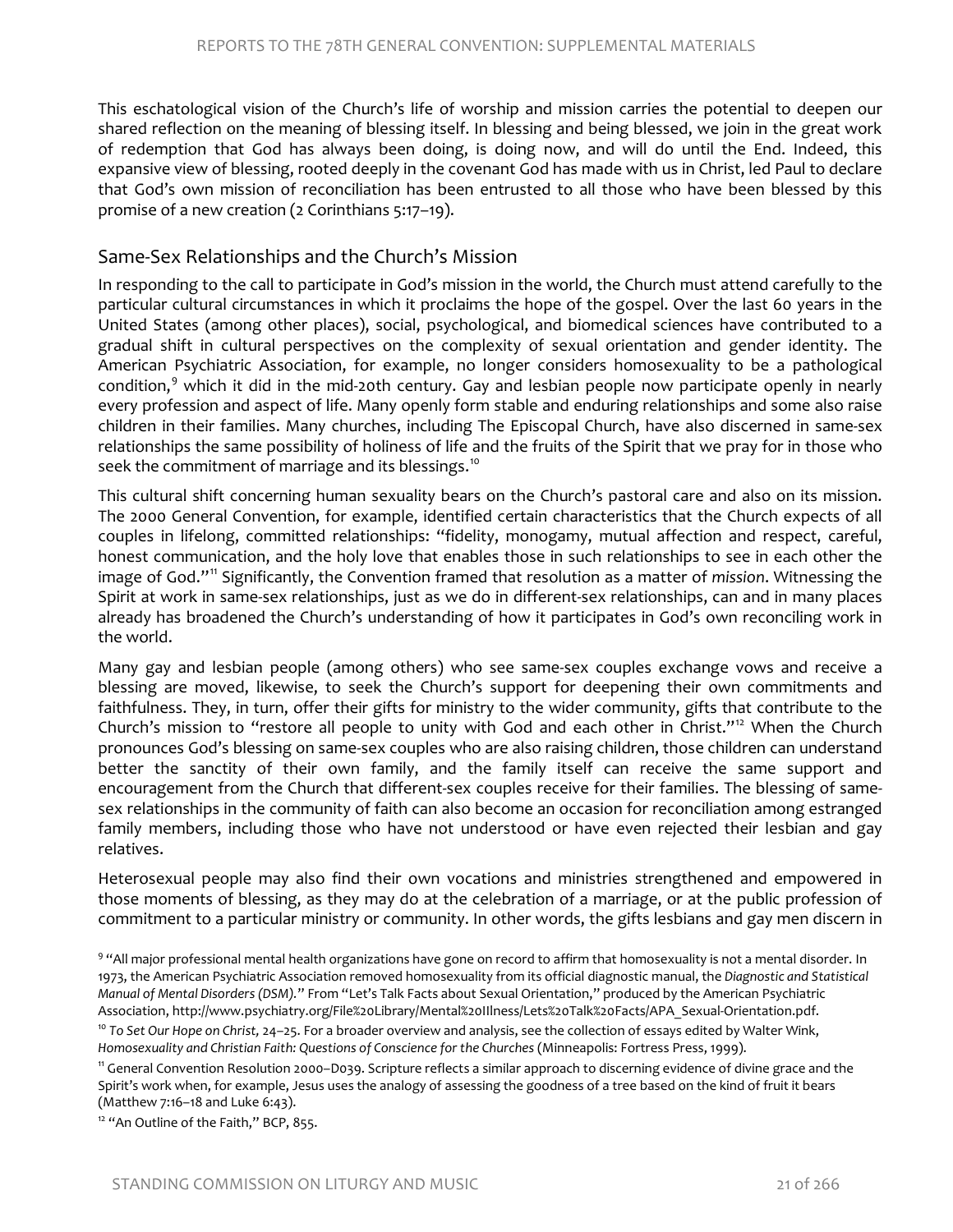This eschatological vision of the Church's life of worship and mission carries the potential to deepen our shared reflection on the meaning of blessing itself. In blessing and being blessed, we join in the great work of redemption that God has always been doing, is doing now, and will do until the End. Indeed, this expansive view of blessing, rooted deeply in the covenant God has made with us in Christ, led Paul to declare that God's own mission of reconciliation has been entrusted to all those who have been blessed by this promise of a new creation (2 Corinthians 5:17–19).

#### Same-Sex Relationships and the Church's Mission

In responding to the call to participate in God's mission in the world, the Church must attend carefully to the particular cultural circumstances in which it proclaims the hope of the gospel. Over the last 60 years in the United States (among other places), social, psychological, and biomedical sciences have contributed to a gradual shift in cultural perspectives on the complexity of sexual orientation and gender identity. The American Psychiatric Association, for example, no longer considers homosexuality to be a pathological condition, $9$  which it did in the mid-20th century. Gay and lesbian people now participate openly in nearly every profession and aspect of life. Many openly form stable and enduring relationships and some also raise children in their families. Many churches, including The Episcopal Church, have also discerned in same-sex relationships the same possibility of holiness of life and the fruits of the Spirit that we pray for in those who seek the commitment of marriage and its blessings.<sup>[10](#page-7-1)</sup>

This cultural shift concerning human sexuality bears on the Church's pastoral care and also on its mission. The 2000 General Convention, for example, identified certain characteristics that the Church expects of all couples in lifelong, committed relationships: "fidelity, monogamy, mutual affection and respect, careful, honest communication, and the holy love that enables those in such relationships to see in each other the image of God."[11](#page-7-2) Significantly, the Convention framed that resolution as a matter of *mission*. Witnessing the Spirit at work in same-sex relationships, just as we do in different-sex relationships, can and in many places already has broadened the Church's understanding of how it participates in God's own reconciling work in the world.

Many gay and lesbian people (among others) who see same-sex couples exchange vows and receive a blessing are moved, likewise, to seek the Church's support for deepening their own commitments and faithfulness. They, in turn, offer their gifts for ministry to the wider community, gifts that contribute to the Church's mission to "restore all people to unity with God and each other in Christ."<sup>[12](#page-7-3)</sup> When the Church pronounces God's blessing on same-sex couples who are also raising children, those children can understand better the sanctity of their own family, and the family itself can receive the same support and encouragement from the Church that different-sex couples receive for their families. The blessing of samesex relationships in the community of faith can also become an occasion for reconciliation among estranged family members, including those who have not understood or have even rejected their lesbian and gay relatives.

Heterosexual people may also find their own vocations and ministries strengthened and empowered in those moments of blessing, as they may do at the celebration of a marriage, or at the public profession of commitment to a particular ministry or community. In other words, the gifts lesbians and gay men discern in

<span id="page-7-0"></span>9 "All major professional mental health organizations have gone on record to affirm that homosexuality is not a mental disorder. In 1973, the American Psychiatric Association removed homosexuality from its official diagnostic manual, the *Diagnostic and Statistical Manual of Mental Disorders (DSM).*" From "Let's Talk Facts about Sexual Orientation," produced by the American Psychiatric Association, http://www.psychiatry.org/File%20Library/Mental%20IIlness/Lets%20Talk%20Facts/APA\_Sexual-Orientation.pdf.<br><sup>10</sup> To Set Our Hope on Christ, 24–25. For a broader overview and analysis, see the collection of essay

<span id="page-7-1"></span>*Homosexuality and Christian Faith: Questions of Conscience for the Churches* (Minneapolis: Fortress Press, 1999).

<span id="page-7-2"></span><sup>11</sup> General Convention Resolution 2000–D039. Scripture reflects a similar approach to discerning evidence of divine grace and the Spirit's work when, for example, Jesus uses the analogy of assessing the goodness of a tree based on the kind of fruit it bears (Matthew 7:16–18 and Luke 6:43).

<span id="page-7-3"></span><sup>&</sup>lt;sup>12</sup> "An Outline of the Faith," BCP, 855.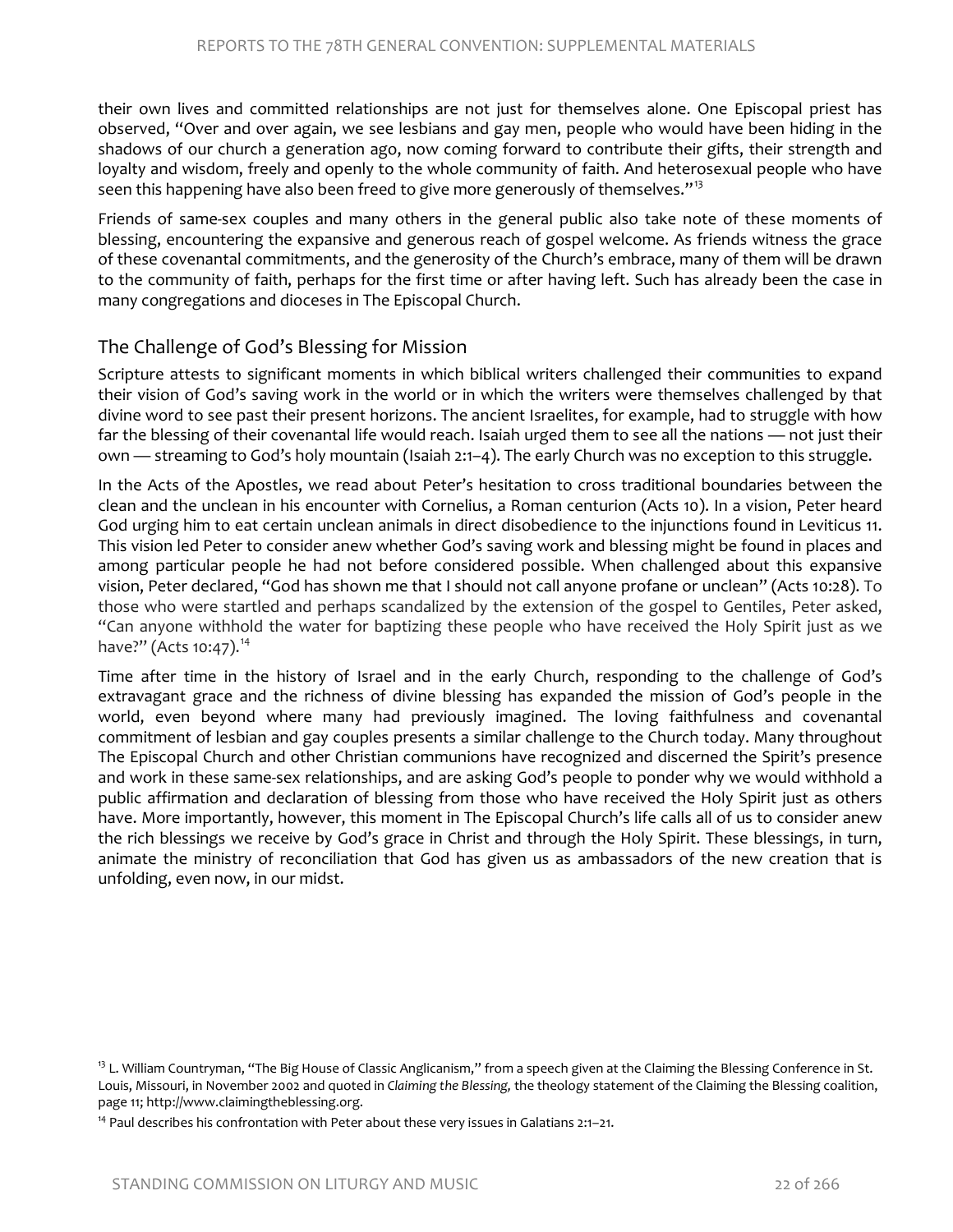their own lives and committed relationships are not just for themselves alone. One Episcopal priest has observed, "Over and over again, we see lesbians and gay men, people who would have been hiding in the shadows of our church a generation ago, now coming forward to contribute their gifts, their strength and loyalty and wisdom, freely and openly to the whole community of faith. And heterosexual people who have seen this happening have also been freed to give more generously of themselves."<sup>[13](#page-8-0)</sup>

Friends of same-sex couples and many others in the general public also take note of these moments of blessing, encountering the expansive and generous reach of gospel welcome. As friends witness the grace of these covenantal commitments, and the generosity of the Church's embrace, many of them will be drawn to the community of faith, perhaps for the first time or after having left. Such has already been the case in many congregations and dioceses in The Episcopal Church.

#### The Challenge of God's Blessing for Mission

Scripture attests to significant moments in which biblical writers challenged their communities to expand their vision of God's saving work in the world or in which the writers were themselves challenged by that divine word to see past their present horizons. The ancient Israelites, for example, had to struggle with how far the blessing of their covenantal life would reach. Isaiah urged them to see all the nations — not just their own — streaming to God's holy mountain (Isaiah 2:1–4). The early Church was no exception to this struggle.

In the Acts of the Apostles, we read about Peter's hesitation to cross traditional boundaries between the clean and the unclean in his encounter with Cornelius, a Roman centurion (Acts 10). In a vision, Peter heard God urging him to eat certain unclean animals in direct disobedience to the injunctions found in Leviticus 11. This vision led Peter to consider anew whether God's saving work and blessing might be found in places and among particular people he had not before considered possible. When challenged about this expansive vision, Peter declared, "God has shown me that I should not call anyone profane or unclean" (Acts 10:28). To those who were startled and perhaps scandalized by the extension of the gospel to Gentiles, Peter asked, "Can anyone withhold the water for baptizing these people who have received the Holy Spirit just as we have?" (Acts 10:47).<sup>14</sup>

Time after time in the history of Israel and in the early Church, responding to the challenge of God's extravagant grace and the richness of divine blessing has expanded the mission of God's people in the world, even beyond where many had previously imagined. The loving faithfulness and covenantal commitment of lesbian and gay couples presents a similar challenge to the Church today. Many throughout The Episcopal Church and other Christian communions have recognized and discerned the Spirit's presence and work in these same-sex relationships, and are asking God's people to ponder why we would withhold a public affirmation and declaration of blessing from those who have received the Holy Spirit just as others have. More importantly, however, this moment in The Episcopal Church's life calls all of us to consider anew the rich blessings we receive by God's grace in Christ and through the Holy Spirit. These blessings, in turn, animate the ministry of reconciliation that God has given us as ambassadors of the new creation that is unfolding, even now, in our midst.

<span id="page-8-0"></span><sup>&</sup>lt;sup>13</sup> L. William Countryman, "The Big House of Classic Anglicanism," from a speech given at the Claiming the Blessing Conference in St. Louis, Missouri, in November 2002 and quoted in *Claiming the Blessing,* the theology statement of the Claiming the Blessing coalition, page 11; http://www.claimingtheblessing.org.

<span id="page-8-1"></span> $14$  Paul describes his confrontation with Peter about these very issues in Galatians 2:1-21.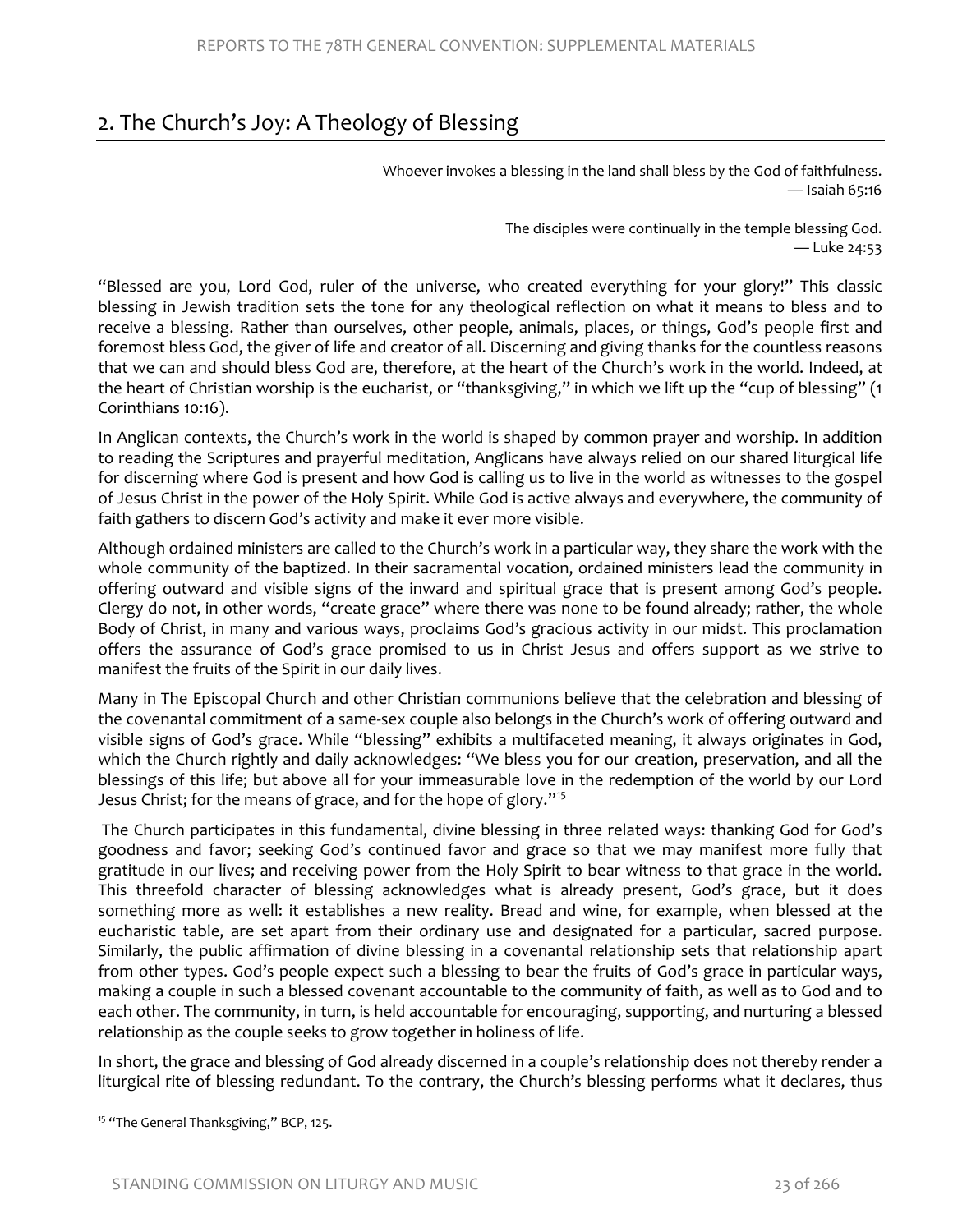# 2. The Church's Joy: A Theology of Blessing

Whoever invokes a blessing in the land shall bless by the God of faithfulness. — Isaiah 65:16

> The disciples were continually in the temple blessing God. — Luke 24:53

"Blessed are you, Lord God, ruler of the universe, who created everything for your glory!" This classic blessing in Jewish tradition sets the tone for any theological reflection on what it means to bless and to receive a blessing. Rather than ourselves, other people, animals, places, or things, God's people first and foremost bless God, the giver of life and creator of all. Discerning and giving thanks for the countless reasons that we can and should bless God are, therefore, at the heart of the Church's work in the world. Indeed, at the heart of Christian worship is the eucharist, or "thanksgiving," in which we lift up the "cup of blessing" (1 Corinthians 10:16).

In Anglican contexts, the Church's work in the world is shaped by common prayer and worship. In addition to reading the Scriptures and prayerful meditation, Anglicans have always relied on our shared liturgical life for discerning where God is present and how God is calling us to live in the world as witnesses to the gospel of Jesus Christ in the power of the Holy Spirit. While God is active always and everywhere, the community of faith gathers to discern God's activity and make it ever more visible.

Although ordained ministers are called to the Church's work in a particular way, they share the work with the whole community of the baptized. In their sacramental vocation, ordained ministers lead the community in offering outward and visible signs of the inward and spiritual grace that is present among God's people. Clergy do not, in other words, "create grace" where there was none to be found already; rather, the whole Body of Christ, in many and various ways, proclaims God's gracious activity in our midst. This proclamation offers the assurance of God's grace promised to us in Christ Jesus and offers support as we strive to manifest the fruits of the Spirit in our daily lives.

Many in The Episcopal Church and other Christian communions believe that the celebration and blessing of the covenantal commitment of a same-sex couple also belongs in the Church's work of offering outward and visible signs of God's grace. While "blessing" exhibits a multifaceted meaning, it always originates in God, which the Church rightly and daily acknowledges: "We bless you for our creation, preservation, and all the blessings of this life; but above all for your immeasurable love in the redemption of the world by our Lord Jesus Christ; for the means of grace, and for the hope of glory."<sup>[15](#page-9-0)</sup>

The Church participates in this fundamental, divine blessing in three related ways: thanking God for God's goodness and favor; seeking God's continued favor and grace so that we may manifest more fully that gratitude in our lives; and receiving power from the Holy Spirit to bear witness to that grace in the world. This threefold character of blessing acknowledges what is already present, God's grace, but it does something more as well: it establishes a new reality. Bread and wine, for example, when blessed at the eucharistic table, are set apart from their ordinary use and designated for a particular, sacred purpose. Similarly, the public affirmation of divine blessing in a covenantal relationship sets that relationship apart from other types. God's people expect such a blessing to bear the fruits of God's grace in particular ways, making a couple in such a blessed covenant accountable to the community of faith, as well as to God and to each other. The community, in turn, is held accountable for encouraging, supporting, and nurturing a blessed relationship as the couple seeks to grow together in holiness of life.

In short, the grace and blessing of God already discerned in a couple's relationship does not thereby render a liturgical rite of blessing redundant. To the contrary, the Church's blessing performs what it declares, thus

<span id="page-9-0"></span><sup>&</sup>lt;sup>15</sup> "The General Thanksgiving," BCP, 125.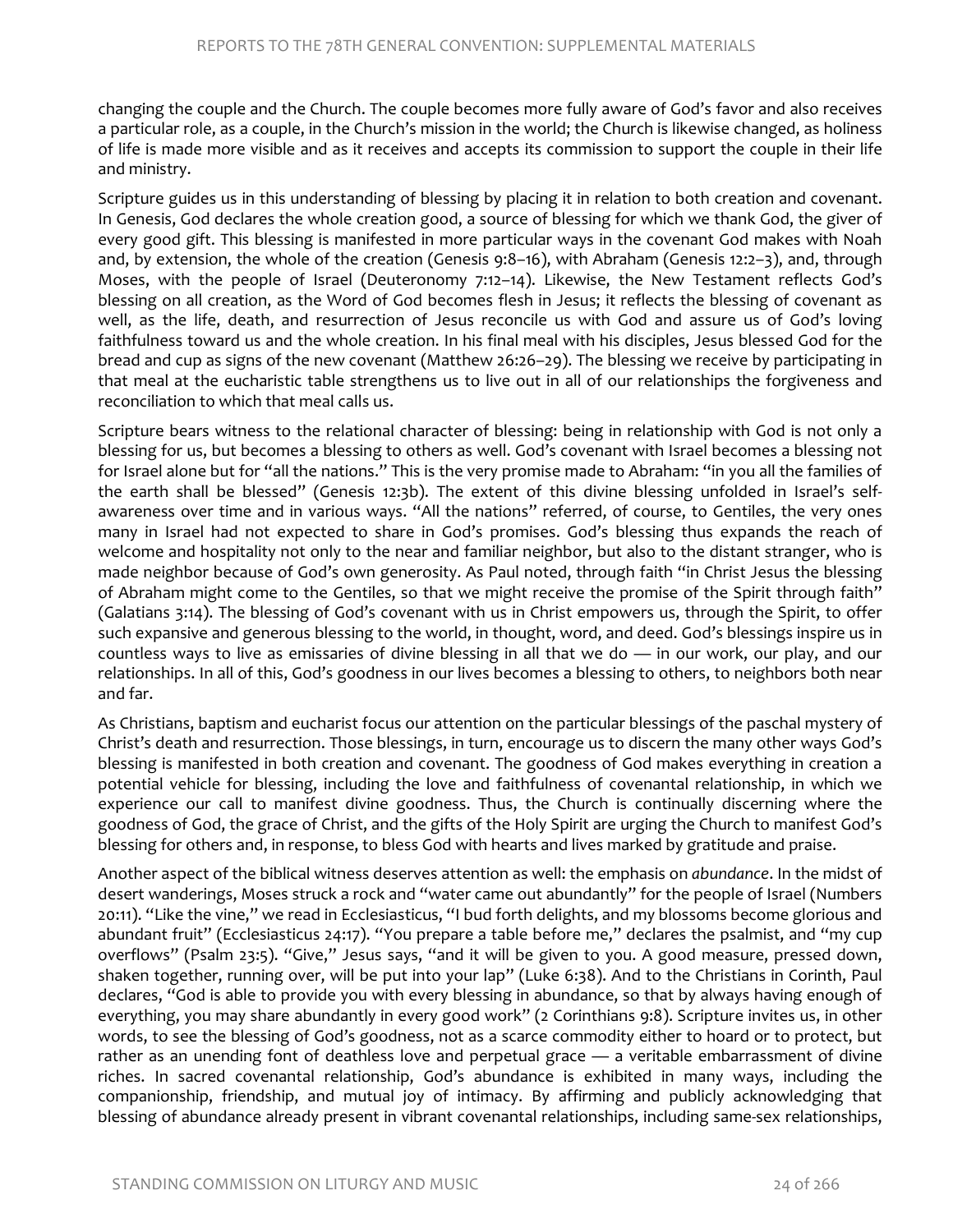changing the couple and the Church. The couple becomes more fully aware of God's favor and also receives a particular role, as a couple, in the Church's mission in the world; the Church is likewise changed, as holiness of life is made more visible and as it receives and accepts its commission to support the couple in their life and ministry.

Scripture guides us in this understanding of blessing by placing it in relation to both creation and covenant. In Genesis, God declares the whole creation good, a source of blessing for which we thank God, the giver of every good gift. This blessing is manifested in more particular ways in the covenant God makes with Noah and, by extension, the whole of the creation (Genesis 9:8–16), with Abraham (Genesis 12:2–3), and, through Moses, with the people of Israel (Deuteronomy 7:12–14). Likewise, the New Testament reflects God's blessing on all creation, as the Word of God becomes flesh in Jesus; it reflects the blessing of covenant as well, as the life, death, and resurrection of Jesus reconcile us with God and assure us of God's loving faithfulness toward us and the whole creation. In his final meal with his disciples, Jesus blessed God for the bread and cup as signs of the new covenant (Matthew 26:26–29). The blessing we receive by participating in that meal at the eucharistic table strengthens us to live out in all of our relationships the forgiveness and reconciliation to which that meal calls us.

Scripture bears witness to the relational character of blessing: being in relationship with God is not only a blessing for us, but becomes a blessing to others as well. God's covenant with Israel becomes a blessing not for Israel alone but for "all the nations." This is the very promise made to Abraham: "in you all the families of the earth shall be blessed" (Genesis 12:3b). The extent of this divine blessing unfolded in Israel's selfawareness over time and in various ways. "All the nations" referred, of course, to Gentiles, the very ones many in Israel had not expected to share in God's promises. God's blessing thus expands the reach of welcome and hospitality not only to the near and familiar neighbor, but also to the distant stranger, who is made neighbor because of God's own generosity. As Paul noted, through faith "in Christ Jesus the blessing of Abraham might come to the Gentiles, so that we might receive the promise of the Spirit through faith" (Galatians 3:14). The blessing of God's covenant with us in Christ empowers us, through the Spirit, to offer such expansive and generous blessing to the world, in thought, word, and deed. God's blessings inspire us in countless ways to live as emissaries of divine blessing in all that we do — in our work, our play, and our relationships. In all of this, God's goodness in our lives becomes a blessing to others, to neighbors both near and far.

As Christians, baptism and eucharist focus our attention on the particular blessings of the paschal mystery of Christ's death and resurrection. Those blessings, in turn, encourage us to discern the many other ways God's blessing is manifested in both creation and covenant. The goodness of God makes everything in creation a potential vehicle for blessing, including the love and faithfulness of covenantal relationship, in which we experience our call to manifest divine goodness. Thus, the Church is continually discerning where the goodness of God, the grace of Christ, and the gifts of the Holy Spirit are urging the Church to manifest God's blessing for others and, in response, to bless God with hearts and lives marked by gratitude and praise.

Another aspect of the biblical witness deserves attention as well: the emphasis on *abundance*. In the midst of desert wanderings, Moses struck a rock and "water came out abundantly" for the people of Israel (Numbers 20:11). "Like the vine," we read in Ecclesiasticus, "I bud forth delights, and my blossoms become glorious and abundant fruit" (Ecclesiasticus 24:17). "You prepare a table before me," declares the psalmist, and "my cup overflows" (Psalm 23:5). "Give," Jesus says, "and it will be given to you. A good measure, pressed down, shaken together, running over, will be put into your lap" (Luke 6:38). And to the Christians in Corinth, Paul declares, "God is able to provide you with every blessing in abundance, so that by always having enough of everything, you may share abundantly in every good work" (2 Corinthians 9:8). Scripture invites us, in other words, to see the blessing of God's goodness, not as a scarce commodity either to hoard or to protect, but rather as an unending font of deathless love and perpetual grace — a veritable embarrassment of divine riches. In sacred covenantal relationship, God's abundance is exhibited in many ways, including the companionship, friendship, and mutual joy of intimacy. By affirming and publicly acknowledging that blessing of abundance already present in vibrant covenantal relationships, including same-sex relationships,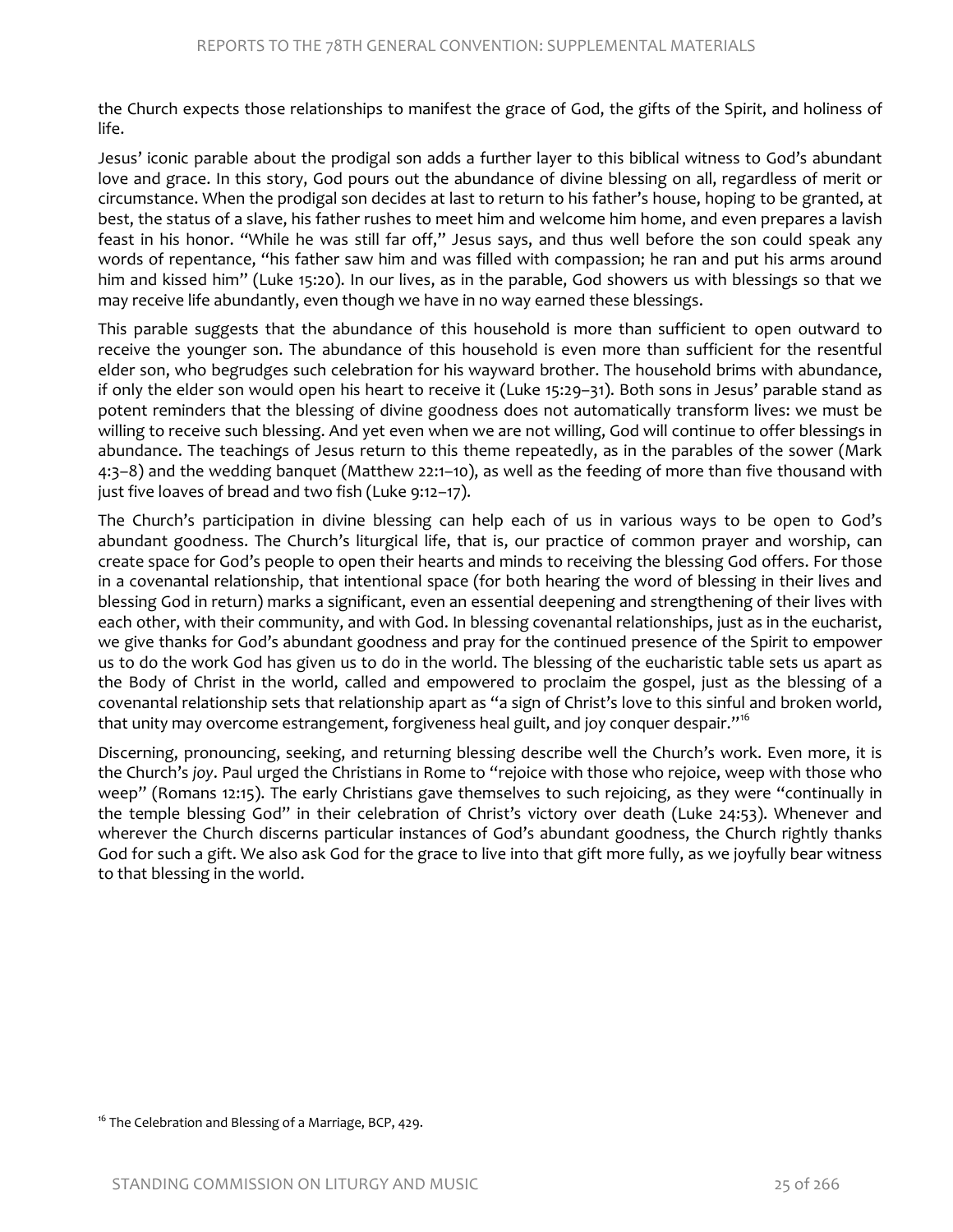the Church expects those relationships to manifest the grace of God, the gifts of the Spirit, and holiness of life.

Jesus' iconic parable about the prodigal son adds a further layer to this biblical witness to God's abundant love and grace. In this story, God pours out the abundance of divine blessing on all, regardless of merit or circumstance. When the prodigal son decides at last to return to his father's house, hoping to be granted, at best, the status of a slave, his father rushes to meet him and welcome him home, and even prepares a lavish feast in his honor. "While he was still far off," Jesus says, and thus well before the son could speak any words of repentance, "his father saw him and was filled with compassion; he ran and put his arms around him and kissed him" (Luke 15:20). In our lives, as in the parable, God showers us with blessings so that we may receive life abundantly, even though we have in no way earned these blessings.

This parable suggests that the abundance of this household is more than sufficient to open outward to receive the younger son. The abundance of this household is even more than sufficient for the resentful elder son, who begrudges such celebration for his wayward brother. The household brims with abundance, if only the elder son would open his heart to receive it (Luke 15:29–31). Both sons in Jesus' parable stand as potent reminders that the blessing of divine goodness does not automatically transform lives: we must be willing to receive such blessing. And yet even when we are not willing, God will continue to offer blessings in abundance. The teachings of Jesus return to this theme repeatedly, as in the parables of the sower (Mark 4:3–8) and the wedding banquet (Matthew 22:1–10), as well as the feeding of more than five thousand with just five loaves of bread and two fish (Luke 9:12–17).

The Church's participation in divine blessing can help each of us in various ways to be open to God's abundant goodness. The Church's liturgical life, that is, our practice of common prayer and worship, can create space for God's people to open their hearts and minds to receiving the blessing God offers. For those in a covenantal relationship, that intentional space (for both hearing the word of blessing in their lives and blessing God in return) marks a significant, even an essential deepening and strengthening of their lives with each other, with their community, and with God. In blessing covenantal relationships, just as in the eucharist, we give thanks for God's abundant goodness and pray for the continued presence of the Spirit to empower us to do the work God has given us to do in the world. The blessing of the eucharistic table sets us apart as the Body of Christ in the world, called and empowered to proclaim the gospel, just as the blessing of a covenantal relationship sets that relationship apart as "a sign of Christ's love to this sinful and broken world, that unity may overcome estrangement, forgiveness heal guilt, and joy conquer despair."<sup>[16](#page-11-0)</sup>

Discerning, pronouncing, seeking, and returning blessing describe well the Church's work. Even more, it is the Church's *joy*. Paul urged the Christians in Rome to "rejoice with those who rejoice, weep with those who weep" (Romans 12:15). The early Christians gave themselves to such rejoicing, as they were "continually in the temple blessing God" in their celebration of Christ's victory over death (Luke 24:53). Whenever and wherever the Church discerns particular instances of God's abundant goodness, the Church rightly thanks God for such a gift. We also ask God for the grace to live into that gift more fully, as we joyfully bear witness to that blessing in the world.

<span id="page-11-0"></span> $16$  The Celebration and Blessing of a Marriage, BCP, 429.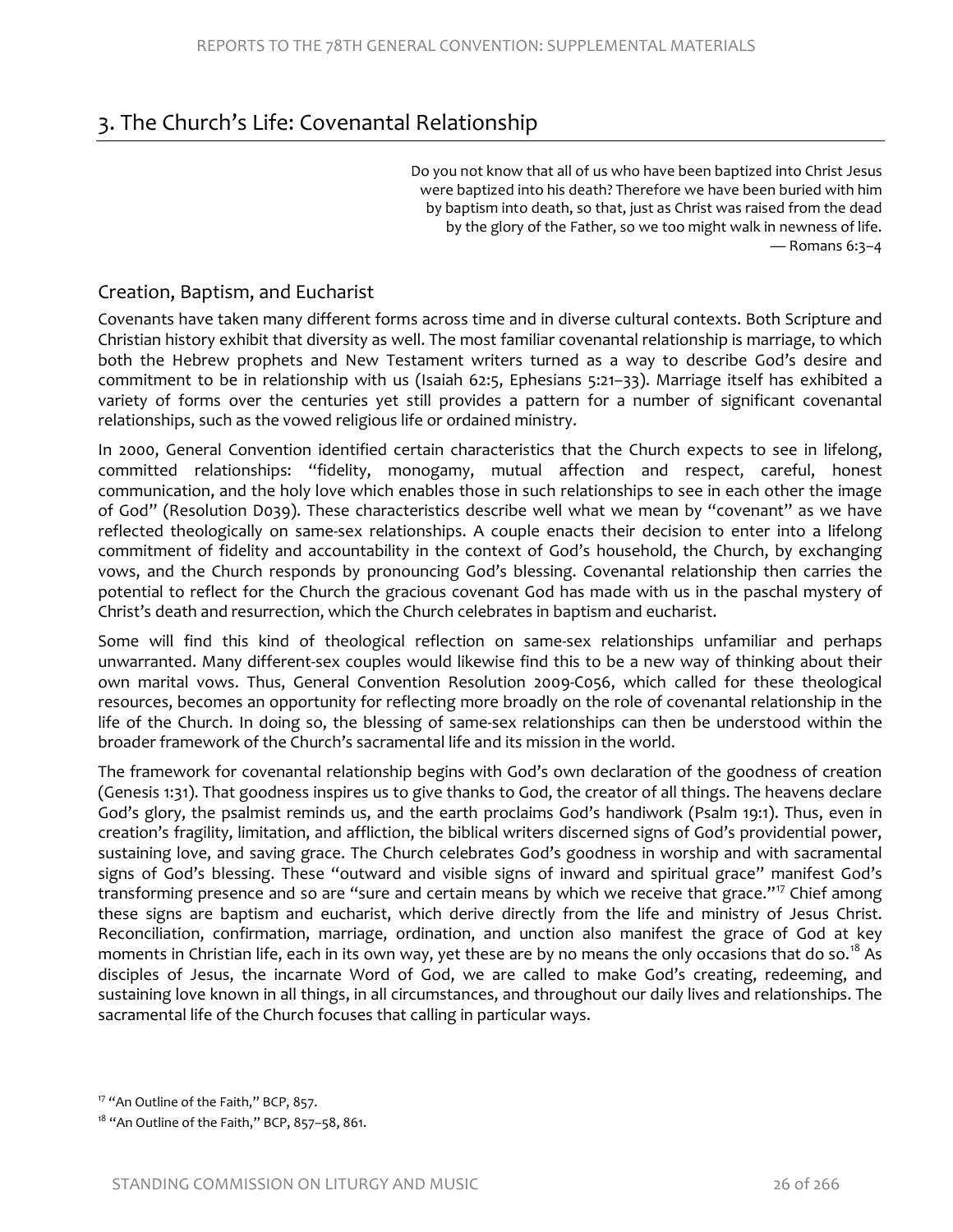# 3. The Church's Life: Covenantal Relationship

Do you not know that all of us who have been baptized into Christ Jesus were baptized into his death? Therefore we have been buried with him by baptism into death, so that, just as Christ was raised from the dead by the glory of the Father, so we too might walk in newness of life.  $-$  Romans 6:3-4

#### Creation, Baptism, and Eucharist

Covenants have taken many different forms across time and in diverse cultural contexts. Both Scripture and Christian history exhibit that diversity as well. The most familiar covenantal relationship is marriage, to which both the Hebrew prophets and New Testament writers turned as a way to describe God's desire and commitment to be in relationship with us (Isaiah 62:5, Ephesians 5:21–33). Marriage itself has exhibited a variety of forms over the centuries yet still provides a pattern for a number of significant covenantal relationships, such as the vowed religious life or ordained ministry.

In 2000, General Convention identified certain characteristics that the Church expects to see in lifelong, committed relationships: "fidelity, monogamy, mutual affection and respect, careful, honest communication, and the holy love which enables those in such relationships to see in each other the image of God" (Resolution D039). These characteristics describe well what we mean by "covenant" as we have reflected theologically on same-sex relationships. A couple enacts their decision to enter into a lifelong commitment of fidelity and accountability in the context of God's household, the Church, by exchanging vows, and the Church responds by pronouncing God's blessing. Covenantal relationship then carries the potential to reflect for the Church the gracious covenant God has made with us in the paschal mystery of Christ's death and resurrection, which the Church celebrates in baptism and eucharist.

Some will find this kind of theological reflection on same-sex relationships unfamiliar and perhaps unwarranted. Many different-sex couples would likewise find this to be a new way of thinking about their own marital vows. Thus, General Convention Resolution 2009-C056, which called for these theological resources, becomes an opportunity for reflecting more broadly on the role of covenantal relationship in the life of the Church. In doing so, the blessing of same-sex relationships can then be understood within the broader framework of the Church's sacramental life and its mission in the world.

The framework for covenantal relationship begins with God's own declaration of the goodness of creation (Genesis 1:31). That goodness inspires us to give thanks to God, the creator of all things. The heavens declare God's glory, the psalmist reminds us, and the earth proclaims God's handiwork (Psalm 19:1). Thus, even in creation's fragility, limitation, and affliction, the biblical writers discerned signs of God's providential power, sustaining love, and saving grace. The Church celebrates God's goodness in worship and with sacramental signs of God's blessing. These "outward and visible signs of inward and spiritual grace" manifest God's transforming presence and so are "sure and certain means by which we receive that grace."<sup>[17](#page-12-0)</sup> Chief among these signs are baptism and eucharist, which derive directly from the life and ministry of Jesus Christ. Reconciliation, confirmation, marriage, ordination, and unction also manifest the grace of God at key moments in Christian life, each in its own way, yet these are by no means the only occasions that do so.<sup>[18](#page-12-1)</sup> As disciples of Jesus, the incarnate Word of God, we are called to make God's creating, redeeming, and sustaining love known in all things, in all circumstances, and throughout our daily lives and relationships. The sacramental life of the Church focuses that calling in particular ways.

<span id="page-12-0"></span><sup>&</sup>lt;sup>17</sup> "An Outline of the Faith," BCP, 857.

<span id="page-12-1"></span><sup>&</sup>lt;sup>18</sup> "An Outline of the Faith," BCP, 857-58, 861.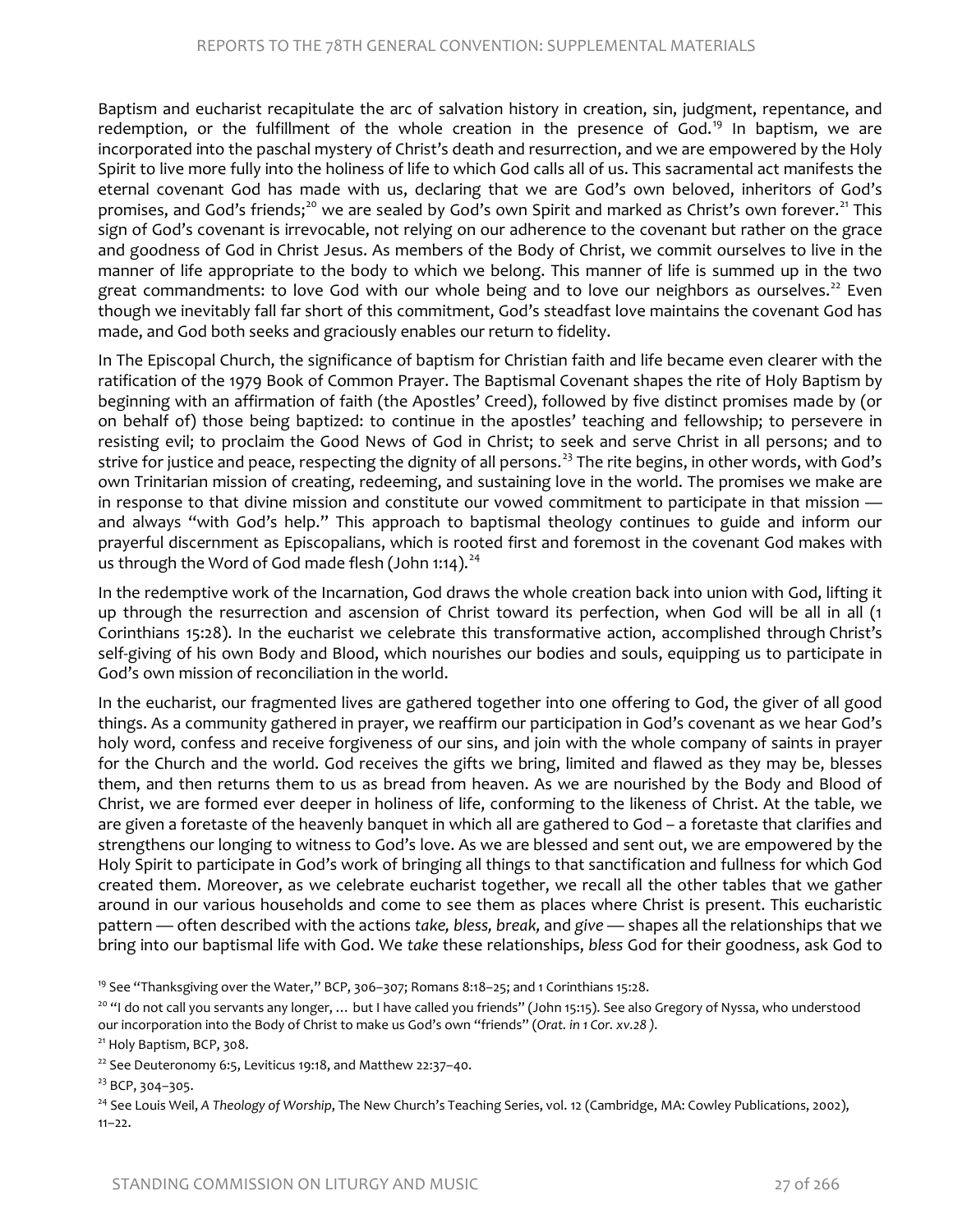Baptism and eucharist recapitulate the arc of salvation history in creation, sin, judgment, repentance, and redemption, or the fulfillment of the whole creation in the presence of God.<sup>[19](#page-13-0)</sup> In baptism, we are incorporated into the paschal mystery of Christ's death and resurrection, and we are empowered by the Holy Spirit to live more fully into the holiness of life to which God calls all of us. This sacramental act manifests the eternal covenant God has made with us, declaring that we are God's own beloved, inheritors of God's promises, and God's friends;<sup>[20](#page-13-1)</sup> we are sealed by God's own Spirit and marked as Christ's own forever.<sup>[21](#page-13-2)</sup> This sign of God's covenant is irrevocable, not relying on our adherence to the covenant but rather on the grace and goodness of God in Christ Jesus. As members of the Body of Christ, we commit ourselves to live in the manner of life appropriate to the body to which we belong. This manner of life is summed up in the two great commandments: to love God with our whole being and to love our neighbors as ourselves.<sup>[22](#page-13-3)</sup> Even though we inevitably fall far short of this commitment, God's steadfast love maintains the covenant God has made, and God both seeks and graciously enables our return to fidelity.

In The Episcopal Church, the significance of baptism for Christian faith and life became even clearer with the ratification of the 1979 Book of Common Prayer. The Baptismal Covenant shapes the rite of Holy Baptism by beginning with an affirmation of faith (the Apostles' Creed), followed by five distinct promises made by (or on behalf of) those being baptized: to continue in the apostles' teaching and fellowship; to persevere in resisting evil; to proclaim the Good News of God in Christ; to seek and serve Christ in all persons; and to strive for justice and peace, respecting the dignity of all persons.<sup>[23](#page-13-4)</sup> The rite begins, in other words, with God's own Trinitarian mission of creating, redeeming, and sustaining love in the world. The promises we make are in response to that divine mission and constitute our vowed commitment to participate in that mission and always "with God's help." This approach to baptismal theology continues to guide and inform our prayerful discernment as Episcopalians, which is rooted first and foremost in the covenant God makes with us through the Word of God made flesh (John 1:14).<sup>[24](#page-13-5)</sup>

In the redemptive work of the Incarnation, God draws the whole creation back into union with God, lifting it up through the resurrection and ascension of Christ toward its perfection, when God will be all in all (1 Corinthians 15:28). In the eucharist we celebrate this transformative action, accomplished through Christ's self-giving of his own Body and Blood, which nourishes our bodies and souls, equipping us to participate in God's own mission of reconciliation in the world.

In the eucharist, our fragmented lives are gathered together into one offering to God, the giver of all good things. As a community gathered in prayer, we reaffirm our participation in God's covenant as we hear God's holy word, confess and receive forgiveness of our sins, and join with the whole company of saints in prayer for the Church and the world. God receives the gifts we bring, limited and flawed as they may be, blesses them, and then returns them to us as bread from heaven. As we are nourished by the Body and Blood of Christ, we are formed ever deeper in holiness of life, conforming to the likeness of Christ. At the table, we are given a foretaste of the heavenly banquet in which all are gathered to God – a foretaste that clarifies and strengthens our longing to witness to God's love. As we are blessed and sent out, we are empowered by the Holy Spirit to participate in God's work of bringing all things to that sanctification and fullness for which God created them. Moreover, as we celebrate eucharist together, we recall all the other tables that we gather around in our various households and come to see them as places where Christ is present. This eucharistic pattern — often described with the actions *take, bless, break,* and *give* — shapes all the relationships that we bring into our baptismal life with God. We *take* these relationships, *bless* God for their goodness, ask God to

<span id="page-13-0"></span><sup>19</sup> See "Thanksgiving over the Water," BCP, 306-307; Romans 8:18-25; and 1 Corinthians 15:28.

<span id="page-13-1"></span><sup>20</sup> "I do not call you servants any longer, ... but I have called you friends" (John 15:15). See also Gregory of Nyssa, who understood our incorporation into the Body of Christ to make us God's own "friends" (*Orat. in 1 Cor. xv.28 ).*

<span id="page-13-2"></span><sup>21</sup> Holy Baptism, BCP, 308.

<span id="page-13-3"></span> $22$  See Deuteronomy 6:5, Leviticus 19:18, and Matthew 22:37-40.

<span id="page-13-4"></span><sup>23</sup> BCP, 304-305.

<span id="page-13-5"></span><sup>24</sup> See Louis Weil, A Theology of Worship, The New Church's Teaching Series, vol. 12 (Cambridge, MA: Cowley Publications, 2002),  $11 - 22.$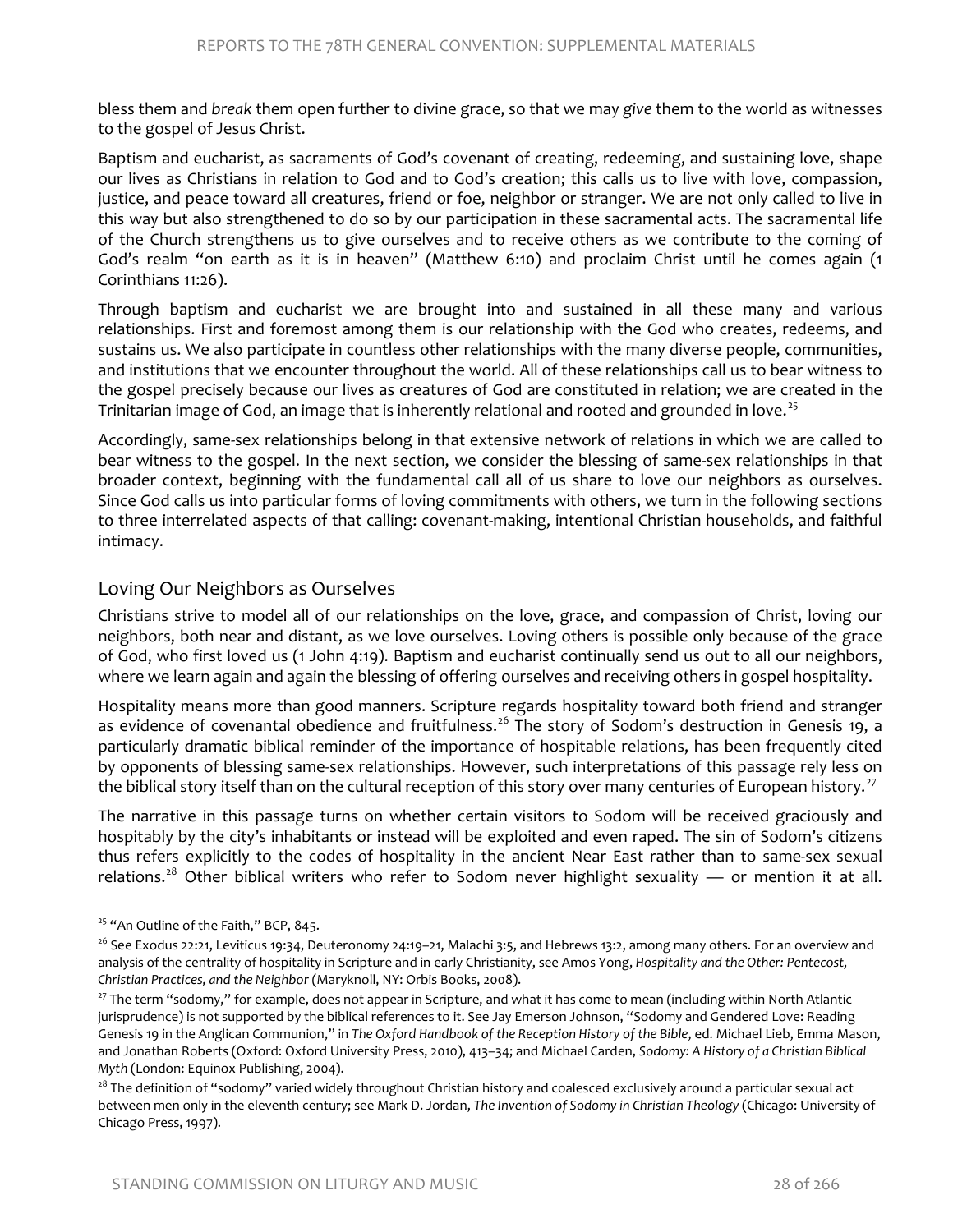bless them and *break* them open further to divine grace, so that we may *give* them to the world as witnesses to the gospel of Jesus Christ.

Baptism and eucharist, as sacraments of God's covenant of creating, redeeming, and sustaining love, shape our lives as Christians in relation to God and to God's creation; this calls us to live with love, compassion, justice, and peace toward all creatures, friend or foe, neighbor or stranger. We are not only called to live in this way but also strengthened to do so by our participation in these sacramental acts. The sacramental life of the Church strengthens us to give ourselves and to receive others as we contribute to the coming of God's realm "on earth as it is in heaven" (Matthew 6:10) and proclaim Christ until he comes again (1 Corinthians 11:26).

Through baptism and eucharist we are brought into and sustained in all these many and various relationships. First and foremost among them is our relationship with the God who creates, redeems, and sustains us. We also participate in countless other relationships with the many diverse people, communities, and institutions that we encounter throughout the world. All of these relationships call us to bear witness to the gospel precisely because our lives as creatures of God are constituted in relation; we are created in the Trinitarian image of God, an image that is inherently relational and rooted and grounded in love.<sup>[25](#page-14-0)</sup>

Accordingly, same-sex relationships belong in that extensive network of relations in which we are called to bear witness to the gospel. In the next section, we consider the blessing of same-sex relationships in that broader context, beginning with the fundamental call all of us share to love our neighbors as ourselves. Since God calls us into particular forms of loving commitments with others, we turn in the following sections to three interrelated aspects of that calling: covenant-making, intentional Christian households, and faithful intimacy.

#### Loving Our Neighbors as Ourselves

Christians strive to model all of our relationships on the love, grace, and compassion of Christ, loving our neighbors, both near and distant, as we love ourselves. Loving others is possible only because of the grace of God, who first loved us (1 John 4:19). Baptism and eucharist continually send us out to all our neighbors, where we learn again and again the blessing of offering ourselves and receiving others in gospel hospitality.

Hospitality means more than good manners. Scripture regards hospitality toward both friend and stranger as evidence of covenantal obedience and fruitfulness.<sup>[26](#page-14-1)</sup> The story of Sodom's destruction in Genesis 19, a particularly dramatic biblical reminder of the importance of hospitable relations, has been frequently cited by opponents of blessing same-sex relationships. However, such interpretations of this passage rely less on the biblical story itself than on the cultural reception of this story over many centuries of European history.<sup>[27](#page-14-2)</sup>

The narrative in this passage turns on whether certain visitors to Sodom will be received graciously and hospitably by the city's inhabitants or instead will be exploited and even raped. The sin of Sodom's citizens thus refers explicitly to the codes of hospitality in the ancient Near East rather than to same-sex sexual relations.<sup>[28](#page-14-3)</sup> Other biblical writers who refer to Sodom never highlight sexuality — or mention it at all.

<span id="page-14-2"></span><sup>27</sup> The term "sodomy," for example, does not appear in Scripture, and what it has come to mean (including within North Atlantic jurisprudence) is not supported by the biblical references to it. See Jay Emerson Johnson, "Sodomy and Gendered Love: Reading Genesis 19 in the Anglican Communion," in *The Oxford Handbook of the Reception History of the Bible*, ed. Michael Lieb, Emma Mason, and Jonathan Roberts (Oxford: Oxford University Press, 2010), 413–34; and Michael Carden, *Sodomy: A History of a Christian Biblical Myth* (London: Equinox Publishing, 2004).

<span id="page-14-3"></span><sup>28</sup> The definition of "sodomy" varied widely throughout Christian history and coalesced exclusively around a particular sexual act between men only in the eleventh century; see Mark D. Jordan, *The Invention of Sodomy in Christian Theology* (Chicago: University of Chicago Press, 1997).

<span id="page-14-0"></span><sup>&</sup>lt;sup>25</sup> "An Outline of the Faith," BCP, 845.

<span id="page-14-1"></span> $26$  See Exodus 22:21, Leviticus 19:34, Deuteronomy 24:19–21, Malachi 3:5, and Hebrews 13:2, among many others. For an overview and analysis of the centrality of hospitality in Scripture and in early Christianity, see Amos Yong, *Hospitality and the Other: Pentecost, Christian Practices, and the Neighbor* (Maryknoll, NY: Orbis Books, 2008).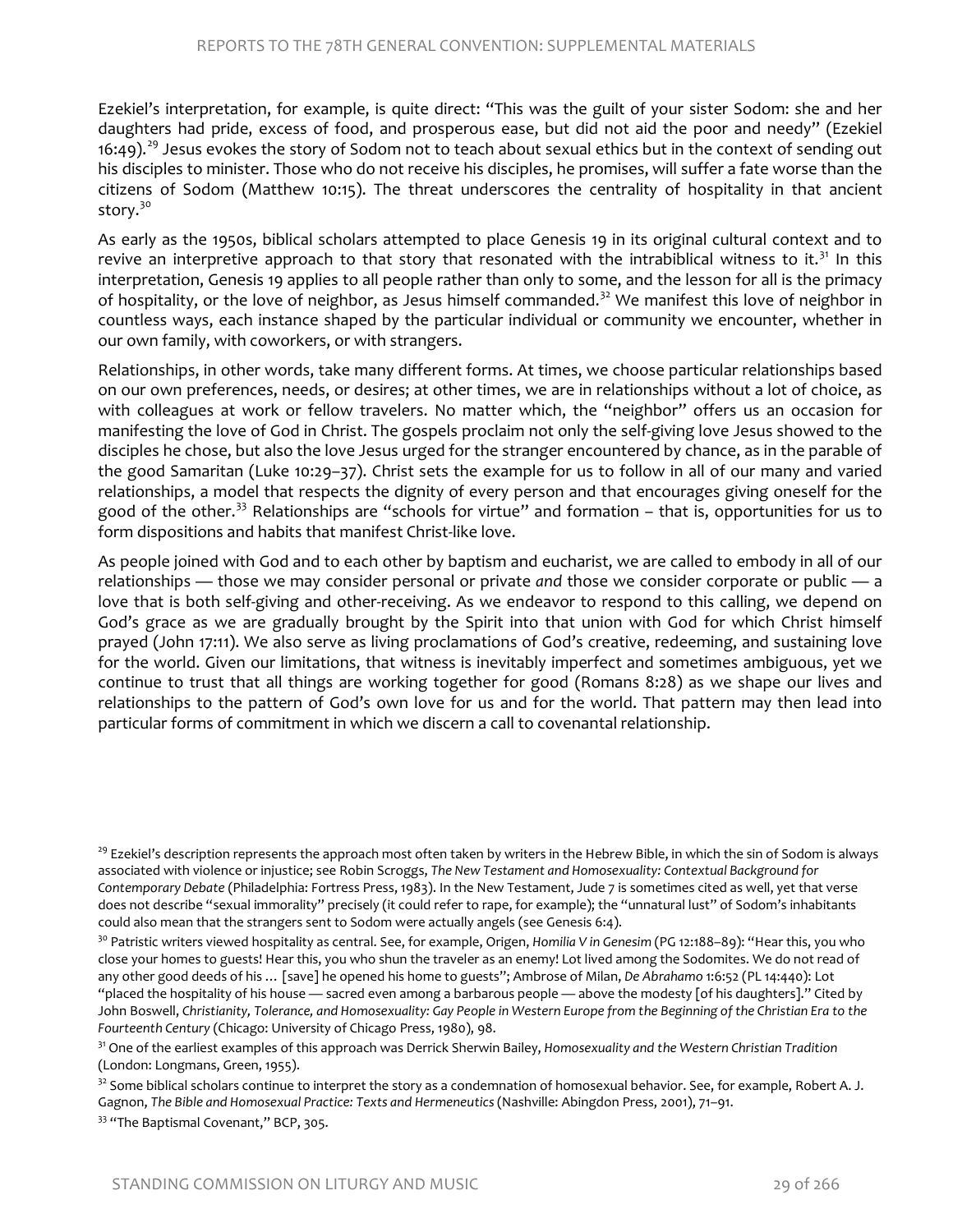Ezekiel's interpretation, for example, is quite direct: "This was the guilt of your sister Sodom: she and her daughters had pride, excess of food, and prosperous ease, but did not aid the poor and needy" (Ezekiel 16:49).<sup>[29](#page-15-0)</sup> Jesus evokes the story of Sodom not to teach about sexual ethics but in the context of sending out his disciples to minister. Those who do not receive his disciples, he promises, will suffer a fate worse than the citizens of Sodom (Matthew 10:15). The threat underscores the centrality of hospitality in that ancient story.<sup>[30](#page-15-1)</sup>

As early as the 1950s, biblical scholars attempted to place Genesis 19 in its original cultural context and to revive an interpretive approach to that story that resonated with the intrabiblical witness to it.<sup>[31](#page-15-2)</sup> In this interpretation, Genesis 19 applies to all people rather than only to some, and the lesson for all is the primacy of hospitality, or the love of neighbor, as Jesus himself commanded.<sup>[32](#page-15-3)</sup> We manifest this love of neighbor in countless ways, each instance shaped by the particular individual or community we encounter, whether in our own family, with coworkers, or with strangers.

Relationships, in other words, take many different forms. At times, we choose particular relationships based on our own preferences, needs, or desires; at other times, we are in relationships without a lot of choice, as with colleagues at work or fellow travelers. No matter which, the "neighbor" offers us an occasion for manifesting the love of God in Christ. The gospels proclaim not only the self-giving love Jesus showed to the disciples he chose, but also the love Jesus urged for the stranger encountered by chance, as in the parable of the good Samaritan (Luke 10:29–37). Christ sets the example for us to follow in all of our many and varied relationships, a model that respects the dignity of every person and that encourages giving oneself for the good of the other.<sup>[33](#page-15-4)</sup> Relationships are "schools for virtue" and formation  $-$  that is, opportunities for us to form dispositions and habits that manifest Christ-like love.

As people joined with God and to each other by baptism and eucharist, we are called to embody in all of our relationships — those we may consider personal or private *and* those we consider corporate or public — a love that is both self-giving and other-receiving. As we endeavor to respond to this calling, we depend on God's grace as we are gradually brought by the Spirit into that union with God for which Christ himself prayed (John 17:11). We also serve as living proclamations of God's creative, redeeming, and sustaining love for the world. Given our limitations, that witness is inevitably imperfect and sometimes ambiguous, yet we continue to trust that all things are working together for good (Romans 8:28) as we shape our lives and relationships to the pattern of God's own love for us and for the world. That pattern may then lead into particular forms of commitment in which we discern a call to covenantal relationship.

<span id="page-15-0"></span><sup>&</sup>lt;sup>29</sup> Ezekiel's description represents the approach most often taken by writers in the Hebrew Bible, in which the sin of Sodom is always associated with violence or injustice; see Robin Scroggs, *The New Testament and Homosexuality: Contextual Background for Contemporary Debate* (Philadelphia: Fortress Press, 1983). In the New Testament, Jude 7 is sometimes cited as well, yet that verse does not describe "sexual immorality" precisely (it could refer to rape, for example); the "unnatural lust" of Sodom's inhabitants could also mean that the strangers sent to Sodom were actually angels (see Genesis 6:4).

<span id="page-15-1"></span><sup>30</sup> Patristic writers viewed hospitality as central. See, for example, Origen, *Homilia V in Genesim* (PG 12:188–89): "Hear this, you who close your homes to guests! Hear this, you who shun the traveler as an enemy! Lot lived among the Sodomites. We do not read of any other good deeds of his … [save] he opened his home to guests"; Ambrose of Milan, *De Abrahamo* 1:6:52 (PL 14:440): Lot "placed the hospitality of his house — sacred even among a barbarous people — above the modesty [of his daughters]." Cited by John Boswell, *Christianity, Tolerance, and Homosexuality: Gay People in Western Europe from the Beginning of the Christian Era to the Fourteenth Century* (Chicago: University of Chicago Press, 1980), 98.

<span id="page-15-2"></span><sup>31</sup> One of the earliest examples of this approach was Derrick Sherwin Bailey, *Homosexuality and the Western Christian Tradition* (London: Longmans, Green, 1955).

<span id="page-15-3"></span> $32$  Some biblical scholars continue to interpret the story as a condemnation of homosexual behavior. See, for example, Robert A. J. Gagnon, *The Bible and Homosexual Practice: Texts and Hermeneutics* (Nashville: Abingdon Press, 2001), 71–91.

<span id="page-15-4"></span><sup>&</sup>lt;sup>33</sup> "The Baptismal Covenant," BCP, 305.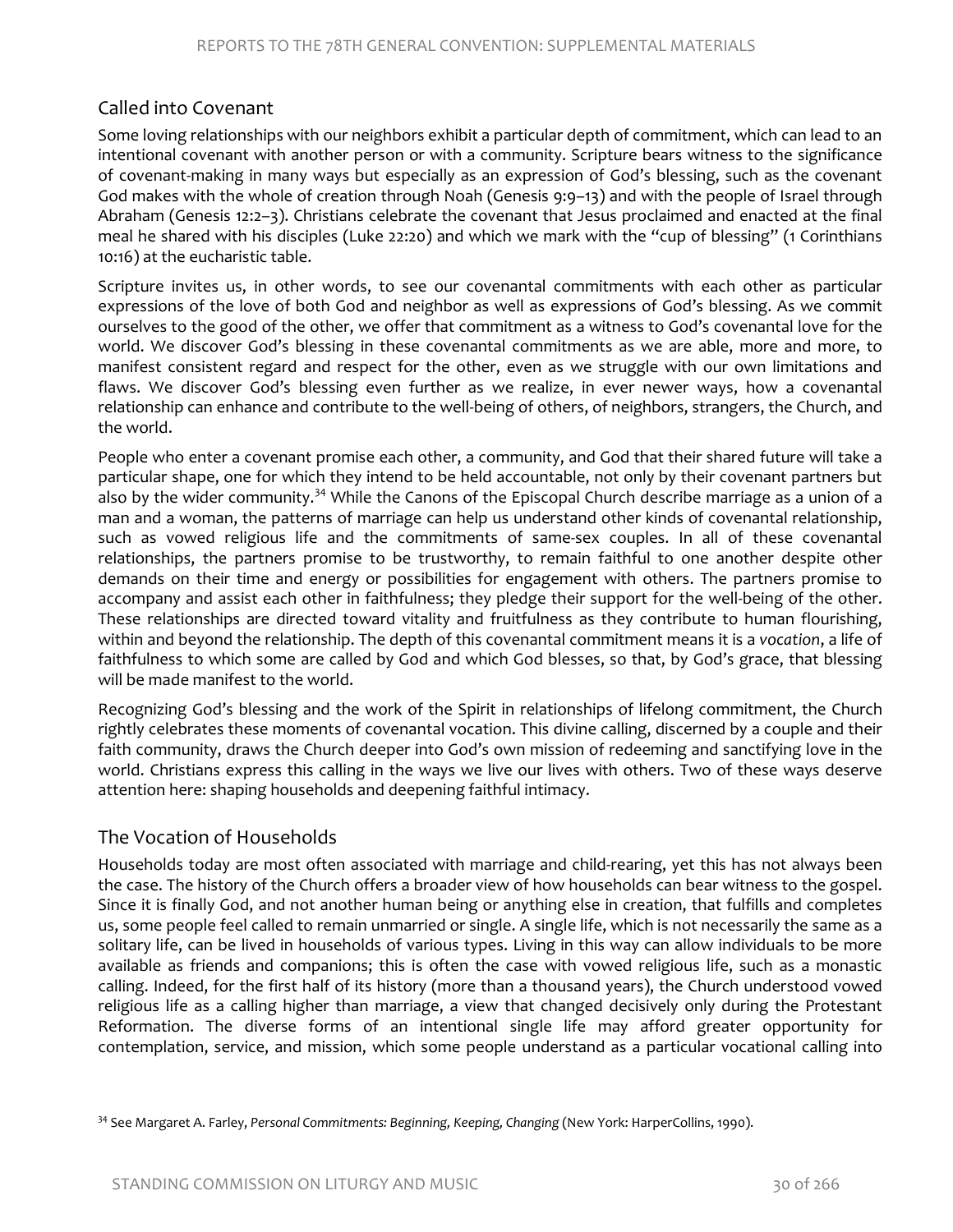#### Called into Covenant

Some loving relationships with our neighbors exhibit a particular depth of commitment, which can lead to an intentional covenant with another person or with a community. Scripture bears witness to the significance of covenant-making in many ways but especially as an expression of God's blessing, such as the covenant God makes with the whole of creation through Noah (Genesis 9:9–13) and with the people of Israel through Abraham (Genesis 12:2–3). Christians celebrate the covenant that Jesus proclaimed and enacted at the final meal he shared with his disciples (Luke 22:20) and which we mark with the "cup of blessing" (1 Corinthians 10:16) at the eucharistic table.

Scripture invites us, in other words, to see our covenantal commitments with each other as particular expressions of the love of both God and neighbor as well as expressions of God's blessing. As we commit ourselves to the good of the other, we offer that commitment as a witness to God's covenantal love for the world. We discover God's blessing in these covenantal commitments as we are able, more and more, to manifest consistent regard and respect for the other, even as we struggle with our own limitations and flaws. We discover God's blessing even further as we realize, in ever newer ways, how a covenantal relationship can enhance and contribute to the well-being of others, of neighbors, strangers, the Church, and the world.

People who enter a covenant promise each other, a community, and God that their shared future will take a particular shape, one for which they intend to be held accountable, not only by their covenant partners but also by the wider community.<sup>[34](#page-16-0)</sup> While the Canons of the Episcopal Church describe marriage as a union of a man and a woman, the patterns of marriage can help us understand other kinds of covenantal relationship, such as vowed religious life and the commitments of same-sex couples. In all of these covenantal relationships, the partners promise to be trustworthy, to remain faithful to one another despite other demands on their time and energy or possibilities for engagement with others. The partners promise to accompany and assist each other in faithfulness; they pledge their support for the well-being of the other. These relationships are directed toward vitality and fruitfulness as they contribute to human flourishing, within and beyond the relationship. The depth of this covenantal commitment means it is a *vocation*, a life of faithfulness to which some are called by God and which God blesses, so that, by God's grace, that blessing will be made manifest to the world.

Recognizing God's blessing and the work of the Spirit in relationships of lifelong commitment, the Church rightly celebrates these moments of covenantal vocation. This divine calling, discerned by a couple and their faith community, draws the Church deeper into God's own mission of redeeming and sanctifying love in the world. Christians express this calling in the ways we live our lives with others. Two of these ways deserve attention here: shaping households and deepening faithful intimacy.

#### The Vocation of Households

Households today are most often associated with marriage and child-rearing, yet this has not always been the case. The history of the Church offers a broader view of how households can bear witness to the gospel. Since it is finally God, and not another human being or anything else in creation, that fulfills and completes us, some people feel called to remain unmarried or single. A single life, which is not necessarily the same as a solitary life, can be lived in households of various types. Living in this way can allow individuals to be more available as friends and companions; this is often the case with vowed religious life, such as a monastic calling. Indeed, for the first half of its history (more than a thousand years), the Church understood vowed religious life as a calling higher than marriage, a view that changed decisively only during the Protestant Reformation. The diverse forms of an intentional single life may afford greater opportunity for contemplation, service, and mission, which some people understand as a particular vocational calling into

<span id="page-16-0"></span><sup>34</sup> See Margaret A. Farley, *Personal Commitments: Beginning, Keeping, Changing* (New York: HarperCollins, 1990).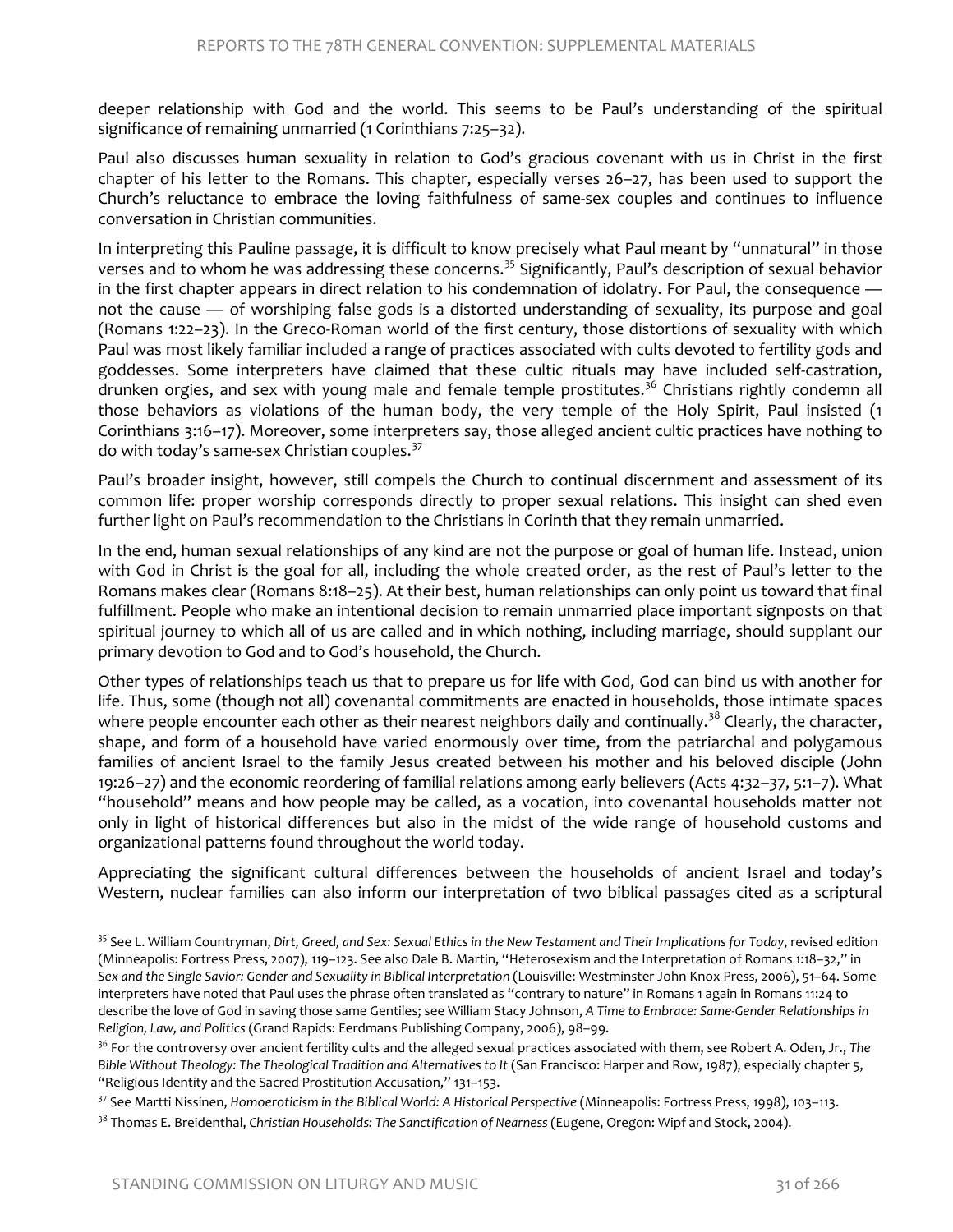deeper relationship with God and the world. This seems to be Paul's understanding of the spiritual significance of remaining unmarried (1 Corinthians 7:25–32).

Paul also discusses human sexuality in relation to God's gracious covenant with us in Christ in the first chapter of his letter to the Romans. This chapter, especially verses 26–27, has been used to support the Church's reluctance to embrace the loving faithfulness of same-sex couples and continues to influence conversation in Christian communities.

In interpreting this Pauline passage, it is difficult to know precisely what Paul meant by "unnatural" in those verses and to whom he was addressing these concerns.<sup>[35](#page-17-0)</sup> Significantly, Paul's description of sexual behavior in the first chapter appears in direct relation to his condemnation of idolatry. For Paul, the consequence not the cause — of worshiping false gods is a distorted understanding of sexuality, its purpose and goal (Romans 1:22–23). In the Greco-Roman world of the first century, those distortions of sexuality with which Paul was most likely familiar included a range of practices associated with cults devoted to fertility gods and goddesses. Some interpreters have claimed that these cultic rituals may have included self-castration, drunken orgies, and sex with young male and female temple prostitutes.<sup>[36](#page-17-1)</sup> Christians rightly condemn all those behaviors as violations of the human body, the very temple of the Holy Spirit, Paul insisted (1 Corinthians 3:16–17). Moreover, some interpreters say, those alleged ancient cultic practices have nothing to do with today's same-sex Christian couples. [37](#page-17-2)

Paul's broader insight, however, still compels the Church to continual discernment and assessment of its common life: proper worship corresponds directly to proper sexual relations. This insight can shed even further light on Paul's recommendation to the Christians in Corinth that they remain unmarried.

In the end, human sexual relationships of any kind are not the purpose or goal of human life. Instead, union with God in Christ is the goal for all, including the whole created order, as the rest of Paul's letter to the Romans makes clear (Romans 8:18–25). At their best, human relationships can only point us toward that final fulfillment. People who make an intentional decision to remain unmarried place important signposts on that spiritual journey to which all of us are called and in which nothing, including marriage, should supplant our primary devotion to God and to God's household, the Church.

Other types of relationships teach us that to prepare us for life with God, God can bind us with another for life. Thus, some (though not all) covenantal commitments are enacted in households, those intimate spaces where people encounter each other as their nearest neighbors daily and continually.<sup>[38](#page-17-3)</sup> Clearly, the character, shape, and form of a household have varied enormously over time, from the patriarchal and polygamous families of ancient Israel to the family Jesus created between his mother and his beloved disciple (John 19:26–27) and the economic reordering of familial relations among early believers (Acts 4:32–37, 5:1–7). What "household" means and how people may be called, as a vocation, into covenantal households matter not only in light of historical differences but also in the midst of the wide range of household customs and organizational patterns found throughout the world today.

Appreciating the significant cultural differences between the households of ancient Israel and today's Western, nuclear families can also inform our interpretation of two biblical passages cited as a scriptural

<span id="page-17-0"></span><sup>35</sup> See L. William Countryman, *Dirt, Greed, and Sex: Sexual Ethics in the New Testament and Their Implications for Today*, revised edition (Minneapolis: Fortress Press, 2007), 119–123. See also Dale B. Martin, "Heterosexism and the Interpretation of Romans 1:18–32," in *Sex and the Single Savior: Gender and Sexuality in Biblical Interpretation* (Louisville: Westminster John Knox Press, 2006), 51–64. Some interpreters have noted that Paul uses the phrase often translated as "contrary to nature" in Romans 1 again in Romans 11:24 to describe the love of God in saving those same Gentiles; see William Stacy Johnson, *A Time to Embrace: Same-Gender Relationships in Religion, Law, and Politics* (Grand Rapids: Eerdmans Publishing Company, 2006), 98–99.

<span id="page-17-1"></span><sup>36</sup> For the controversy over ancient fertility cults and the alleged sexual practices associated with them, see Robert A. Oden, Jr., *The Bible Without Theology: The Theological Tradition and Alternatives to It* (San Francisco: Harper and Row, 1987), especially chapter 5, "Religious Identity and the Sacred Prostitution Accusation," 131–153.

<span id="page-17-2"></span><sup>37</sup> See Martti Nissinen, *Homoeroticism in the Biblical World: A Historical Perspective* (Minneapolis: Fortress Press, 1998), 103–113.

<span id="page-17-3"></span><sup>38</sup> Thomas E. Breidenthal, *Christian Households: The Sanctification of Nearness* (Eugene, Oregon: Wipf and Stock, 2004).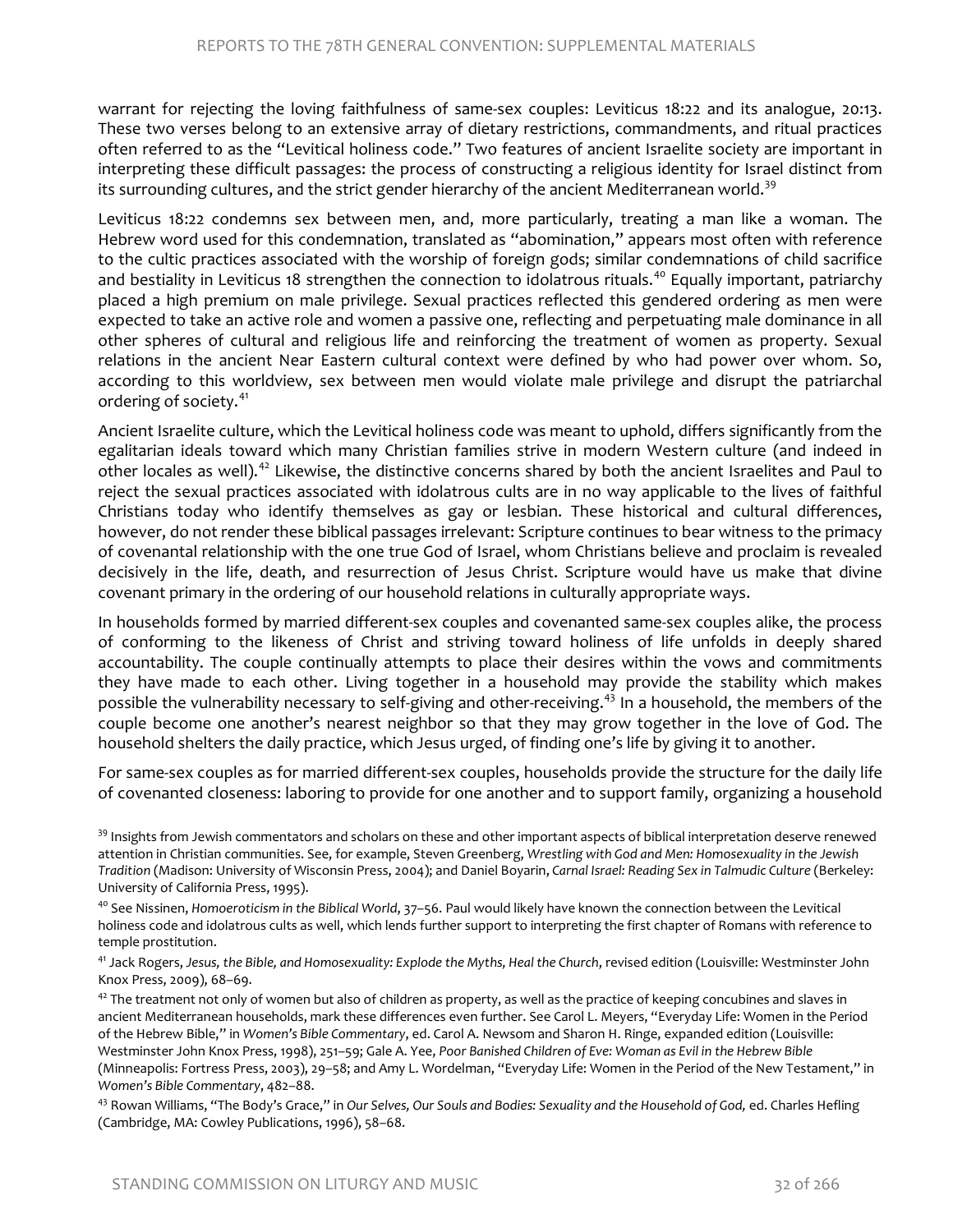warrant for rejecting the loving faithfulness of same-sex couples: Leviticus 18:22 and its analogue, 20:13. These two verses belong to an extensive array of dietary restrictions, commandments, and ritual practices often referred to as the "Levitical holiness code." Two features of ancient Israelite society are important in interpreting these difficult passages: the process of constructing a religious identity for Israel distinct from its surrounding cultures, and the strict gender hierarchy of the ancient Mediterranean world.<sup>39</sup>

Leviticus 18:22 condemns sex between men, and, more particularly, treating a man like a woman. The Hebrew word used for this condemnation, translated as "abomination," appears most often with reference to the cultic practices associated with the worship of foreign gods; similar condemnations of child sacrifice and bestiality in Leviticus 18 strengthen the connection to idolatrous rituals.<sup>[40](#page-18-1)</sup> Equally important, patriarchy placed a high premium on male privilege. Sexual practices reflected this gendered ordering as men were expected to take an active role and women a passive one, reflecting and perpetuating male dominance in all other spheres of cultural and religious life and reinforcing the treatment of women as property. Sexual relations in the ancient Near Eastern cultural context were defined by who had power over whom. So, according to this worldview, sex between men would violate male privilege and disrupt the patriarchal ordering of society.<sup>[41](#page-18-2)</sup>

Ancient Israelite culture, which the Levitical holiness code was meant to uphold, differs significantly from the egalitarian ideals toward which many Christian families strive in modern Western culture (and indeed in other locales as well).<sup>[42](#page-18-3)</sup> Likewise, the distinctive concerns shared by both the ancient Israelites and Paul to reject the sexual practices associated with idolatrous cults are in no way applicable to the lives of faithful Christians today who identify themselves as gay or lesbian. These historical and cultural differences, however, do not render these biblical passages irrelevant: Scripture continues to bear witness to the primacy of covenantal relationship with the one true God of Israel, whom Christians believe and proclaim is revealed decisively in the life, death, and resurrection of Jesus Christ. Scripture would have us make that divine covenant primary in the ordering of our household relations in culturally appropriate ways.

In households formed by married different-sex couples and covenanted same-sex couples alike, the process of conforming to the likeness of Christ and striving toward holiness of life unfolds in deeply shared accountability. The couple continually attempts to place their desires within the vows and commitments they have made to each other. Living together in a household may provide the stability which makes possible the vulnerability necessary to self-giving and other-receiving.<sup>[43](#page-18-4)</sup> In a household, the members of the couple become one another's nearest neighbor so that they may grow together in the love of God. The household shelters the daily practice, which Jesus urged, of finding one's life by giving it to another.

For same-sex couples as for married different-sex couples, households provide the structure for the daily life of covenanted closeness: laboring to provide for one another and to support family, organizing a household

<span id="page-18-0"></span> $39$  Insights from Jewish commentators and scholars on these and other important aspects of biblical interpretation deserve renewed attention in Christian communities. See, for example, Steven Greenberg, *Wrestling with God and Men: Homosexuality in the Jewish Tradition* (Madison: University of Wisconsin Press, 2004); and Daniel Boyarin, *Carnal Israel: Reading Sex in Talmudic Culture* (Berkeley: University of California Press, 1995).

<span id="page-18-1"></span><sup>40</sup> See Nissinen, *Homoeroticism in the Biblical World*, 37–56. Paul would likely have known the connection between the Levitical holiness code and idolatrous cults as well, which lends further support to interpreting the first chapter of Romans with reference to temple prostitution.

<span id="page-18-2"></span><sup>41</sup> Jack Rogers, *Jesus, the Bible, and Homosexuality: Explode the Myths, Heal the Church*, revised edition (Louisville: Westminster John Knox Press, 2009), 68–69.

<span id="page-18-3"></span> $42$  The treatment not only of women but also of children as property, as well as the practice of keeping concubines and slaves in ancient Mediterranean households, mark these differences even further. See Carol L. Meyers, "Everyday Life: Women in the Period of the Hebrew Bible," in *Women's Bible Commentary*, ed. Carol A. Newsom and Sharon H. Ringe, expanded edition (Louisville: Westminster John Knox Press, 1998), 251–59; Gale A. Yee, *Poor Banished Children of Eve: Woman as Evil in the Hebrew Bible* (Minneapolis: Fortress Press, 2003), 29–58; and Amy L. Wordelman, "Everyday Life: Women in the Period of the New Testament," in *Women's Bible Commentary*, 482–88.

<span id="page-18-4"></span><sup>43</sup> Rowan Williams, "The Body's Grace," in *Our Selves, Our Souls and Bodies: Sexuality and the Household of God,* ed. Charles Hefling (Cambridge, MA: Cowley Publications, 1996), 58–68.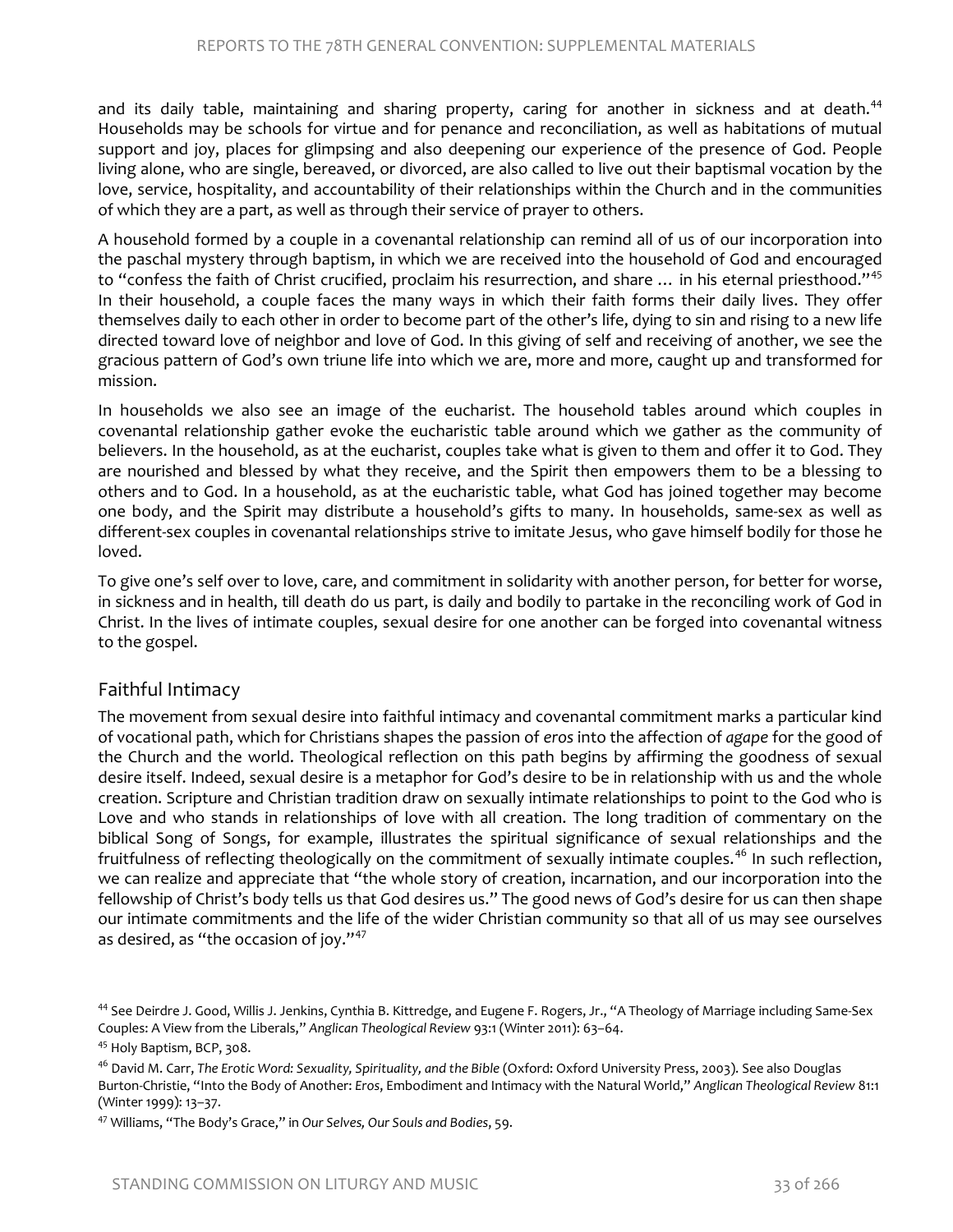and its daily table, maintaining and sharing property, caring for another in sickness and at death.<sup>[44](#page-19-0)</sup> Households may be schools for virtue and for penance and reconciliation, as well as habitations of mutual support and joy, places for glimpsing and also deepening our experience of the presence of God. People living alone, who are single, bereaved, or divorced, are also called to live out their baptismal vocation by the love, service, hospitality, and accountability of their relationships within the Church and in the communities of which they are a part, as well as through their service of prayer to others.

A household formed by a couple in a covenantal relationship can remind all of us of our incorporation into the paschal mystery through baptism, in which we are received into the household of God and encouraged to "confess the faith of Christ crucified, proclaim his resurrection, and share ... in his eternal priesthood."<sup>[45](#page-19-1)</sup> In their household, a couple faces the many ways in which their faith forms their daily lives. They offer themselves daily to each other in order to become part of the other's life, dying to sin and rising to a new life directed toward love of neighbor and love of God. In this giving of self and receiving of another, we see the gracious pattern of God's own triune life into which we are, more and more, caught up and transformed for mission.

In households we also see an image of the eucharist. The household tables around which couples in covenantal relationship gather evoke the eucharistic table around which we gather as the community of believers. In the household, as at the eucharist, couples take what is given to them and offer it to God. They are nourished and blessed by what they receive, and the Spirit then empowers them to be a blessing to others and to God. In a household, as at the eucharistic table, what God has joined together may become one body, and the Spirit may distribute a household's gifts to many. In households, same-sex as well as different-sex couples in covenantal relationships strive to imitate Jesus, who gave himself bodily for those he loved.

To give one's self over to love, care, and commitment in solidarity with another person, for better for worse, in sickness and in health, till death do us part, is daily and bodily to partake in the reconciling work of God in Christ. In the lives of intimate couples, sexual desire for one another can be forged into covenantal witness to the gospel.

#### Faithful Intimacy

The movement from sexual desire into faithful intimacy and covenantal commitment marks a particular kind of vocational path, which for Christians shapes the passion of *eros* into the affection of *agape* for the good of the Church and the world. Theological reflection on this path begins by affirming the goodness of sexual desire itself. Indeed, sexual desire is a metaphor for God's desire to be in relationship with us and the whole creation. Scripture and Christian tradition draw on sexually intimate relationships to point to the God who is Love and who stands in relationships of love with all creation. The long tradition of commentary on the biblical Song of Songs, for example, illustrates the spiritual significance of sexual relationships and the fruitfulness of reflecting theologically on the commitment of sexually intimate couples.<sup>[46](#page-19-2)</sup> In such reflection, we can realize and appreciate that "the whole story of creation, incarnation, and our incorporation into the fellowship of Christ's body tells us that God desires us." The good news of God's desire for us can then shape our intimate commitments and the life of the wider Christian community so that all of us may see ourselves as desired, as "the occasion of joy."<sup>[47](#page-19-3)</sup>

<span id="page-19-0"></span><sup>&</sup>lt;sup>44</sup> See Deirdre J. Good, Willis J. Jenkins, Cynthia B. Kittredge, and Eugene F. Rogers, Jr., "A Theology of Marriage including Same-Sex Couples: A View from the Liberals," *Anglican Theological Review* 93:1 (Winter 2011): 63–64.

<span id="page-19-1"></span><sup>&</sup>lt;sup>45</sup> Holy Baptism, BCP, 308.

<span id="page-19-2"></span><sup>46</sup> David M. Carr, *The Erotic Word: Sexuality, Spirituality, and the Bible* (Oxford: Oxford University Press, 2003). See also Douglas Burton-Christie, "Into the Body of Another: *Eros*, Embodiment and Intimacy with the Natural World," *Anglican Theological Review* 81:1 (Winter 1999): 13–37.

<span id="page-19-3"></span><sup>47</sup> Williams, "The Body's Grace," in *Our Selves, Our Souls and Bodies*, 59.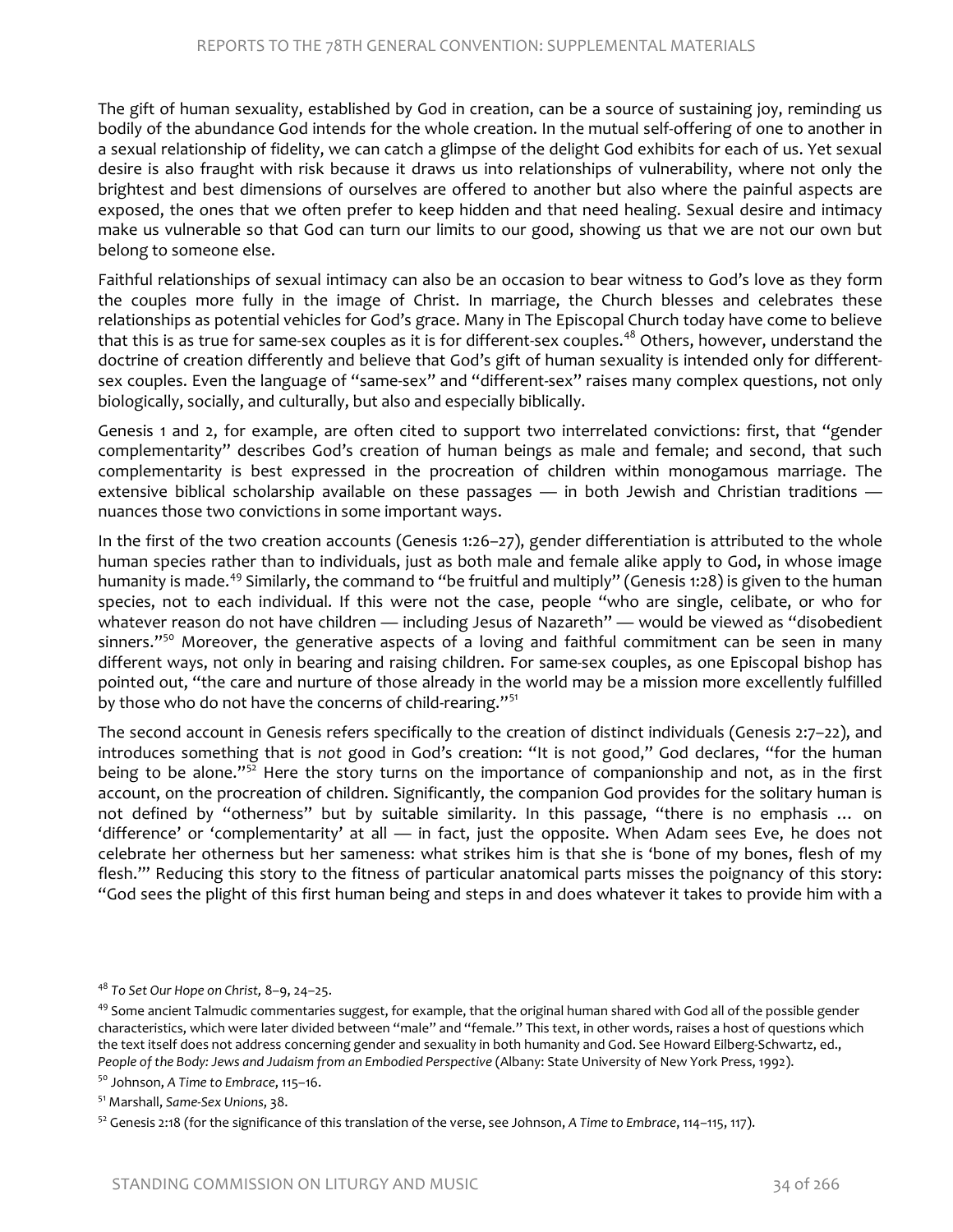The gift of human sexuality, established by God in creation, can be a source of sustaining joy, reminding us bodily of the abundance God intends for the whole creation. In the mutual self-offering of one to another in a sexual relationship of fidelity, we can catch a glimpse of the delight God exhibits for each of us. Yet sexual desire is also fraught with risk because it draws us into relationships of vulnerability, where not only the brightest and best dimensions of ourselves are offered to another but also where the painful aspects are exposed, the ones that we often prefer to keep hidden and that need healing. Sexual desire and intimacy make us vulnerable so that God can turn our limits to our good, showing us that we are not our own but belong to someone else.

Faithful relationships of sexual intimacy can also be an occasion to bear witness to God's love as they form the couples more fully in the image of Christ. In marriage, the Church blesses and celebrates these relationships as potential vehicles for God's grace. Many in The Episcopal Church today have come to believe that this is as true for same-sex couples as it is for different-sex couples.<sup>[48](#page-20-0)</sup> Others, however, understand the doctrine of creation differently and believe that God's gift of human sexuality is intended only for differentsex couples. Even the language of "same-sex" and "different-sex" raises many complex questions, not only biologically, socially, and culturally, but also and especially biblically.

Genesis 1 and 2, for example, are often cited to support two interrelated convictions: first, that "gender complementarity" describes God's creation of human beings as male and female; and second, that such complementarity is best expressed in the procreation of children within monogamous marriage. The extensive biblical scholarship available on these passages - in both Jewish and Christian traditions nuances those two convictions in some important ways.

In the first of the two creation accounts (Genesis 1:26–27), gender differentiation is attributed to the whole human species rather than to individuals, just as both male and female alike apply to God, in whose image humanity is made.<sup>[49](#page-20-1)</sup> Similarly, the command to "be fruitful and multiply" (Genesis 1:28) is given to the human species, not to each individual. If this were not the case, people "who are single, celibate, or who for whatever reason do not have children - including Jesus of Nazareth" - would be viewed as "disobedient sinners."<sup>[50](#page-20-2)</sup> Moreover, the generative aspects of a loving and faithful commitment can be seen in many different ways, not only in bearing and raising children. For same-sex couples, as one Episcopal bishop has pointed out, "the care and nurture of those already in the world may be a mission more excellently fulfilled by those who do not have the concerns of child-rearing."[51](#page-20-3)

The second account in Genesis refers specifically to the creation of distinct individuals (Genesis 2:7–22), and introduces something that is *not* good in God's creation: "It is not good," God declares, "for the human being to be alone." $5^{\overline{2}}$  Here the story turns on the importance of companionship and not, as in the first account, on the procreation of children. Significantly, the companion God provides for the solitary human is not defined by "otherness" but by suitable similarity. In this passage, "there is no emphasis … on 'difference' or 'complementarity' at all — in fact, just the opposite. When Adam sees Eve, he does not celebrate her otherness but her sameness: what strikes him is that she is 'bone of my bones, flesh of my flesh.'" Reducing this story to the fitness of particular anatomical parts misses the poignancy of this story: "God sees the plight of this first human being and steps in and does whatever it takes to provide him with a

<span id="page-20-0"></span><sup>48</sup> *To Set Our Hope on Christ,* 8–9, 24–25.

<span id="page-20-1"></span> $49$  Some ancient Talmudic commentaries suggest, for example, that the original human shared with God all of the possible gender characteristics, which were later divided between "male" and "female." This text, in other words, raises a host of questions which the text itself does not address concerning gender and sexuality in both humanity and God. See Howard Eilberg-Schwartz, ed., *People of the Body: Jews and Judaism from an Embodied Perspective* (Albany: State University of New York Press, 1992).

<span id="page-20-2"></span><sup>50</sup> Johnson, *A Time to Embrace*, 115–16.

<span id="page-20-3"></span><sup>51</sup> Marshall, *Same-Sex Unions*, 38.

<span id="page-20-4"></span><sup>52</sup> Genesis 2:18 (for the significance of this translation of the verse, see Johnson, *A Time to Embrace*, 114–115, 117).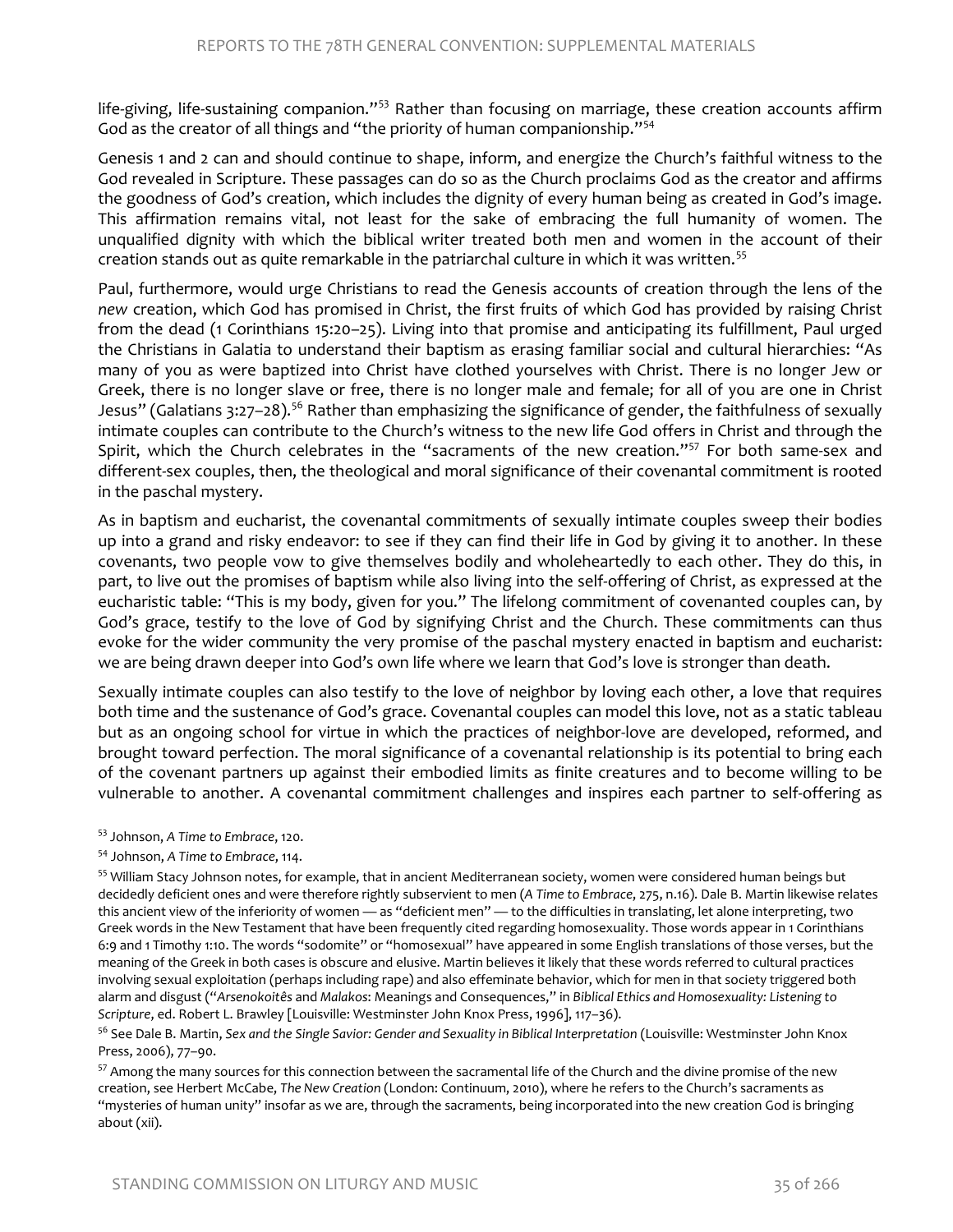life-giving, life-sustaining companion."<sup>[53](#page-21-0)</sup> Rather than focusing on marriage, these creation accounts affirm God as the creator of all things and "the priority of human companionship."[54](#page-21-1)

Genesis 1 and 2 can and should continue to shape, inform, and energize the Church's faithful witness to the God revealed in Scripture. These passages can do so as the Church proclaims God as the creator and affirms the goodness of God's creation, which includes the dignity of every human being as created in God's image. This affirmation remains vital, not least for the sake of embracing the full humanity of women. The unqualified dignity with which the biblical writer treated both men and women in the account of their creation stands out as quite remarkable in the patriarchal culture in which it was written.<sup>55</sup>

Paul, furthermore, would urge Christians to read the Genesis accounts of creation through the lens of the *new* creation, which God has promised in Christ, the first fruits of which God has provided by raising Christ from the dead (1 Corinthians 15:20–25). Living into that promise and anticipating its fulfillment, Paul urged the Christians in Galatia to understand their baptism as erasing familiar social and cultural hierarchies: "As many of you as were baptized into Christ have clothed yourselves with Christ. There is no longer Jew or Greek, there is no longer slave or free, there is no longer male and female; for all of you are one in Christ Jesus" (Galatians 3:27-28).<sup>[56](#page-21-3)</sup> Rather than emphasizing the significance of gender, the faithfulness of sexually intimate couples can contribute to the Church's witness to the new life God offers in Christ and through the Spirit, which the Church celebrates in the "sacraments of the new creation."<sup>[57](#page-21-4)</sup> For both same-sex and different-sex couples, then, the theological and moral significance of their covenantal commitment is rooted in the paschal mystery.

As in baptism and eucharist, the covenantal commitments of sexually intimate couples sweep their bodies up into a grand and risky endeavor: to see if they can find their life in God by giving it to another. In these covenants, two people vow to give themselves bodily and wholeheartedly to each other. They do this, in part, to live out the promises of baptism while also living into the self-offering of Christ, as expressed at the eucharistic table: "This is my body, given for you." The lifelong commitment of covenanted couples can, by God's grace, testify to the love of God by signifying Christ and the Church. These commitments can thus evoke for the wider community the very promise of the paschal mystery enacted in baptism and eucharist: we are being drawn deeper into God's own life where we learn that God's love is stronger than death.

Sexually intimate couples can also testify to the love of neighbor by loving each other, a love that requires both time and the sustenance of God's grace. Covenantal couples can model this love, not as a static tableau but as an ongoing school for virtue in which the practices of neighbor-love are developed, reformed, and brought toward perfection. The moral significance of a covenantal relationship is its potential to bring each of the covenant partners up against their embodied limits as finite creatures and to become willing to be vulnerable to another. A covenantal commitment challenges and inspires each partner to self-offering as

<span id="page-21-0"></span><sup>53</sup> Johnson, *A Time to Embrace*, 120.

<span id="page-21-2"></span><sup>55</sup> William Stacy Johnson notes, for example, that in ancient Mediterranean society, women were considered human beings but decidedly deficient ones and were therefore rightly subservient to men (*A Time to Embrace*, 275, n.16). Dale B. Martin likewise relates this ancient view of the inferiority of women — as "deficient men" — to the difficulties in translating, let alone interpreting, two Greek words in the New Testament that have been frequently cited regarding homosexuality. Those words appear in 1 Corinthians 6:9 and 1 Timothy 1:10. The words "sodomite" or "homosexual" have appeared in some English translations of those verses, but the meaning of the Greek in both cases is obscure and elusive. Martin believes it likely that these words referred to cultural practices involving sexual exploitation (perhaps including rape) and also effeminate behavior, which for men in that society triggered both alarm and disgust ("*Arsenokoitês* and *Malakos*: Meanings and Consequences," in *Biblical Ethics and Homosexuality: Listening to Scripture*, ed. Robert L. Brawley [Louisville: Westminster John Knox Press, 1996], 117–36).

<span id="page-21-3"></span><sup>56</sup> See Dale B. Martin, Sex and the Single Savior: Gender and Sexuality in Biblical Interpretation (Louisville: Westminster John Knox Press, 2006), 77–90.

<span id="page-21-4"></span><sup>57</sup> Among the many sources for this connection between the sacramental life of the Church and the divine promise of the new creation, see Herbert McCabe, *The New Creation* (London: Continuum, 2010), where he refers to the Church's sacraments as "mysteries of human unity" insofar as we are, through the sacraments, being incorporated into the new creation God is bringing about (xii).

<span id="page-21-1"></span><sup>54</sup> Johnson, *A Time to Embrace*, 114.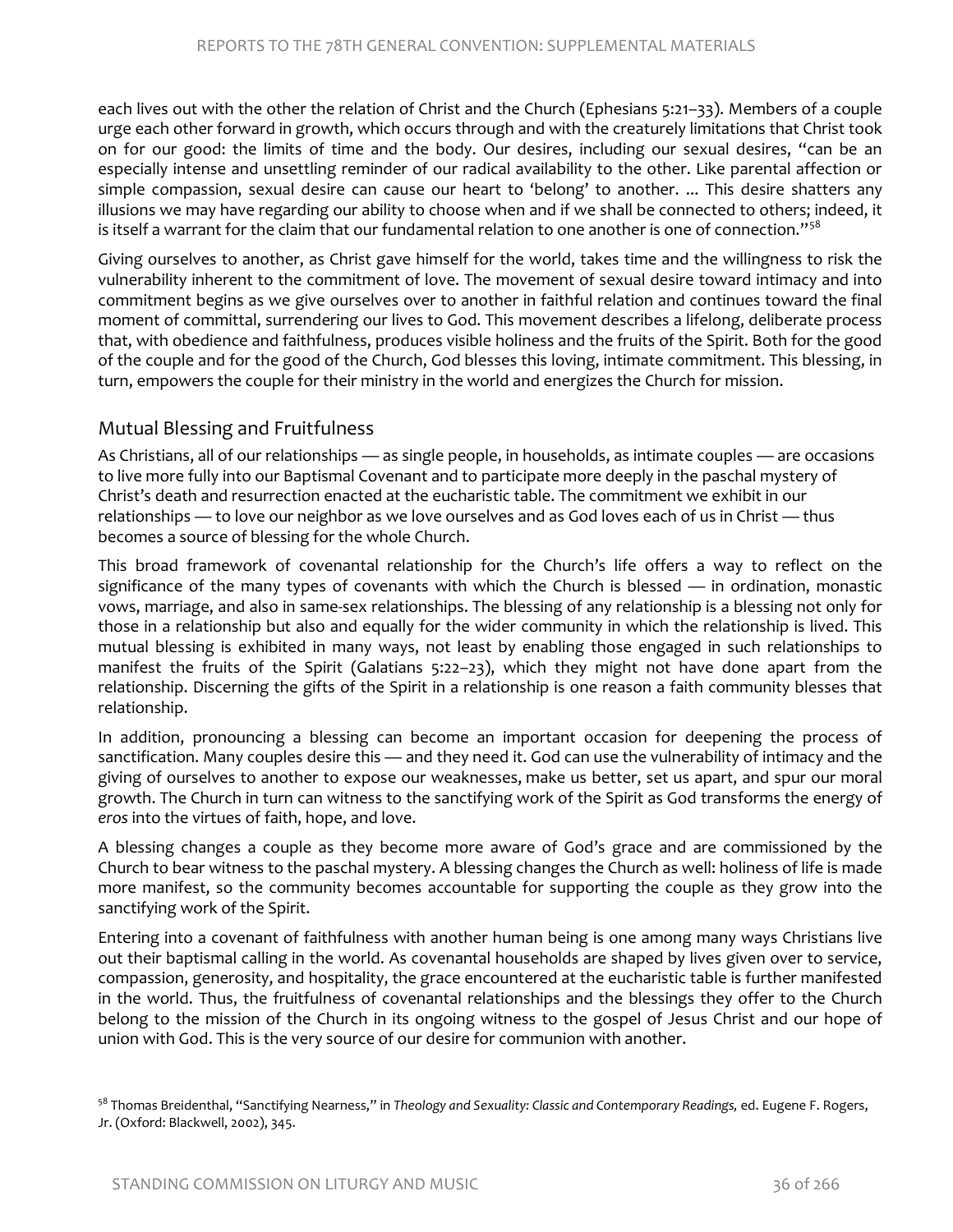each lives out with the other the relation of Christ and the Church (Ephesians 5:21–33). Members of a couple urge each other forward in growth, which occurs through and with the creaturely limitations that Christ took on for our good: the limits of time and the body. Our desires, including our sexual desires, "can be an especially intense and unsettling reminder of our radical availability to the other. Like parental affection or simple compassion, sexual desire can cause our heart to 'belong' to another. ... This desire shatters any illusions we may have regarding our ability to choose when and if we shall be connected to others; indeed, it is itself a warrant for the claim that our fundamental relation to one another is one of connection."<sup>[58](#page-22-0)</sup>

Giving ourselves to another, as Christ gave himself for the world, takes time and the willingness to risk the vulnerability inherent to the commitment of love. The movement of sexual desire toward intimacy and into commitment begins as we give ourselves over to another in faithful relation and continues toward the final moment of committal, surrendering our lives to God. This movement describes a lifelong, deliberate process that, with obedience and faithfulness, produces visible holiness and the fruits of the Spirit. Both for the good of the couple and for the good of the Church, God blesses this loving, intimate commitment. This blessing, in turn, empowers the couple for their ministry in the world and energizes the Church for mission.

#### Mutual Blessing and Fruitfulness

As Christians, all of our relationships — as single people, in households, as intimate couples — are occasions to live more fully into our Baptismal Covenant and to participate more deeply in the paschal mystery of Christ's death and resurrection enacted at the eucharistic table. The commitment we exhibit in our relationships — to love our neighbor as we love ourselves and as God loves each of us in Christ — thus becomes a source of blessing for the whole Church.

This broad framework of covenantal relationship for the Church's life offers a way to reflect on the significance of the many types of covenants with which the Church is blessed — in ordination, monastic vows, marriage, and also in same-sex relationships. The blessing of any relationship is a blessing not only for those in a relationship but also and equally for the wider community in which the relationship is lived. This mutual blessing is exhibited in many ways, not least by enabling those engaged in such relationships to manifest the fruits of the Spirit (Galatians 5:22–23), which they might not have done apart from the relationship. Discerning the gifts of the Spirit in a relationship is one reason a faith community blesses that relationship.

In addition, pronouncing a blessing can become an important occasion for deepening the process of sanctification. Many couples desire this — and they need it. God can use the vulnerability of intimacy and the giving of ourselves to another to expose our weaknesses, make us better, set us apart, and spur our moral growth. The Church in turn can witness to the sanctifying work of the Spirit as God transforms the energy of *eros* into the virtues of faith, hope, and love.

A blessing changes a couple as they become more aware of God's grace and are commissioned by the Church to bear witness to the paschal mystery. A blessing changes the Church as well: holiness of life is made more manifest, so the community becomes accountable for supporting the couple as they grow into the sanctifying work of the Spirit.

Entering into a covenant of faithfulness with another human being is one among many ways Christians live out their baptismal calling in the world. As covenantal households are shaped by lives given over to service, compassion, generosity, and hospitality, the grace encountered at the eucharistic table is further manifested in the world. Thus, the fruitfulness of covenantal relationships and the blessings they offer to the Church belong to the mission of the Church in its ongoing witness to the gospel of Jesus Christ and our hope of union with God. This is the very source of our desire for communion with another.

<span id="page-22-0"></span><sup>58</sup> Thomas Breidenthal, "Sanctifying Nearness," in *Theology and Sexuality: Classic and Contemporary Readings,* ed. Eugene F. Rogers, Jr. (Oxford: Blackwell, 2002), 345.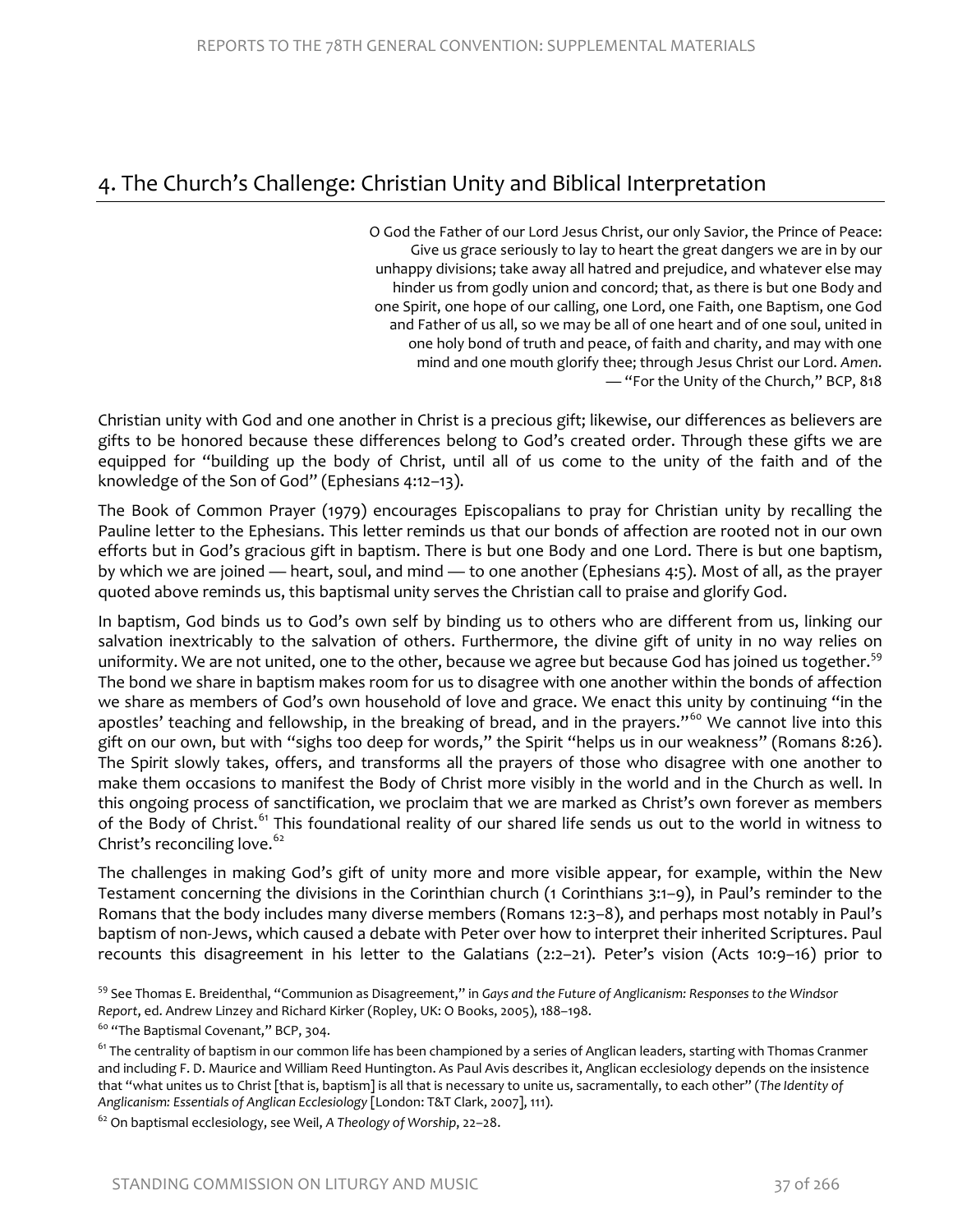# 4. The Church's Challenge: Christian Unity and Biblical Interpretation

O God the Father of our Lord Jesus Christ, our only Savior, the Prince of Peace: Give us grace seriously to lay to heart the great dangers we are in by our unhappy divisions; take away all hatred and prejudice, and whatever else may hinder us from godly union and concord; that, as there is but one Body and one Spirit, one hope of our calling, one Lord, one Faith, one Baptism, one God and Father of us all, so we may be all of one heart and of one soul, united in one holy bond of truth and peace, of faith and charity, and may with one mind and one mouth glorify thee; through Jesus Christ our Lord. *Amen*. — "For the Unity of the Church," BCP, 818

Christian unity with God and one another in Christ is a precious gift; likewise, our differences as believers are gifts to be honored because these differences belong to God's created order. Through these gifts we are equipped for "building up the body of Christ, until all of us come to the unity of the faith and of the knowledge of the Son of God" (Ephesians 4:12–13).

The Book of Common Prayer (1979) encourages Episcopalians to pray for Christian unity by recalling the Pauline letter to the Ephesians. This letter reminds us that our bonds of affection are rooted not in our own efforts but in God's gracious gift in baptism. There is but one Body and one Lord. There is but one baptism, by which we are joined — heart, soul, and mind — to one another (Ephesians 4:5). Most of all, as the prayer quoted above reminds us, this baptismal unity serves the Christian call to praise and glorify God.

In baptism, God binds us to God's own self by binding us to others who are different from us, linking our salvation inextricably to the salvation of others. Furthermore, the divine gift of unity in no way relies on uniformity. We are not united, one to the other, because we agree but because God has joined us together.<sup>[59](#page-23-0)</sup> The bond we share in baptism makes room for us to disagree with one another within the bonds of affection we share as members of God's own household of love and grace. We enact this unity by continuing "in the apostles' teaching and fellowship, in the breaking of bread, and in the prayers."<sup>[60](#page-23-1)</sup> We cannot live into this gift on our own, but with "sighs too deep for words," the Spirit "helps us in our weakness" (Romans 8:26). The Spirit slowly takes, offers, and transforms all the prayers of those who disagree with one another to make them occasions to manifest the Body of Christ more visibly in the world and in the Church as well. In this ongoing process of sanctification, we proclaim that we are marked as Christ's own forever as members of the Body of Christ.<sup>[61](#page-23-2)</sup> This foundational reality of our shared life sends us out to the world in witness to Christ's reconciling love.<sup>[62](#page-23-3)</sup>

The challenges in making God's gift of unity more and more visible appear, for example, within the New Testament concerning the divisions in the Corinthian church (1 Corinthians 3:1–9), in Paul's reminder to the Romans that the body includes many diverse members (Romans 12:3–8), and perhaps most notably in Paul's baptism of non-Jews, which caused a debate with Peter over how to interpret their inherited Scriptures. Paul recounts this disagreement in his letter to the Galatians (2:2–21). Peter's vision (Acts 10:9–16) prior to

<span id="page-23-1"></span><sup>60</sup> "The Baptismal Covenant," BCP, 304.

<span id="page-23-3"></span><sup>62</sup> On baptismal ecclesiology, see Weil, *A Theology of Worship*, 22–28.

<span id="page-23-0"></span><sup>59</sup> See Thomas E. Breidenthal, "Communion as Disagreement," in *Gays and the Future of Anglicanism: Responses to the Windsor Report*, ed. Andrew Linzey and Richard Kirker (Ropley, UK: O Books, 2005), 188–198.

<span id="page-23-2"></span><sup>&</sup>lt;sup>61</sup> The centrality of baptism in our common life has been championed by a series of Anglican leaders, starting with Thomas Cranmer and including F. D. Maurice and William Reed Huntington. As Paul Avis describes it, Anglican ecclesiology depends on the insistence that "what unites us to Christ [that is, baptism] is all that is necessary to unite us, sacramentally, to each other" (*The Identity of Anglicanism: Essentials of Anglican Ecclesiology* [London: T&T Clark, 2007], 111).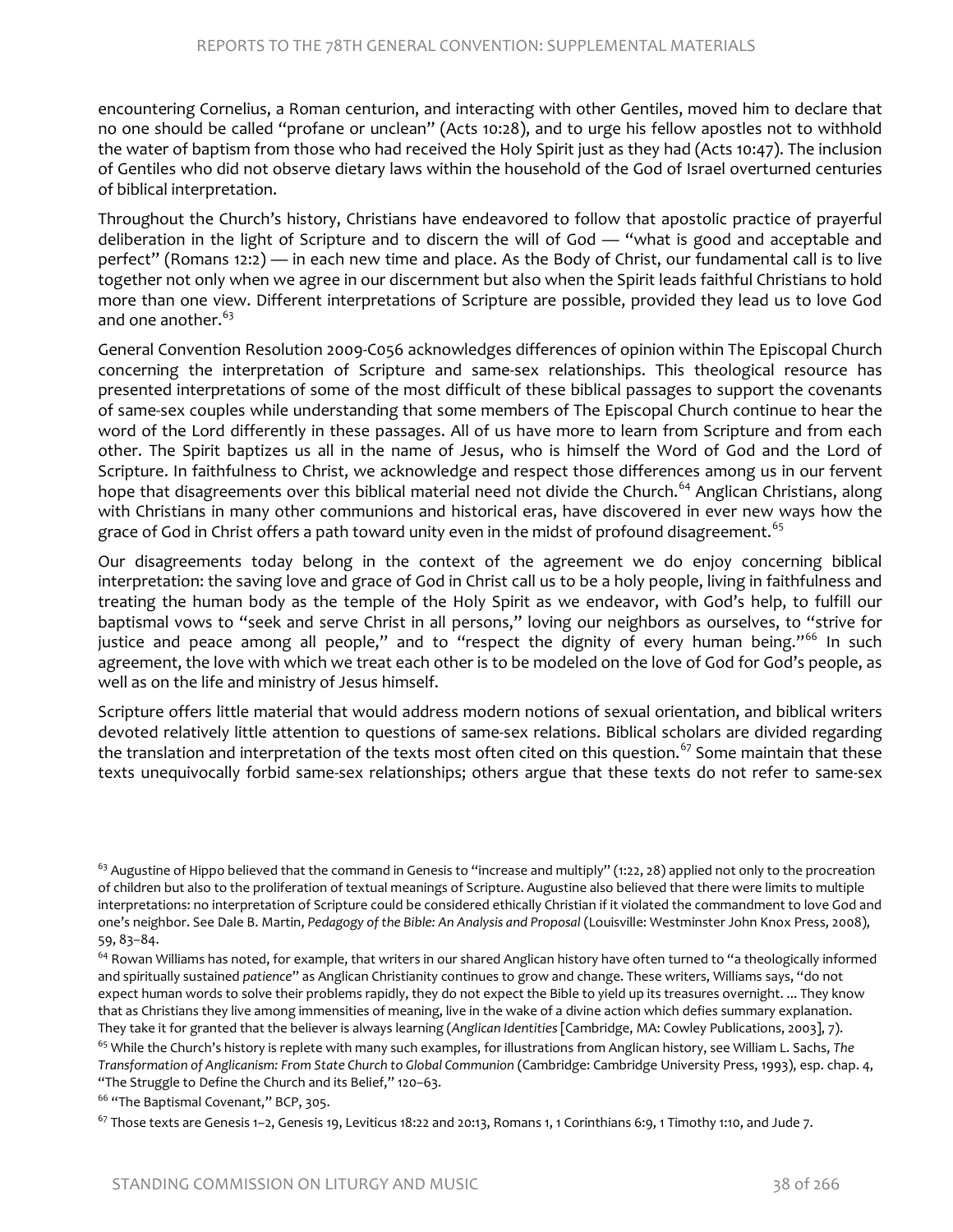encountering Cornelius, a Roman centurion, and interacting with other Gentiles, moved him to declare that no one should be called "profane or unclean" (Acts 10:28), and to urge his fellow apostles not to withhold the water of baptism from those who had received the Holy Spirit just as they had (Acts 10:47). The inclusion of Gentiles who did not observe dietary laws within the household of the God of Israel overturned centuries of biblical interpretation.

Throughout the Church's history, Christians have endeavored to follow that apostolic practice of prayerful deliberation in the light of Scripture and to discern the will of God — "what is good and acceptable and perfect" (Romans 12:2) — in each new time and place. As the Body of Christ, our fundamental call is to live together not only when we agree in our discernment but also when the Spirit leads faithful Christians to hold more than one view. Different interpretations of Scripture are possible, provided they lead us to love God and one another.  $63$ 

General Convention Resolution 2009-C056 acknowledges differences of opinion within The Episcopal Church concerning the interpretation of Scripture and same-sex relationships. This theological resource has presented interpretations of some of the most difficult of these biblical passages to support the covenants of same-sex couples while understanding that some members of The Episcopal Church continue to hear the word of the Lord differently in these passages. All of us have more to learn from Scripture and from each other. The Spirit baptizes us all in the name of Jesus, who is himself the Word of God and the Lord of Scripture. In faithfulness to Christ, we acknowledge and respect those differences among us in our fervent hope that disagreements over this biblical material need not divide the Church.<sup>[64](#page-24-1)</sup> Anglican Christians, along with Christians in many other communions and historical eras, have discovered in ever new ways how the grace of God in Christ offers a path toward unity even in the midst of profound disagreement.<sup>65</sup>

Our disagreements today belong in the context of the agreement we do enjoy concerning biblical interpretation: the saving love and grace of God in Christ call us to be a holy people, living in faithfulness and treating the human body as the temple of the Holy Spirit as we endeavor, with God's help, to fulfill our baptismal vows to "seek and serve Christ in all persons," loving our neighbors as ourselves, to "strive for justice and peace among all people," and to "respect the dignity of every human being."<sup>[66](#page-24-3)</sup> In such agreement, the love with which we treat each other is to be modeled on the love of God for God's people, as well as on the life and ministry of Jesus himself.

Scripture offers little material that would address modern notions of sexual orientation, and biblical writers devoted relatively little attention to questions of same-sex relations. Biblical scholars are divided regarding the translation and interpretation of the texts most often cited on this question.<sup>[67](#page-24-4)</sup> Some maintain that these texts unequivocally forbid same-sex relationships; others argue that these texts do not refer to same-sex

<span id="page-24-2"></span><sup>65</sup> While the Church's history is replete with many such examples, for illustrations from Anglican history, see William L. Sachs, *The Transformation of Anglicanism: From State Church to Global Communion* (Cambridge: Cambridge University Press, 1993), esp. chap. 4, "The Struggle to Define the Church and its Belief," 120–63.

<span id="page-24-3"></span><sup>66</sup> "The Baptismal Covenant," BCP, 305.

<span id="page-24-4"></span> $^{67}$  Those texts are Genesis 1–2, Genesis 19, Leviticus 18:22 and 20:13, Romans 1, 1 Corinthians 6:9, 1 Timothy 1:10, and Jude 7.

<span id="page-24-0"></span> $^{63}$  Augustine of Hippo believed that the command in Genesis to "increase and multiply" (1:22, 28) applied not only to the procreation of children but also to the proliferation of textual meanings of Scripture. Augustine also believed that there were limits to multiple interpretations: no interpretation of Scripture could be considered ethically Christian if it violated the commandment to love God and one's neighbor. See Dale B. Martin, *Pedagogy of the Bible: An Analysis and Proposal* (Louisville: Westminster John Knox Press, 2008), 59, 83–84.

<span id="page-24-1"></span><sup>&</sup>lt;sup>64</sup> Rowan Williams has noted, for example, that writers in our shared Anglican history have often turned to "a theologically informed and spiritually sustained *patience*" as Anglican Christianity continues to grow and change. These writers, Williams says, "do not expect human words to solve their problems rapidly, they do not expect the Bible to yield up its treasures overnight. ... They know that as Christians they live among immensities of meaning, live in the wake of a divine action which defies summary explanation. They take it for granted that the believer is always learning (*Anglican Identities* [Cambridge, MA: Cowley Publications, 2003], 7).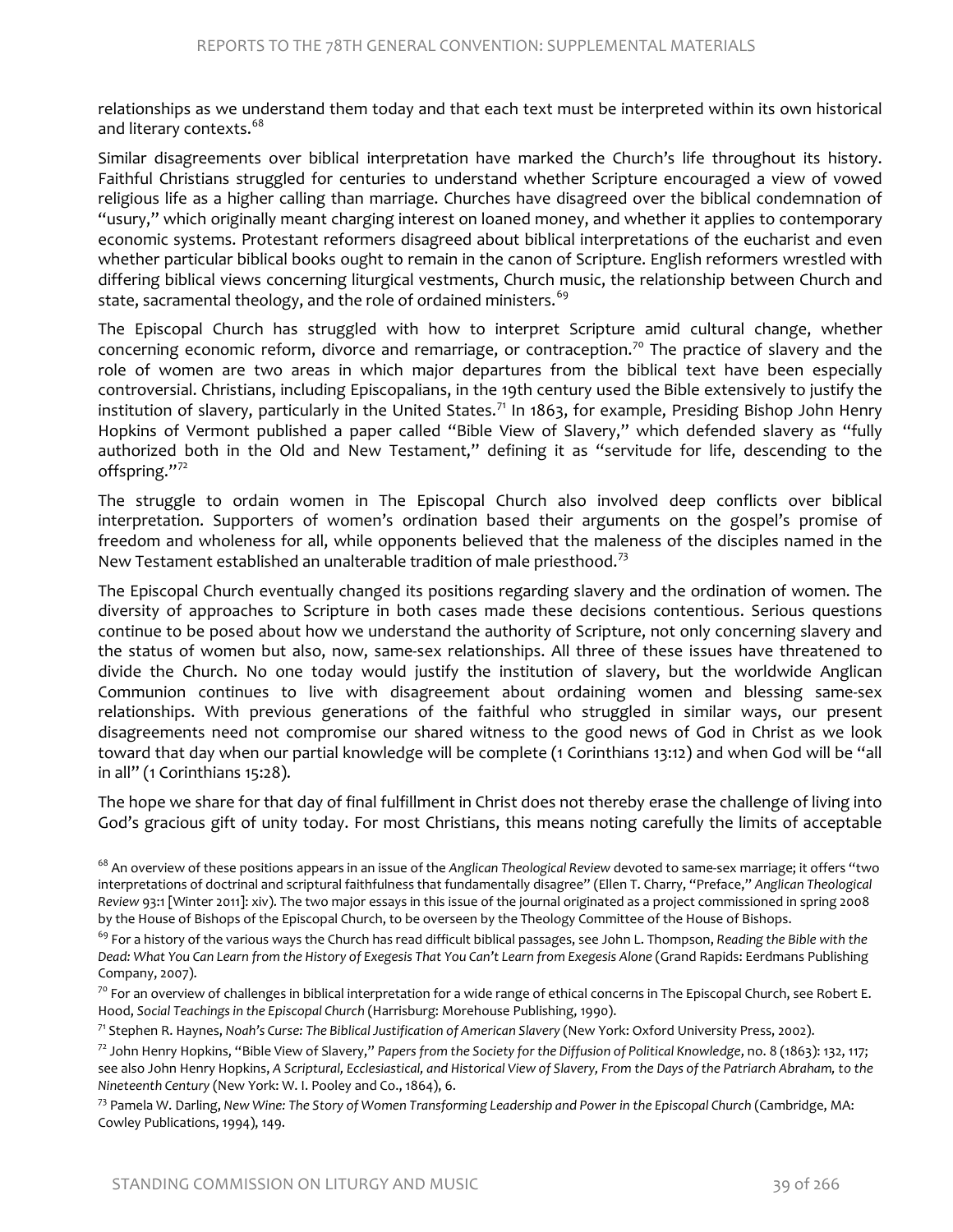relationships as we understand them today and that each text must be interpreted within its own historical and literary contexts.<sup>[68](#page-25-0)</sup>

Similar disagreements over biblical interpretation have marked the Church's life throughout its history. Faithful Christians struggled for centuries to understand whether Scripture encouraged a view of vowed religious life as a higher calling than marriage. Churches have disagreed over the biblical condemnation of "usury," which originally meant charging interest on loaned money, and whether it applies to contemporary economic systems. Protestant reformers disagreed about biblical interpretations of the eucharist and even whether particular biblical books ought to remain in the canon of Scripture. English reformers wrestled with differing biblical views concerning liturgical vestments, Church music, the relationship between Church and state, sacramental theology, and the role of ordained ministers.<sup>[69](#page-25-1)</sup>

The Episcopal Church has struggled with how to interpret Scripture amid cultural change, whether concerning economic reform, divorce and remarriage, or contraception.<sup>[70](#page-25-2)</sup> The practice of slavery and the role of women are two areas in which major departures from the biblical text have been especially controversial. Christians, including Episcopalians, in the 19th century used the Bible extensively to justify the institution of slavery, particularly in the United States.<sup>[71](#page-25-3)</sup> In 1863, for example, Presiding Bishop John Henry Hopkins of Vermont published a paper called "Bible View of Slavery," which defended slavery as "fully authorized both in the Old and New Testament," defining it as "servitude for life, descending to the offspring."[72](#page-25-4)

The struggle to ordain women in The Episcopal Church also involved deep conflicts over biblical interpretation. Supporters of women's ordination based their arguments on the gospel's promise of freedom and wholeness for all, while opponents believed that the maleness of the disciples named in the New Testament established an unalterable tradition of male priesthood.<sup>[73](#page-25-5)</sup>

The Episcopal Church eventually changed its positions regarding slavery and the ordination of women. The diversity of approaches to Scripture in both cases made these decisions contentious. Serious questions continue to be posed about how we understand the authority of Scripture, not only concerning slavery and the status of women but also, now, same-sex relationships. All three of these issues have threatened to divide the Church. No one today would justify the institution of slavery, but the worldwide Anglican Communion continues to live with disagreement about ordaining women and blessing same-sex relationships. With previous generations of the faithful who struggled in similar ways, our present disagreements need not compromise our shared witness to the good news of God in Christ as we look toward that day when our partial knowledge will be complete (1 Corinthians 13:12) and when God will be "all in all" (1 Corinthians 15:28).

The hope we share for that day of final fulfillment in Christ does not thereby erase the challenge of living into God's gracious gift of unity today. For most Christians, this means noting carefully the limits of acceptable

<span id="page-25-0"></span><sup>68</sup> An overview of these positions appears in an issue of the *Anglican Theological Review* devoted to same-sex marriage; it offers "two interpretations of doctrinal and scriptural faithfulness that fundamentally disagree" (Ellen T. Charry, "Preface," *Anglican Theological Review* 93:1 [Winter 2011]: xiv). The two major essays in this issue of the journal originated as a project commissioned in spring 2008 by the House of Bishops of the Episcopal Church, to be overseen by the Theology Committee of the House of Bishops.<br><sup>69</sup> For a history of the various ways the Church has read difficult biblical passages, see John L. Thompso

<span id="page-25-3"></span>

<span id="page-25-4"></span><sup>72</sup> John Henry Hopkins, "Bible View of Slavery," *Papers from the Society for the Diffusion of Political Knowledge*, no. 8 (1863): 132, 117; see also John Henry Hopkins, *A Scriptural, Ecclesiastical, and Historical View of Slavery, From the Days of the Patriarch Abraham, to the Nineteenth Century* (New York: W. I. Pooley and Co., 1864), 6.

<span id="page-25-5"></span><sup>73</sup> Pamela W. Darling, *New Wine: The Story of Women Transforming Leadership and Power in the Episcopal Church* (Cambridge, MA: Cowley Publications, 1994), 149.

<span id="page-25-1"></span>*Dead: What You Can Learn from the History of Exegesis That You Can't Learn from Exegesis Alone* (Grand Rapids: Eerdmans Publishing Company, 2007).

<span id="page-25-2"></span> $70$  For an overview of challenges in biblical interpretation for a wide range of ethical concerns in The Episcopal Church, see Robert E. Hood, Social Teachings in the Episcopal Church (Harrisburg: Morehouse Publishing, 1990).<br><sup>71</sup> Stephen R. Haynes, Noah's Curse: The Biblical Justification of American Slavery (New York: Oxford University Press, 2002).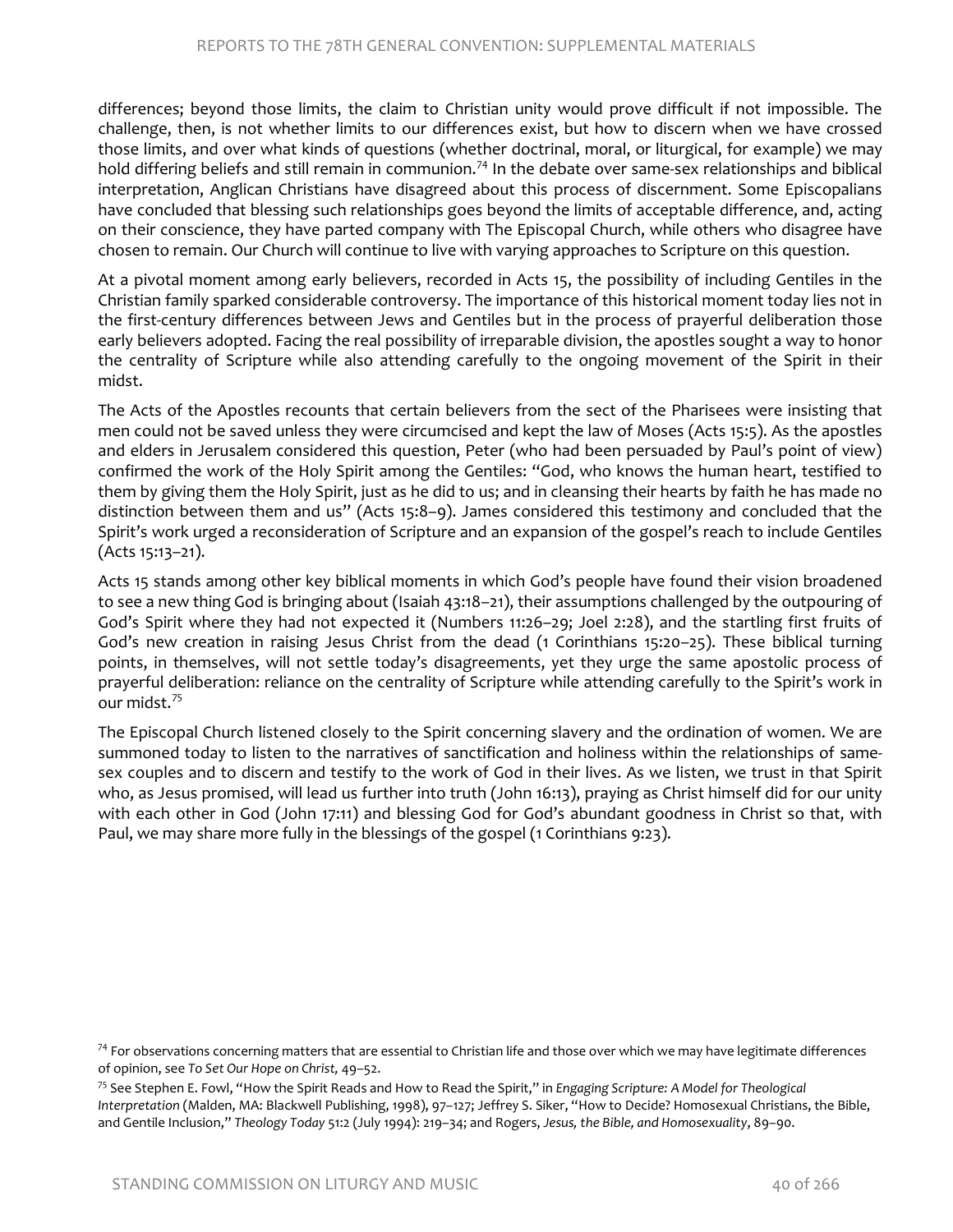differences; beyond those limits, the claim to Christian unity would prove difficult if not impossible. The challenge, then, is not whether limits to our differences exist, but how to discern when we have crossed those limits, and over what kinds of questions (whether doctrinal, moral, or liturgical, for example) we may hold differing beliefs and still remain in communion.<sup>[74](#page-26-0)</sup> In the debate over same-sex relationships and biblical interpretation, Anglican Christians have disagreed about this process of discernment. Some Episcopalians have concluded that blessing such relationships goes beyond the limits of acceptable difference, and, acting on their conscience, they have parted company with The Episcopal Church, while others who disagree have chosen to remain. Our Church will continue to live with varying approaches to Scripture on this question.

At a pivotal moment among early believers, recorded in Acts 15, the possibility of including Gentiles in the Christian family sparked considerable controversy. The importance of this historical moment today lies not in the first-century differences between Jews and Gentiles but in the process of prayerful deliberation those early believers adopted. Facing the real possibility of irreparable division, the apostles sought a way to honor the centrality of Scripture while also attending carefully to the ongoing movement of the Spirit in their midst.

The Acts of the Apostles recounts that certain believers from the sect of the Pharisees were insisting that men could not be saved unless they were circumcised and kept the law of Moses (Acts 15:5). As the apostles and elders in Jerusalem considered this question, Peter (who had been persuaded by Paul's point of view) confirmed the work of the Holy Spirit among the Gentiles: "God, who knows the human heart, testified to them by giving them the Holy Spirit, just as he did to us; and in cleansing their hearts by faith he has made no distinction between them and us" (Acts 15:8–9). James considered this testimony and concluded that the Spirit's work urged a reconsideration of Scripture and an expansion of the gospel's reach to include Gentiles (Acts 15:13–21).

Acts 15 stands among other key biblical moments in which God's people have found their vision broadened to see a new thing God is bringing about (Isaiah 43:18–21), their assumptions challenged by the outpouring of God's Spirit where they had not expected it (Numbers 11:26–29; Joel 2:28), and the startling first fruits of God's new creation in raising Jesus Christ from the dead (1 Corinthians 15:20–25). These biblical turning points, in themselves, will not settle today's disagreements, yet they urge the same apostolic process of prayerful deliberation: reliance on the centrality of Scripture while attending carefully to the Spirit's work in our midst.[75](#page-26-1)

The Episcopal Church listened closely to the Spirit concerning slavery and the ordination of women. We are summoned today to listen to the narratives of sanctification and holiness within the relationships of samesex couples and to discern and testify to the work of God in their lives. As we listen, we trust in that Spirit who, as Jesus promised, will lead us further into truth (John 16:13), praying as Christ himself did for our unity with each other in God (John 17:11) and blessing God for God's abundant goodness in Christ so that, with Paul, we may share more fully in the blessings of the gospel (1 Corinthians 9:23).

<span id="page-26-0"></span> $74$  For observations concerning matters that are essential to Christian life and those over which we may have legitimate differences of opinion, see *To Set Our Hope on Christ,* 49–52.

<span id="page-26-1"></span><sup>75</sup> See Stephen E. Fowl, "How the Spirit Reads and How to Read the Spirit," in *Engaging Scripture: A Model for Theological Interpretation* (Malden, MA: Blackwell Publishing, 1998), 97–127; Jeffrey S. Siker, "How to Decide? Homosexual Christians, the Bible, and Gentile Inclusion," *Theology Today* 51:2 (July 1994): 219–34; and Rogers, *Jesus, the Bible, and Homosexuality*, 89–90.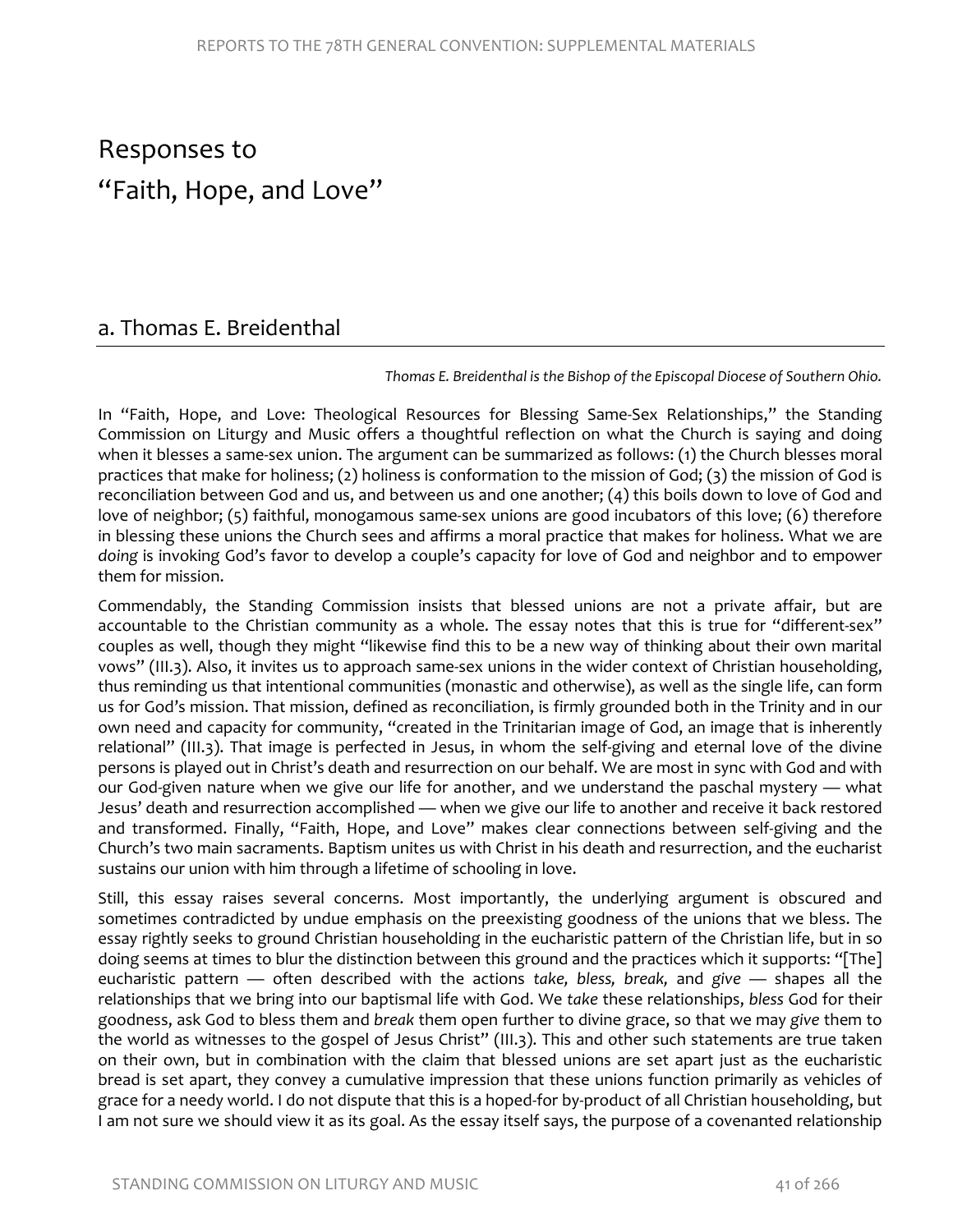# Responses to "Faith, Hope, and Love"

# a. Thomas E. Breidenthal

*Thomas E. Breidenthal is the Bishop of the Episcopal Diocese of Southern Ohio.* 

In "Faith, Hope, and Love: Theological Resources for Blessing Same-Sex Relationships," the Standing Commission on Liturgy and Music offers a thoughtful reflection on what the Church is saying and doing when it blesses a same-sex union. The argument can be summarized as follows: (1) the Church blesses moral practices that make for holiness; (2) holiness is conformation to the mission of God; (3) the mission of God is reconciliation between God and us, and between us and one another; (4) this boils down to love of God and love of neighbor; (5) faithful, monogamous same-sex unions are good incubators of this love; (6) therefore in blessing these unions the Church sees and affirms a moral practice that makes for holiness. What we are *doing* is invoking God's favor to develop a couple's capacity for love of God and neighbor and to empower them for mission.

Commendably, the Standing Commission insists that blessed unions are not a private affair, but are accountable to the Christian community as a whole. The essay notes that this is true for "different-sex" couples as well, though they might "likewise find this to be a new way of thinking about their own marital vows" (III.3). Also, it invites us to approach same-sex unions in the wider context of Christian householding, thus reminding us that intentional communities (monastic and otherwise), as well as the single life, can form us for God's mission. That mission, defined as reconciliation, is firmly grounded both in the Trinity and in our own need and capacity for community, "created in the Trinitarian image of God, an image that is inherently relational" (III.3). That image is perfected in Jesus, in whom the self-giving and eternal love of the divine persons is played out in Christ's death and resurrection on our behalf. We are most in sync with God and with our God-given nature when we give our life for another, and we understand the paschal mystery — what Jesus' death and resurrection accomplished — when we give our life to another and receive it back restored and transformed. Finally, "Faith, Hope, and Love" makes clear connections between self-giving and the Church's two main sacraments. Baptism unites us with Christ in his death and resurrection, and the eucharist sustains our union with him through a lifetime of schooling in love.

Still, this essay raises several concerns. Most importantly, the underlying argument is obscured and sometimes contradicted by undue emphasis on the preexisting goodness of the unions that we bless. The essay rightly seeks to ground Christian householding in the eucharistic pattern of the Christian life, but in so doing seems at times to blur the distinction between this ground and the practices which it supports: "[The] eucharistic pattern — often described with the actions *take, bless, break,* and *give* — shapes all the relationships that we bring into our baptismal life with God. We *take* these relationships, *bless* God for their goodness, ask God to bless them and *break* them open further to divine grace, so that we may *give* them to the world as witnesses to the gospel of Jesus Christ" (III.3). This and other such statements are true taken on their own, but in combination with the claim that blessed unions are set apart just as the eucharistic bread is set apart, they convey a cumulative impression that these unions function primarily as vehicles of grace for a needy world. I do not dispute that this is a hoped-for by-product of all Christian householding, but I am not sure we should view it as its goal. As the essay itself says, the purpose of a covenanted relationship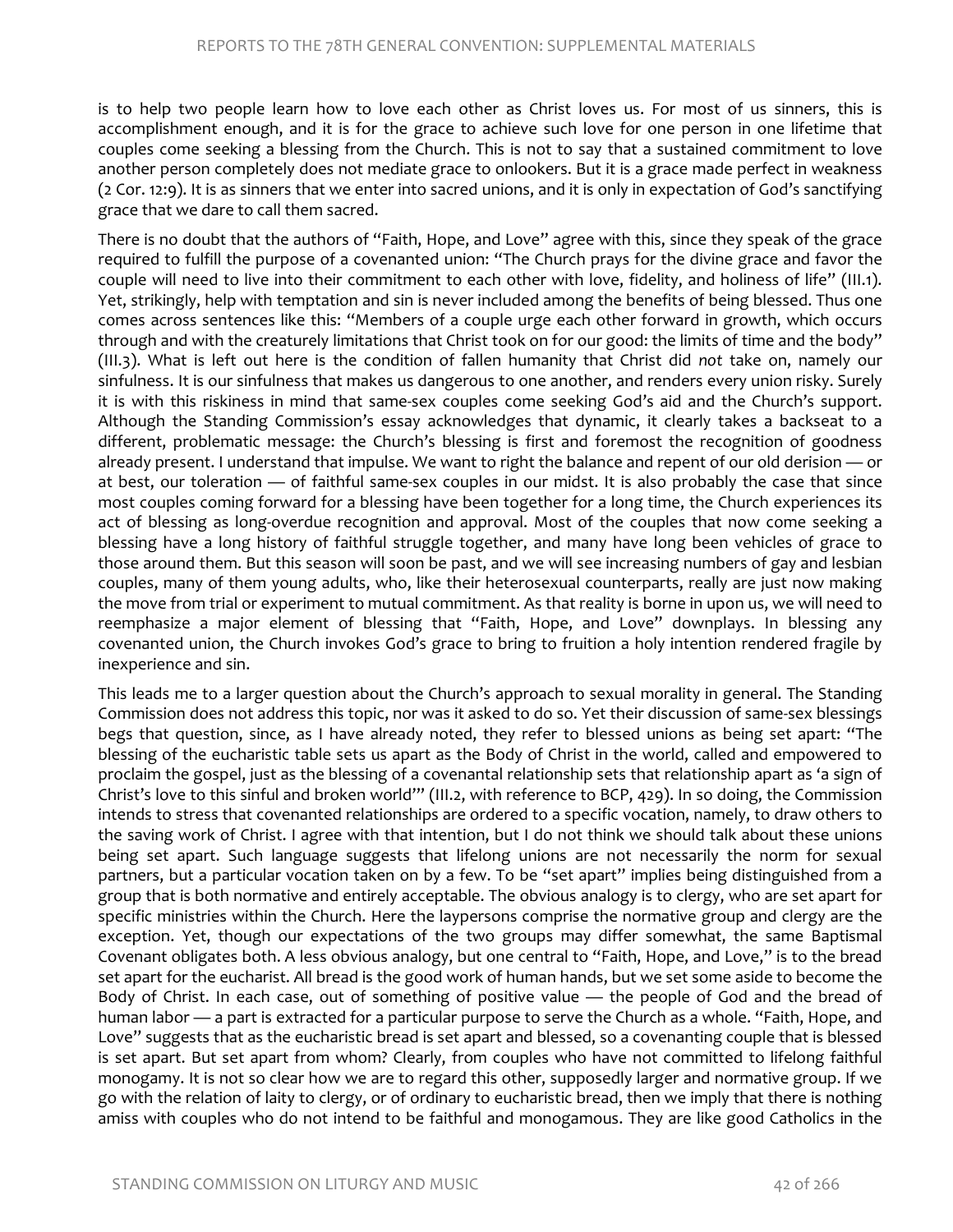is to help two people learn how to love each other as Christ loves us. For most of us sinners, this is accomplishment enough, and it is for the grace to achieve such love for one person in one lifetime that couples come seeking a blessing from the Church. This is not to say that a sustained commitment to love another person completely does not mediate grace to onlookers. But it is a grace made perfect in weakness (2 Cor. 12:9). It is as sinners that we enter into sacred unions, and it is only in expectation of God's sanctifying grace that we dare to call them sacred.

There is no doubt that the authors of "Faith, Hope, and Love" agree with this, since they speak of the grace required to fulfill the purpose of a covenanted union: "The Church prays for the divine grace and favor the couple will need to live into their commitment to each other with love, fidelity, and holiness of life" (III.1). Yet, strikingly, help with temptation and sin is never included among the benefits of being blessed. Thus one comes across sentences like this: "Members of a couple urge each other forward in growth, which occurs through and with the creaturely limitations that Christ took on for our good: the limits of time and the body" (III.3). What is left out here is the condition of fallen humanity that Christ did *not* take on, namely our sinfulness. It is our sinfulness that makes us dangerous to one another, and renders every union risky. Surely it is with this riskiness in mind that same-sex couples come seeking God's aid and the Church's support. Although the Standing Commission's essay acknowledges that dynamic, it clearly takes a backseat to a different, problematic message: the Church's blessing is first and foremost the recognition of goodness already present. I understand that impulse. We want to right the balance and repent of our old derision — or at best, our toleration — of faithful same-sex couples in our midst. It is also probably the case that since most couples coming forward for a blessing have been together for a long time, the Church experiences its act of blessing as long-overdue recognition and approval. Most of the couples that now come seeking a blessing have a long history of faithful struggle together, and many have long been vehicles of grace to those around them. But this season will soon be past, and we will see increasing numbers of gay and lesbian couples, many of them young adults, who, like their heterosexual counterparts, really are just now making the move from trial or experiment to mutual commitment. As that reality is borne in upon us, we will need to reemphasize a major element of blessing that "Faith, Hope, and Love" downplays. In blessing any covenanted union, the Church invokes God's grace to bring to fruition a holy intention rendered fragile by inexperience and sin.

This leads me to a larger question about the Church's approach to sexual morality in general. The Standing Commission does not address this topic, nor was it asked to do so. Yet their discussion of same-sex blessings begs that question, since, as I have already noted, they refer to blessed unions as being set apart: "The blessing of the eucharistic table sets us apart as the Body of Christ in the world, called and empowered to proclaim the gospel, just as the blessing of a covenantal relationship sets that relationship apart as 'a sign of Christ's love to this sinful and broken world'" (III.2, with reference to BCP, 429). In so doing, the Commission intends to stress that covenanted relationships are ordered to a specific vocation, namely, to draw others to the saving work of Christ. I agree with that intention, but I do not think we should talk about these unions being set apart. Such language suggests that lifelong unions are not necessarily the norm for sexual partners, but a particular vocation taken on by a few. To be "set apart" implies being distinguished from a group that is both normative and entirely acceptable. The obvious analogy is to clergy, who are set apart for specific ministries within the Church. Here the laypersons comprise the normative group and clergy are the exception. Yet, though our expectations of the two groups may differ somewhat, the same Baptismal Covenant obligates both. A less obvious analogy, but one central to "Faith, Hope, and Love," is to the bread set apart for the eucharist. All bread is the good work of human hands, but we set some aside to become the Body of Christ. In each case, out of something of positive value — the people of God and the bread of human labor — a part is extracted for a particular purpose to serve the Church as a whole. "Faith, Hope, and Love" suggests that as the eucharistic bread is set apart and blessed, so a covenanting couple that is blessed is set apart. But set apart from whom? Clearly, from couples who have not committed to lifelong faithful monogamy. It is not so clear how we are to regard this other, supposedly larger and normative group. If we go with the relation of laity to clergy, or of ordinary to eucharistic bread, then we imply that there is nothing amiss with couples who do not intend to be faithful and monogamous. They are like good Catholics in the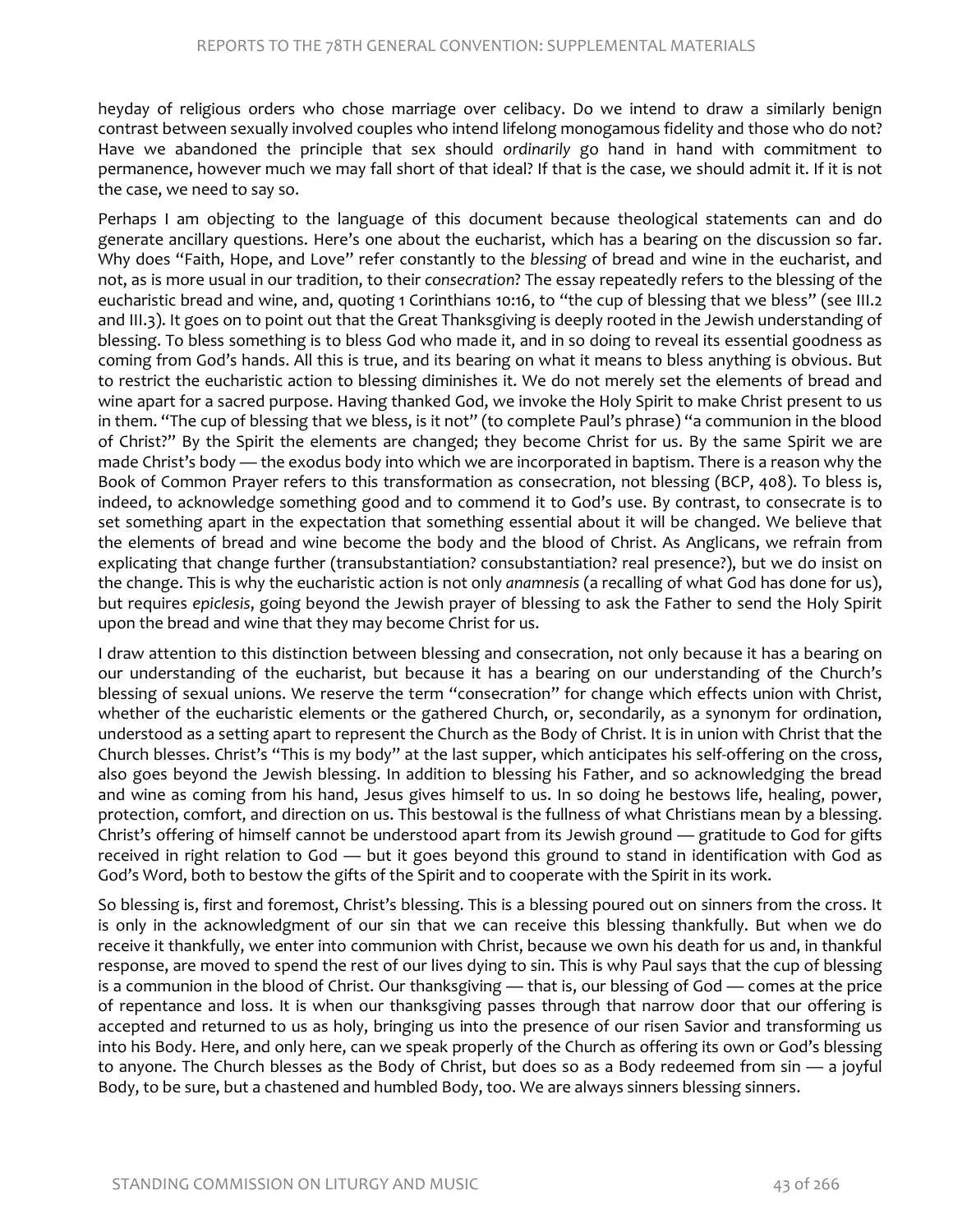heyday of religious orders who chose marriage over celibacy. Do we intend to draw a similarly benign contrast between sexually involved couples who intend lifelong monogamous fidelity and those who do not? Have we abandoned the principle that sex should *ordinarily* go hand in hand with commitment to permanence, however much we may fall short of that ideal? If that is the case, we should admit it. If it is not the case, we need to say so.

Perhaps I am objecting to the language of this document because theological statements can and do generate ancillary questions. Here's one about the eucharist, which has a bearing on the discussion so far. Why does "Faith, Hope, and Love" refer constantly to the *blessing* of bread and wine in the eucharist, and not, as is more usual in our tradition, to their *consecration*? The essay repeatedly refers to the blessing of the eucharistic bread and wine, and, quoting 1 Corinthians 10:16, to "the cup of blessing that we bless" (see III.2 and III.3). It goes on to point out that the Great Thanksgiving is deeply rooted in the Jewish understanding of blessing. To bless something is to bless God who made it, and in so doing to reveal its essential goodness as coming from God's hands. All this is true, and its bearing on what it means to bless anything is obvious. But to restrict the eucharistic action to blessing diminishes it. We do not merely set the elements of bread and wine apart for a sacred purpose. Having thanked God, we invoke the Holy Spirit to make Christ present to us in them. "The cup of blessing that we bless, is it not" (to complete Paul's phrase) "a communion in the blood of Christ?" By the Spirit the elements are changed; they become Christ for us. By the same Spirit we are made Christ's body — the exodus body into which we are incorporated in baptism. There is a reason why the Book of Common Prayer refers to this transformation as consecration, not blessing (BCP, 408). To bless is, indeed, to acknowledge something good and to commend it to God's use. By contrast, to consecrate is to set something apart in the expectation that something essential about it will be changed. We believe that the elements of bread and wine become the body and the blood of Christ. As Anglicans, we refrain from explicating that change further (transubstantiation? consubstantiation? real presence?), but we do insist on the change. This is why the eucharistic action is not only *anamnesis* (a recalling of what God has done for us), but requires *epiclesis*, going beyond the Jewish prayer of blessing to ask the Father to send the Holy Spirit upon the bread and wine that they may become Christ for us.

I draw attention to this distinction between blessing and consecration, not only because it has a bearing on our understanding of the eucharist, but because it has a bearing on our understanding of the Church's blessing of sexual unions. We reserve the term "consecration" for change which effects union with Christ, whether of the eucharistic elements or the gathered Church, or, secondarily, as a synonym for ordination, understood as a setting apart to represent the Church as the Body of Christ. It is in union with Christ that the Church blesses. Christ's "This is my body" at the last supper, which anticipates his self-offering on the cross, also goes beyond the Jewish blessing. In addition to blessing his Father, and so acknowledging the bread and wine as coming from his hand, Jesus gives himself to us. In so doing he bestows life, healing, power, protection, comfort, and direction on us. This bestowal is the fullness of what Christians mean by a blessing. Christ's offering of himself cannot be understood apart from its Jewish ground — gratitude to God for gifts received in right relation to God — but it goes beyond this ground to stand in identification with God as God's Word, both to bestow the gifts of the Spirit and to cooperate with the Spirit in its work.

So blessing is, first and foremost, Christ's blessing. This is a blessing poured out on sinners from the cross. It is only in the acknowledgment of our sin that we can receive this blessing thankfully. But when we do receive it thankfully, we enter into communion with Christ, because we own his death for us and, in thankful response, are moved to spend the rest of our lives dying to sin. This is why Paul says that the cup of blessing is a communion in the blood of Christ. Our thanksgiving — that is, our blessing of God — comes at the price of repentance and loss. It is when our thanksgiving passes through that narrow door that our offering is accepted and returned to us as holy, bringing us into the presence of our risen Savior and transforming us into his Body. Here, and only here, can we speak properly of the Church as offering its own or God's blessing to anyone. The Church blesses as the Body of Christ, but does so as a Body redeemed from sin — a joyful Body, to be sure, but a chastened and humbled Body, too. We are always sinners blessing sinners.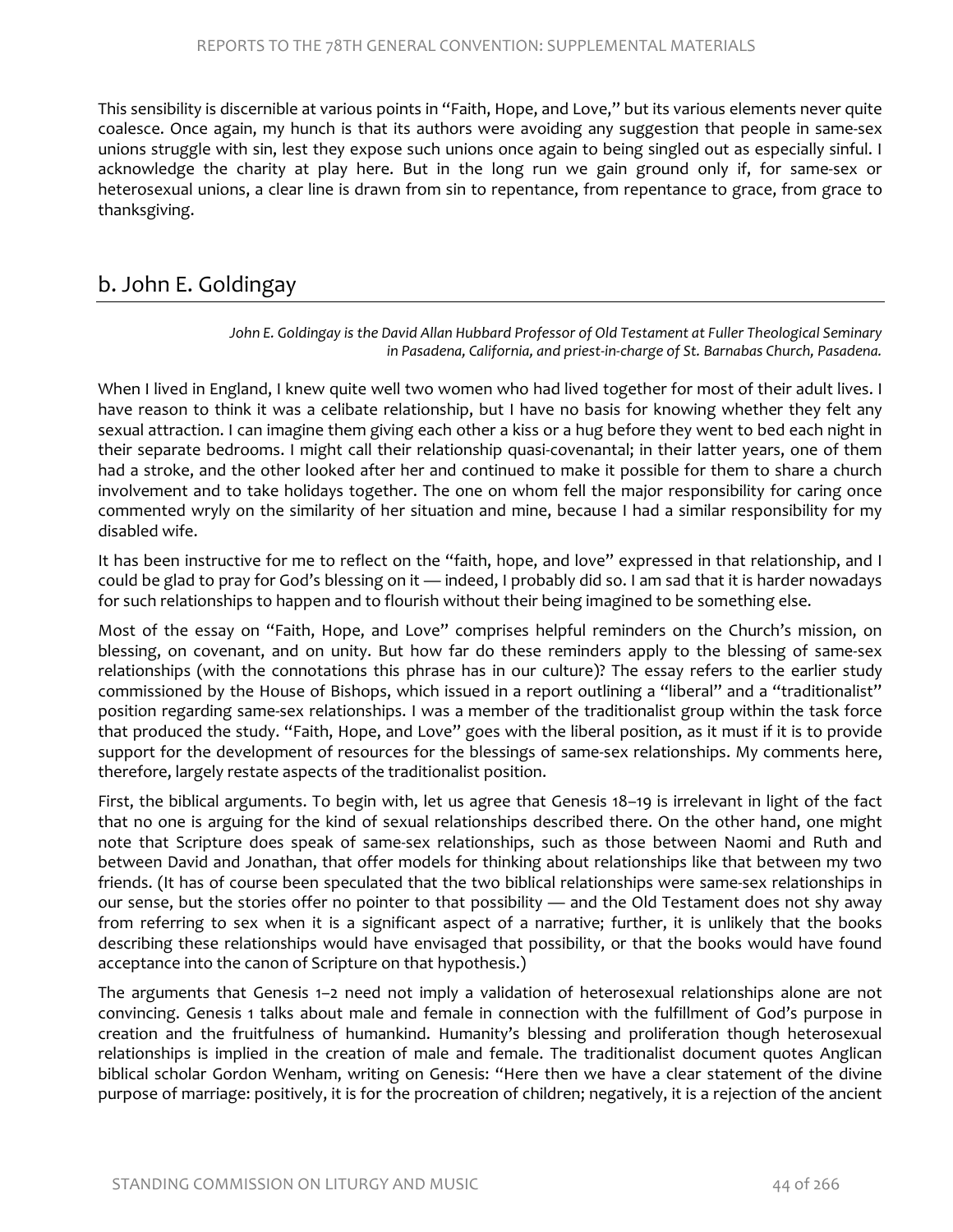This sensibility is discernible at various points in "Faith, Hope, and Love," but its various elements never quite coalesce. Once again, my hunch is that its authors were avoiding any suggestion that people in same-sex unions struggle with sin, lest they expose such unions once again to being singled out as especially sinful. I acknowledge the charity at play here. But in the long run we gain ground only if, for same-sex or heterosexual unions, a clear line is drawn from sin to repentance, from repentance to grace, from grace to thanksgiving.

# b. John E. Goldingay

John E. Goldingay is the David Allan Hubbard Professor of Old Testament at Fuller Theological Seminary *in Pasadena, California, and priest-in-charge of St. Barnabas Church, Pasadena.* 

When I lived in England, I knew quite well two women who had lived together for most of their adult lives. I have reason to think it was a celibate relationship, but I have no basis for knowing whether they felt any sexual attraction. I can imagine them giving each other a kiss or a hug before they went to bed each night in their separate bedrooms. I might call their relationship quasi-covenantal; in their latter years, one of them had a stroke, and the other looked after her and continued to make it possible for them to share a church involvement and to take holidays together. The one on whom fell the major responsibility for caring once commented wryly on the similarity of her situation and mine, because I had a similar responsibility for my disabled wife.

It has been instructive for me to reflect on the "faith, hope, and love" expressed in that relationship, and I could be glad to pray for God's blessing on it — indeed, I probably did so. I am sad that it is harder nowadays for such relationships to happen and to flourish without their being imagined to be something else.

Most of the essay on "Faith, Hope, and Love" comprises helpful reminders on the Church's mission, on blessing, on covenant, and on unity. But how far do these reminders apply to the blessing of same-sex relationships (with the connotations this phrase has in our culture)? The essay refers to the earlier study commissioned by the House of Bishops, which issued in a report outlining a "liberal" and a "traditionalist" position regarding same-sex relationships. I was a member of the traditionalist group within the task force that produced the study. "Faith, Hope, and Love" goes with the liberal position, as it must if it is to provide support for the development of resources for the blessings of same-sex relationships. My comments here, therefore, largely restate aspects of the traditionalist position.

First, the biblical arguments. To begin with, let us agree that Genesis 18–19 is irrelevant in light of the fact that no one is arguing for the kind of sexual relationships described there. On the other hand, one might note that Scripture does speak of same-sex relationships, such as those between Naomi and Ruth and between David and Jonathan, that offer models for thinking about relationships like that between my two friends. (It has of course been speculated that the two biblical relationships were same-sex relationships in our sense, but the stories offer no pointer to that possibility — and the Old Testament does not shy away from referring to sex when it is a significant aspect of a narrative; further, it is unlikely that the books describing these relationships would have envisaged that possibility, or that the books would have found acceptance into the canon of Scripture on that hypothesis.)

The arguments that Genesis 1–2 need not imply a validation of heterosexual relationships alone are not convincing. Genesis 1 talks about male and female in connection with the fulfillment of God's purpose in creation and the fruitfulness of humankind. Humanity's blessing and proliferation though heterosexual relationships is implied in the creation of male and female. The traditionalist document quotes Anglican biblical scholar Gordon Wenham, writing on Genesis: "Here then we have a clear statement of the divine purpose of marriage: positively, it is for the procreation of children; negatively, it is a rejection of the ancient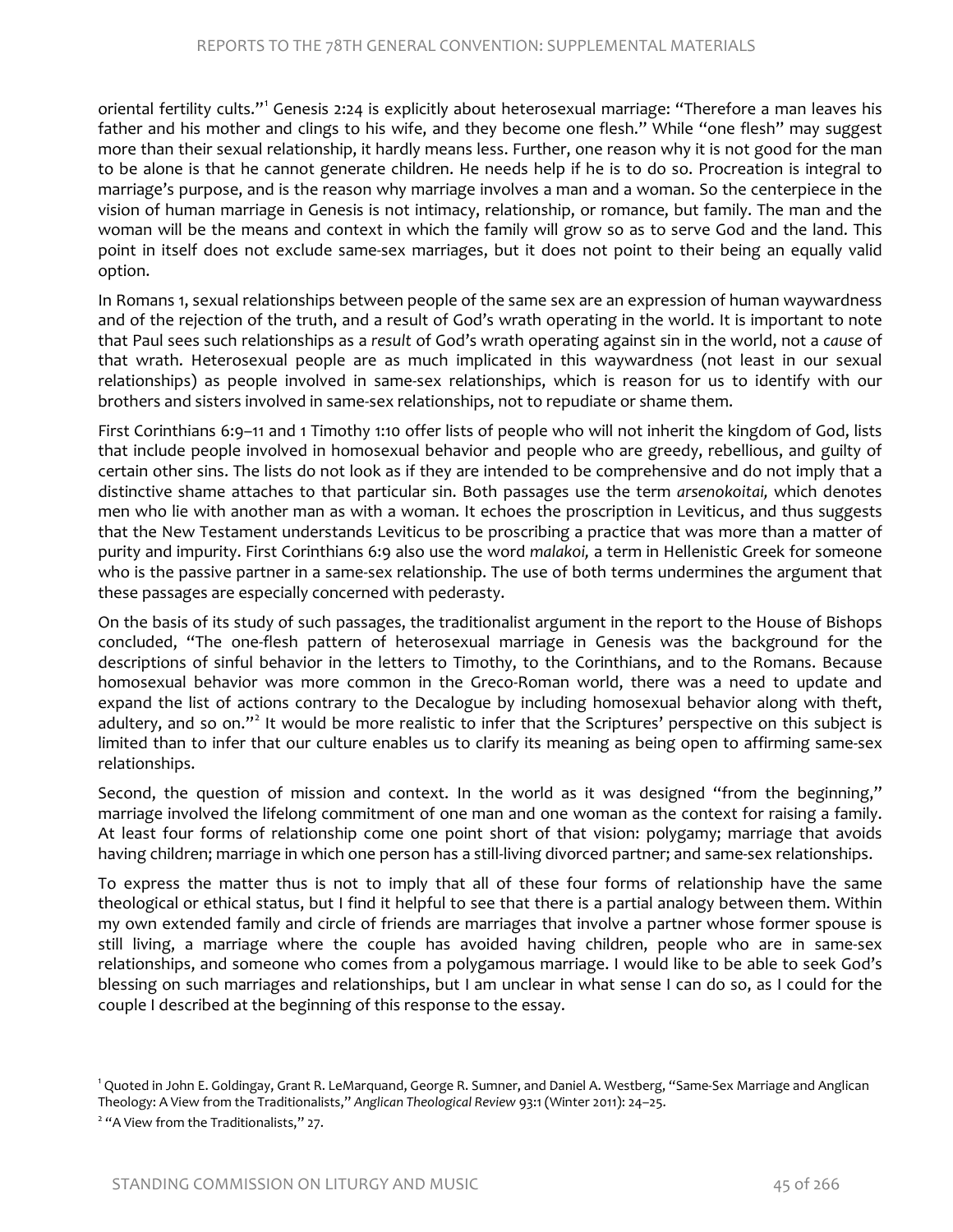oriental fertility cults."[1](#page-31-0) Genesis 2:24 is explicitly about heterosexual marriage: "Therefore a man leaves his father and his mother and clings to his wife, and they become one flesh." While "one flesh" may suggest more than their sexual relationship, it hardly means less. Further, one reason why it is not good for the man to be alone is that he cannot generate children. He needs help if he is to do so. Procreation is integral to marriage's purpose, and is the reason why marriage involves a man and a woman. So the centerpiece in the vision of human marriage in Genesis is not intimacy, relationship, or romance, but family. The man and the woman will be the means and context in which the family will grow so as to serve God and the land. This point in itself does not exclude same-sex marriages, but it does not point to their being an equally valid option.

In Romans 1, sexual relationships between people of the same sex are an expression of human waywardness and of the rejection of the truth, and a result of God's wrath operating in the world. It is important to note that Paul sees such relationships as a *result* of God's wrath operating against sin in the world, not a *cause* of that wrath. Heterosexual people are as much implicated in this waywardness (not least in our sexual relationships) as people involved in same-sex relationships, which is reason for us to identify with our brothers and sisters involved in same-sex relationships, not to repudiate or shame them.

First Corinthians 6:9–11 and 1 Timothy 1:10 offer lists of people who will not inherit the kingdom of God, lists that include people involved in homosexual behavior and people who are greedy, rebellious, and guilty of certain other sins. The lists do not look as if they are intended to be comprehensive and do not imply that a distinctive shame attaches to that particular sin. Both passages use the term *arsenokoitai,* which denotes men who lie with another man as with a woman. It echoes the proscription in Leviticus, and thus suggests that the New Testament understands Leviticus to be proscribing a practice that was more than a matter of purity and impurity. First Corinthians 6:9 also use the word *malakoi,* a term in Hellenistic Greek for someone who is the passive partner in a same-sex relationship. The use of both terms undermines the argument that these passages are especially concerned with pederasty.

On the basis of its study of such passages, the traditionalist argument in the report to the House of Bishops concluded, "The one-flesh pattern of heterosexual marriage in Genesis was the background for the descriptions of sinful behavior in the letters to Timothy, to the Corinthians, and to the Romans. Because homosexual behavior was more common in the Greco-Roman world, there was a need to update and expand the list of actions contrary to the Decalogue by including homosexual behavior along with theft, adultery, and so on."<sup>[2](#page-31-1)</sup> It would be more realistic to infer that the Scriptures' perspective on this subject is limited than to infer that our culture enables us to clarify its meaning as being open to affirming same-sex relationships.

Second, the question of mission and context. In the world as it was designed "from the beginning," marriage involved the lifelong commitment of one man and one woman as the context for raising a family. At least four forms of relationship come one point short of that vision: polygamy; marriage that avoids having children; marriage in which one person has a still-living divorced partner; and same-sex relationships.

To express the matter thus is not to imply that all of these four forms of relationship have the same theological or ethical status, but I find it helpful to see that there is a partial analogy between them. Within my own extended family and circle of friends are marriages that involve a partner whose former spouse is still living, a marriage where the couple has avoided having children, people who are in same-sex relationships, and someone who comes from a polygamous marriage. I would like to be able to seek God's blessing on such marriages and relationships, but I am unclear in what sense I can do so, as I could for the couple I described at the beginning of this response to the essay.

<span id="page-31-0"></span><sup>&</sup>lt;sup>1</sup> Quoted in John E. Goldingay, Grant R. LeMarquand, George R. Sumner, and Daniel A. Westberg, "Same-Sex Marriage and Anglican Theology: A View from the Traditionalists," *Anglican Theological Review* 93:1 (Winter 2011): 24–25.

<span id="page-31-1"></span><sup>&</sup>lt;sup>2</sup> "A View from the Traditionalists," 27.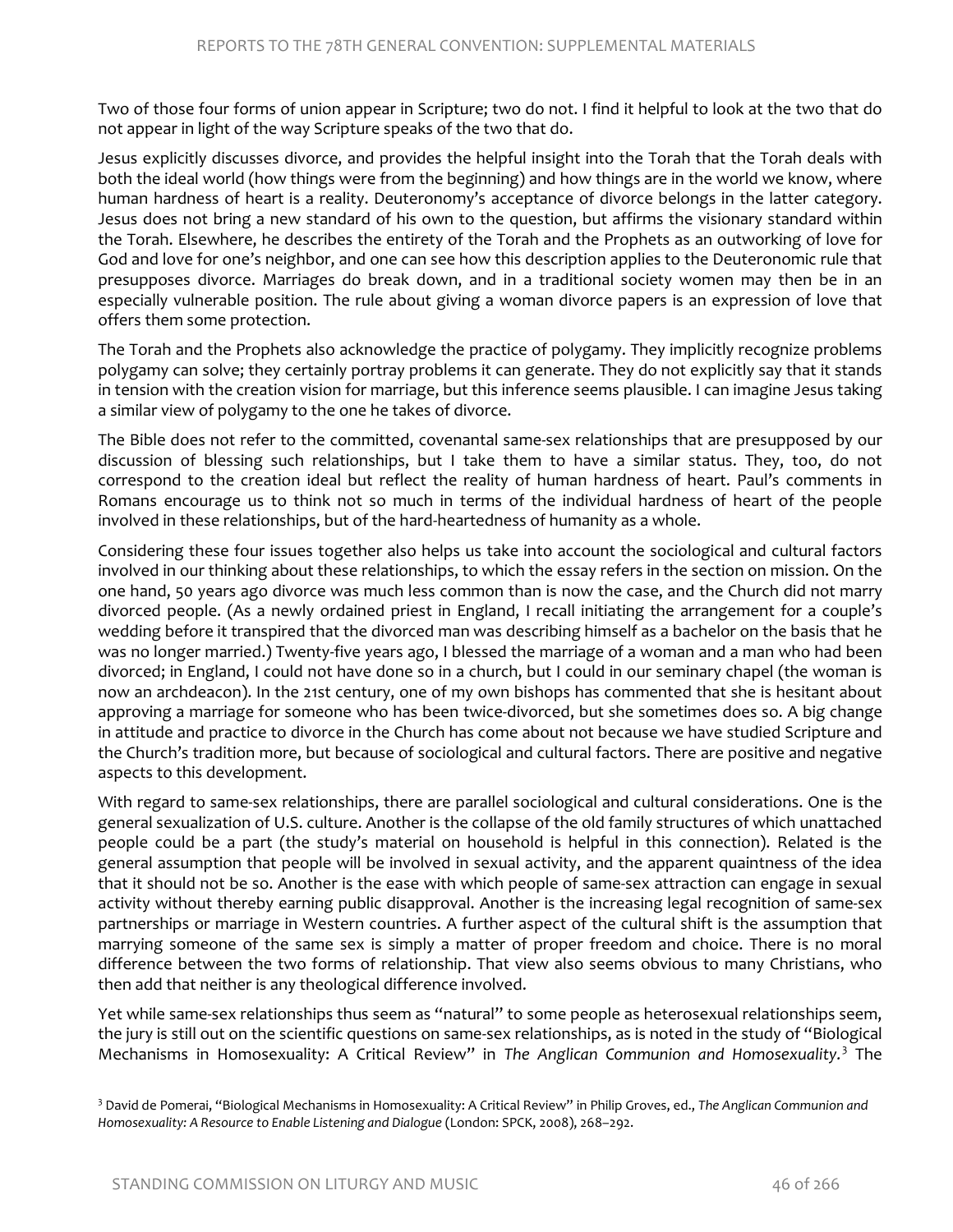Two of those four forms of union appear in Scripture; two do not. I find it helpful to look at the two that do not appear in light of the way Scripture speaks of the two that do.

Jesus explicitly discusses divorce, and provides the helpful insight into the Torah that the Torah deals with both the ideal world (how things were from the beginning) and how things are in the world we know, where human hardness of heart is a reality. Deuteronomy's acceptance of divorce belongs in the latter category. Jesus does not bring a new standard of his own to the question, but affirms the visionary standard within the Torah. Elsewhere, he describes the entirety of the Torah and the Prophets as an outworking of love for God and love for one's neighbor, and one can see how this description applies to the Deuteronomic rule that presupposes divorce. Marriages do break down, and in a traditional society women may then be in an especially vulnerable position. The rule about giving a woman divorce papers is an expression of love that offers them some protection.

The Torah and the Prophets also acknowledge the practice of polygamy. They implicitly recognize problems polygamy can solve; they certainly portray problems it can generate. They do not explicitly say that it stands in tension with the creation vision for marriage, but this inference seems plausible. I can imagine Jesus taking a similar view of polygamy to the one he takes of divorce.

The Bible does not refer to the committed, covenantal same-sex relationships that are presupposed by our discussion of blessing such relationships, but I take them to have a similar status. They, too, do not correspond to the creation ideal but reflect the reality of human hardness of heart. Paul's comments in Romans encourage us to think not so much in terms of the individual hardness of heart of the people involved in these relationships, but of the hard-heartedness of humanity as a whole.

Considering these four issues together also helps us take into account the sociological and cultural factors involved in our thinking about these relationships, to which the essay refers in the section on mission. On the one hand, 50 years ago divorce was much less common than is now the case, and the Church did not marry divorced people. (As a newly ordained priest in England, I recall initiating the arrangement for a couple's wedding before it transpired that the divorced man was describing himself as a bachelor on the basis that he was no longer married.) Twenty-five years ago, I blessed the marriage of a woman and a man who had been divorced; in England, I could not have done so in a church, but I could in our seminary chapel (the woman is now an archdeacon). In the 21st century, one of my own bishops has commented that she is hesitant about approving a marriage for someone who has been twice-divorced, but she sometimes does so. A big change in attitude and practice to divorce in the Church has come about not because we have studied Scripture and the Church's tradition more, but because of sociological and cultural factors. There are positive and negative aspects to this development.

With regard to same-sex relationships, there are parallel sociological and cultural considerations. One is the general sexualization of U.S. culture. Another is the collapse of the old family structures of which unattached people could be a part (the study's material on household is helpful in this connection). Related is the general assumption that people will be involved in sexual activity, and the apparent quaintness of the idea that it should not be so. Another is the ease with which people of same-sex attraction can engage in sexual activity without thereby earning public disapproval. Another is the increasing legal recognition of same-sex partnerships or marriage in Western countries. A further aspect of the cultural shift is the assumption that marrying someone of the same sex is simply a matter of proper freedom and choice. There is no moral difference between the two forms of relationship. That view also seems obvious to many Christians, who then add that neither is any theological difference involved.

Yet while same-sex relationships thus seem as "natural" to some people as heterosexual relationships seem, the jury is still out on the scientific questions on same-sex relationships, as is noted in the study of "Biological Mechanisms in Homosexuality: A Critical Review" in *The Anglican Communion and Homosexuality.* [3](#page-32-0) The

<span id="page-32-0"></span><sup>3</sup> David de Pomerai, "Biological Mechanisms in Homosexuality: A Critical Review" in Philip Groves, ed., *The Anglican Communion and Homosexuality: A Resource to Enable Listening and Dialogue* (London: SPCK, 2008), 268–292.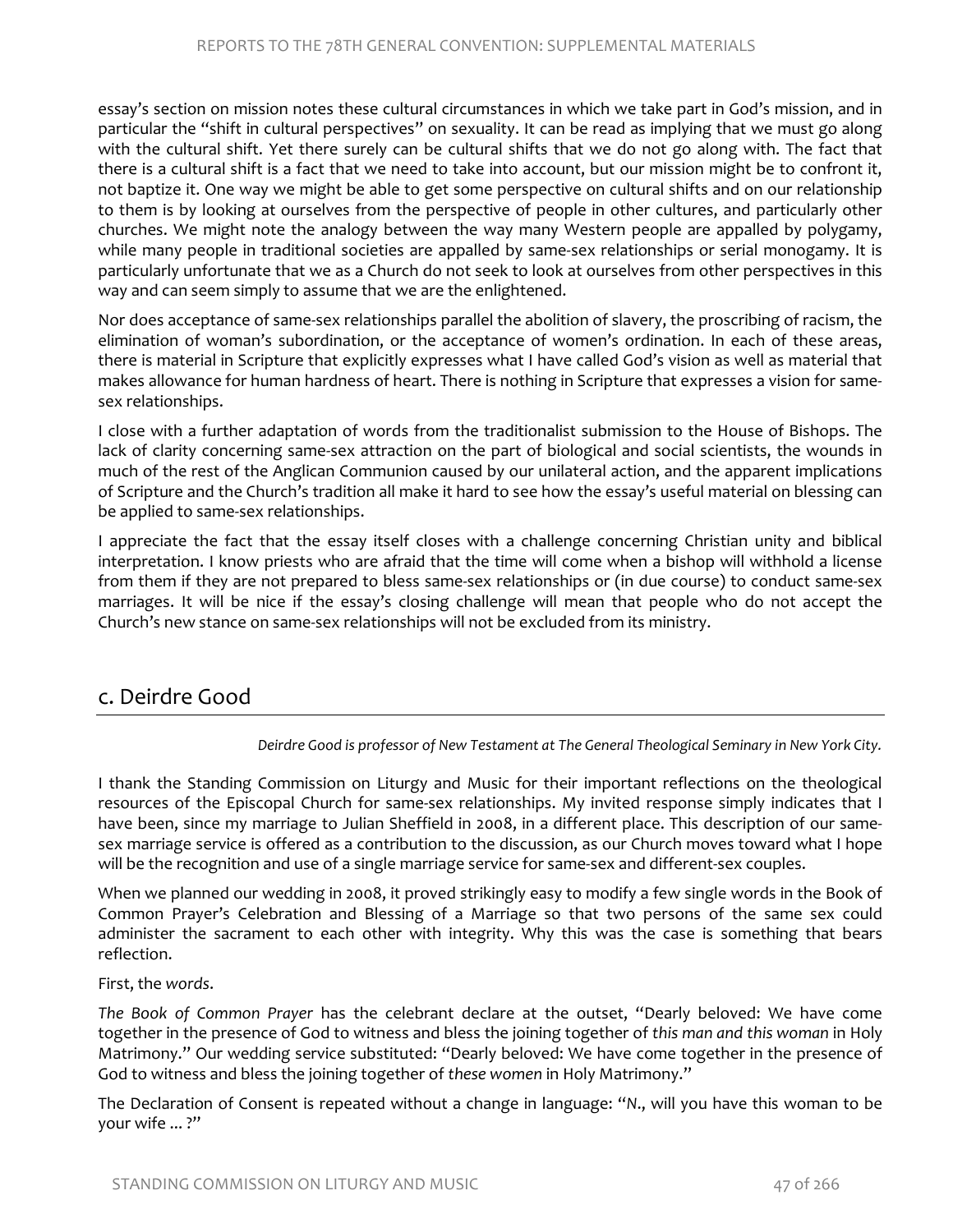essay's section on mission notes these cultural circumstances in which we take part in God's mission, and in particular the "shift in cultural perspectives" on sexuality. It can be read as implying that we must go along with the cultural shift. Yet there surely can be cultural shifts that we do not go along with. The fact that there is a cultural shift is a fact that we need to take into account, but our mission might be to confront it, not baptize it. One way we might be able to get some perspective on cultural shifts and on our relationship to them is by looking at ourselves from the perspective of people in other cultures, and particularly other churches. We might note the analogy between the way many Western people are appalled by polygamy, while many people in traditional societies are appalled by same-sex relationships or serial monogamy. It is particularly unfortunate that we as a Church do not seek to look at ourselves from other perspectives in this way and can seem simply to assume that we are the enlightened.

Nor does acceptance of same-sex relationships parallel the abolition of slavery, the proscribing of racism, the elimination of woman's subordination, or the acceptance of women's ordination. In each of these areas, there is material in Scripture that explicitly expresses what I have called God's vision as well as material that makes allowance for human hardness of heart. There is nothing in Scripture that expresses a vision for samesex relationships.

I close with a further adaptation of words from the traditionalist submission to the House of Bishops. The lack of clarity concerning same-sex attraction on the part of biological and social scientists, the wounds in much of the rest of the Anglican Communion caused by our unilateral action, and the apparent implications of Scripture and the Church's tradition all make it hard to see how the essay's useful material on blessing can be applied to same-sex relationships.

I appreciate the fact that the essay itself closes with a challenge concerning Christian unity and biblical interpretation. I know priests who are afraid that the time will come when a bishop will withhold a license from them if they are not prepared to bless same-sex relationships or (in due course) to conduct same-sex marriages. It will be nice if the essay's closing challenge will mean that people who do not accept the Church's new stance on same-sex relationships will not be excluded from its ministry.

# c. Deirdre Good

*Deirdre Good is professor of New Testament at The General Theological Seminary in New York City.*

I thank the Standing Commission on Liturgy and Music for their important reflections on the theological resources of the Episcopal Church for same-sex relationships. My invited response simply indicates that I have been, since my marriage to Julian Sheffield in 2008, in a different place. This description of our samesex marriage service is offered as a contribution to the discussion, as our Church moves toward what I hope will be the recognition and use of a single marriage service for same-sex and different-sex couples.

When we planned our wedding in 2008, it proved strikingly easy to modify a few single words in the Book of Common Prayer's Celebration and Blessing of a Marriage so that two persons of the same sex could administer the sacrament to each other with integrity. Why this was the case is something that bears reflection.

#### First, the *words*.

*The Book of Common Prayer* has the celebrant declare at the outset, "Dearly beloved: We have come together in the presence of God to witness and bless the joining together of *this man and this woman* in Holy Matrimony." Our wedding service substituted: "Dearly beloved: We have come together in the presence of God to witness and bless the joining together of *these women* in Holy Matrimony."

The Declaration of Consent is repeated without a change in language: "*N*., will you have this woman to be your wife ... ?"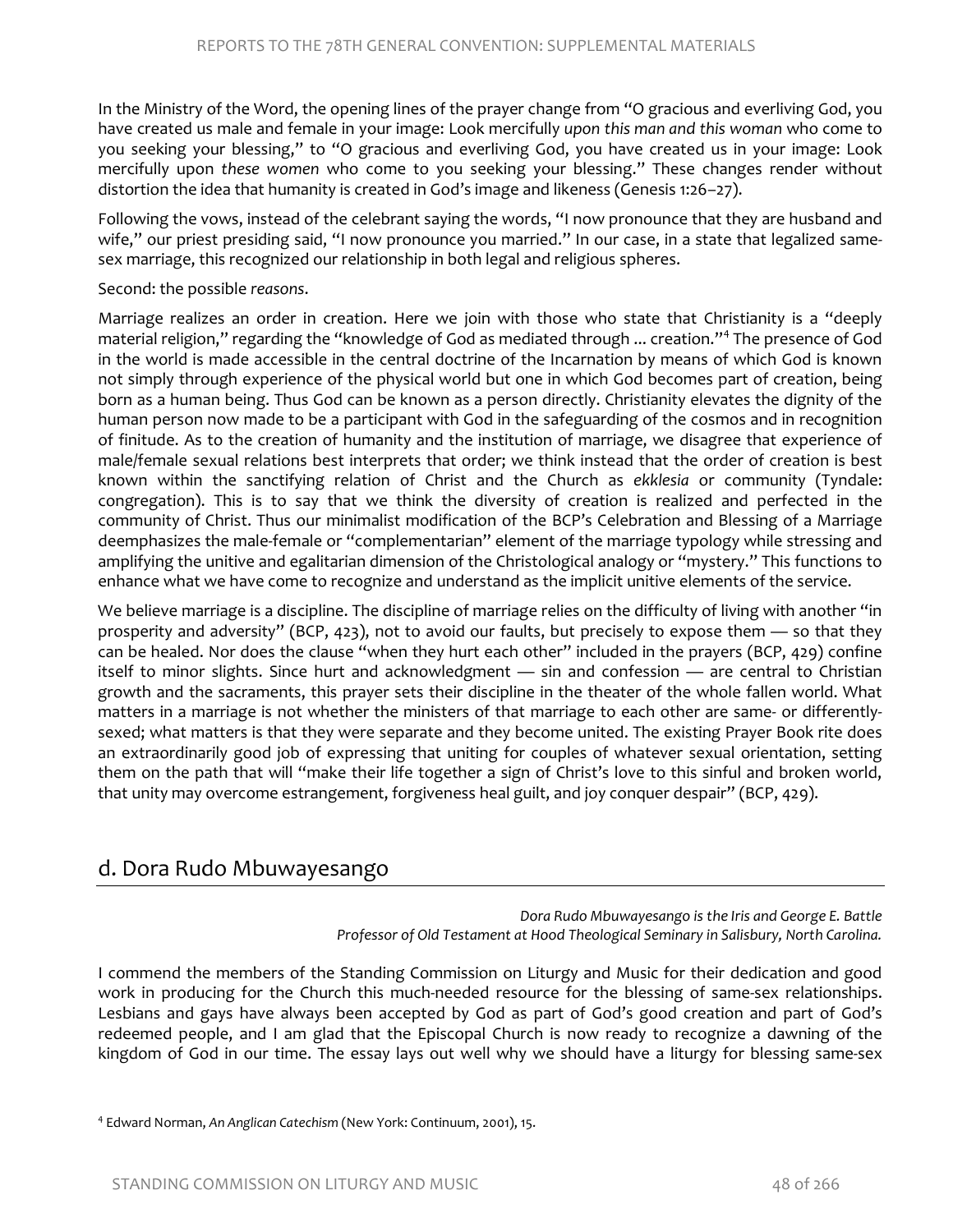In the Ministry of the Word, the opening lines of the prayer change from "O gracious and everliving God, you have created us male and female in your image: Look mercifully *upon this man and this woman* who come to you seeking your blessing," to "O gracious and everliving God, you have created us in your image: Look mercifully upon *these women* who come to you seeking your blessing." These changes render without distortion the idea that humanity is created in God's image and likeness (Genesis 1:26–27).

Following the vows, instead of the celebrant saying the words, "I now pronounce that they are husband and wife," our priest presiding said, "I now pronounce you married." In our case, in a state that legalized samesex marriage, this recognized our relationship in both legal and religious spheres.

Second: the possible *reasons*.

Marriage realizes an order in creation. Here we join with those who state that Christianity is a "deeply material religion," regarding the "knowledge of God as mediated through ... creation."[4](#page-34-0) The presence of God in the world is made accessible in the central doctrine of the Incarnation by means of which God is known not simply through experience of the physical world but one in which God becomes part of creation, being born as a human being. Thus God can be known as a person directly. Christianity elevates the dignity of the human person now made to be a participant with God in the safeguarding of the cosmos and in recognition of finitude. As to the creation of humanity and the institution of marriage, we disagree that experience of male/female sexual relations best interprets that order; we think instead that the order of creation is best known within the sanctifying relation of Christ and the Church as *ekklesia* or community (Tyndale: congregation). This is to say that we think the diversity of creation is realized and perfected in the community of Christ. Thus our minimalist modification of the BCP's Celebration and Blessing of a Marriage deemphasizes the male-female or "complementarian" element of the marriage typology while stressing and amplifying the unitive and egalitarian dimension of the Christological analogy or "mystery." This functions to enhance what we have come to recognize and understand as the implicit unitive elements of the service.

We believe marriage is a discipline. The discipline of marriage relies on the difficulty of living with another "in prosperity and adversity" (BCP, 423), not to avoid our faults, but precisely to expose them — so that they can be healed. Nor does the clause "when they hurt each other" included in the prayers (BCP, 429) confine itself to minor slights. Since hurt and acknowledgment — sin and confession — are central to Christian growth and the sacraments, this prayer sets their discipline in the theater of the whole fallen world. What matters in a marriage is not whether the ministers of that marriage to each other are same- or differentlysexed; what matters is that they were separate and they become united. The existing Prayer Book rite does an extraordinarily good job of expressing that uniting for couples of whatever sexual orientation, setting them on the path that will "make their life together a sign of Christ's love to this sinful and broken world, that unity may overcome estrangement, forgiveness heal guilt, and joy conquer despair" (BCP, 429).

# d. Dora Rudo Mbuwayesango

*Dora Rudo Mbuwayesango is the Iris and George E. Battle Professor of Old Testament at Hood Theological Seminary in Salisbury, North Carolina.* 

<span id="page-34-0"></span>I commend the members of the Standing Commission on Liturgy and Music for their dedication and good work in producing for the Church this much-needed resource for the blessing of same-sex relationships. Lesbians and gays have always been accepted by God as part of God's good creation and part of God's redeemed people, and I am glad that the Episcopal Church is now ready to recognize a dawning of the kingdom of God in our time. The essay lays out well why we should have a liturgy for blessing same-sex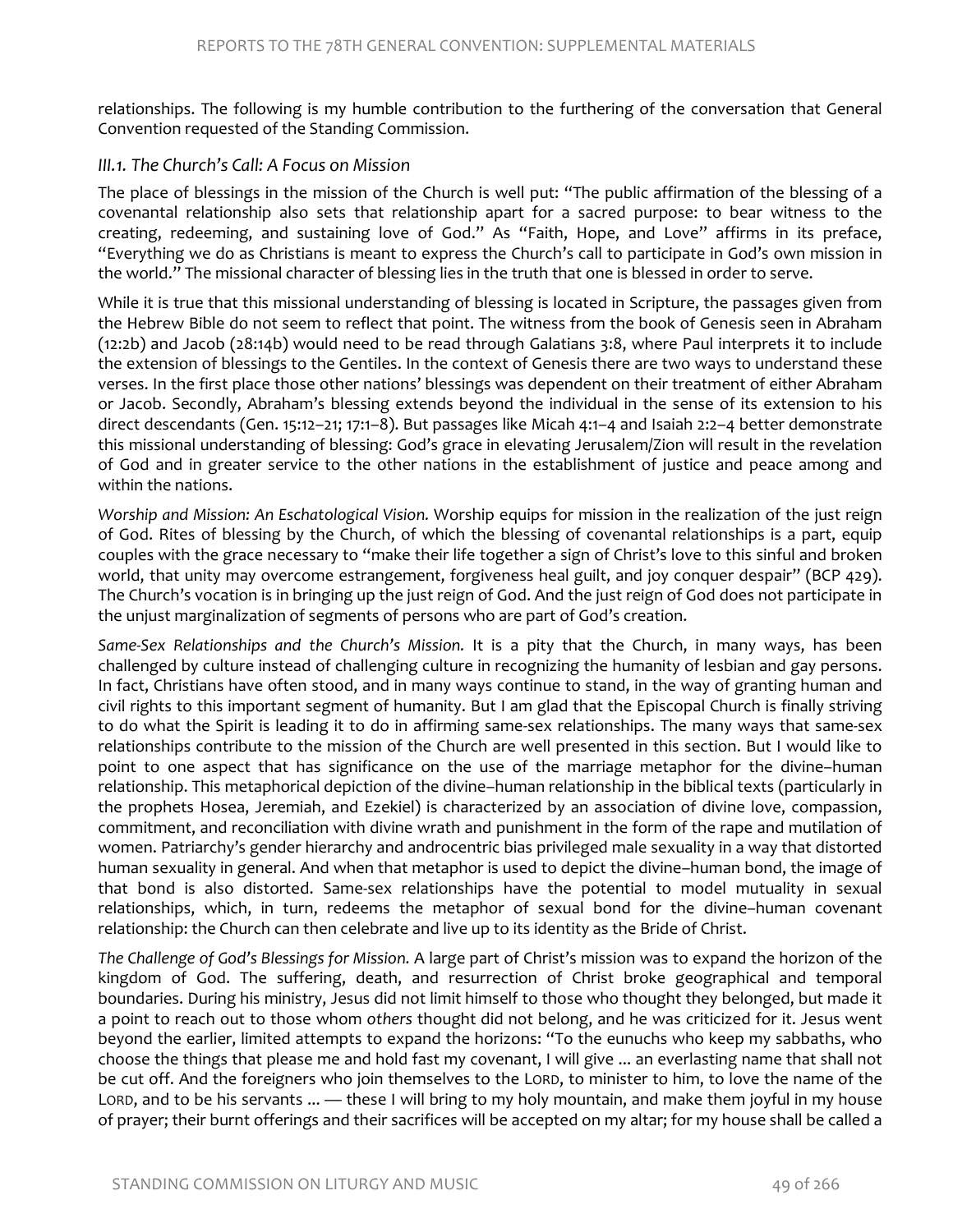relationships. The following is my humble contribution to the furthering of the conversation that General Convention requested of the Standing Commission.

#### *III.1. The Church's Call: A Focus on Mission*

The place of blessings in the mission of the Church is well put: "The public affirmation of the blessing of a covenantal relationship also sets that relationship apart for a sacred purpose: to bear witness to the creating, redeeming, and sustaining love of God." As "Faith, Hope, and Love" affirms in its preface, "Everything we do as Christians is meant to express the Church's call to participate in God's own mission in the world." The missional character of blessing lies in the truth that one is blessed in order to serve.

While it is true that this missional understanding of blessing is located in Scripture, the passages given from the Hebrew Bible do not seem to reflect that point. The witness from the book of Genesis seen in Abraham (12:2b) and Jacob (28:14b) would need to be read through Galatians 3:8, where Paul interprets it to include the extension of blessings to the Gentiles. In the context of Genesis there are two ways to understand these verses. In the first place those other nations' blessings was dependent on their treatment of either Abraham or Jacob. Secondly, Abraham's blessing extends beyond the individual in the sense of its extension to his direct descendants (Gen. 15:12–21; 17:1–8). But passages like Micah 4:1–4 and Isaiah 2:2–4 better demonstrate this missional understanding of blessing: God's grace in elevating Jerusalem/Zion will result in the revelation of God and in greater service to the other nations in the establishment of justice and peace among and within the nations.

*Worship and Mission: An Eschatological Vision.* Worship equips for mission in the realization of the just reign of God. Rites of blessing by the Church, of which the blessing of covenantal relationships is a part, equip couples with the grace necessary to "make their life together a sign of Christ's love to this sinful and broken world, that unity may overcome estrangement, forgiveness heal guilt, and joy conquer despair" (BCP 429). The Church's vocation is in bringing up the just reign of God. And the just reign of God does not participate in the unjust marginalization of segments of persons who are part of God's creation.

Same-Sex Relationships and the Church's Mission. It is a pity that the Church, in many ways, has been challenged by culture instead of challenging culture in recognizing the humanity of lesbian and gay persons. In fact, Christians have often stood, and in many ways continue to stand, in the way of granting human and civil rights to this important segment of humanity. But I am glad that the Episcopal Church is finally striving to do what the Spirit is leading it to do in affirming same-sex relationships. The many ways that same-sex relationships contribute to the mission of the Church are well presented in this section. But I would like to point to one aspect that has significance on the use of the marriage metaphor for the divine–human relationship. This metaphorical depiction of the divine–human relationship in the biblical texts (particularly in the prophets Hosea, Jeremiah, and Ezekiel) is characterized by an association of divine love, compassion, commitment, and reconciliation with divine wrath and punishment in the form of the rape and mutilation of women. Patriarchy's gender hierarchy and androcentric bias privileged male sexuality in a way that distorted human sexuality in general. And when that metaphor is used to depict the divine–human bond, the image of that bond is also distorted. Same-sex relationships have the potential to model mutuality in sexual relationships, which, in turn, redeems the metaphor of sexual bond for the divine–human covenant relationship: the Church can then celebrate and live up to its identity as the Bride of Christ.

*The Challenge of God's Blessings for Mission.* A large part of Christ's mission was to expand the horizon of the kingdom of God. The suffering, death, and resurrection of Christ broke geographical and temporal boundaries. During his ministry, Jesus did not limit himself to those who thought they belonged, but made it a point to reach out to those whom *others* thought did not belong, and he was criticized for it. Jesus went beyond the earlier, limited attempts to expand the horizons: "To the eunuchs who keep my sabbaths, who choose the things that please me and hold fast my covenant, I will give ... an everlasting name that shall not be cut off. And the foreigners who join themselves to the LORD, to minister to him, to love the name of the LORD, and to be his servants ... — these I will bring to my holy mountain, and make them joyful in my house of prayer; their burnt offerings and their sacrifices will be accepted on my altar; for my house shall be called a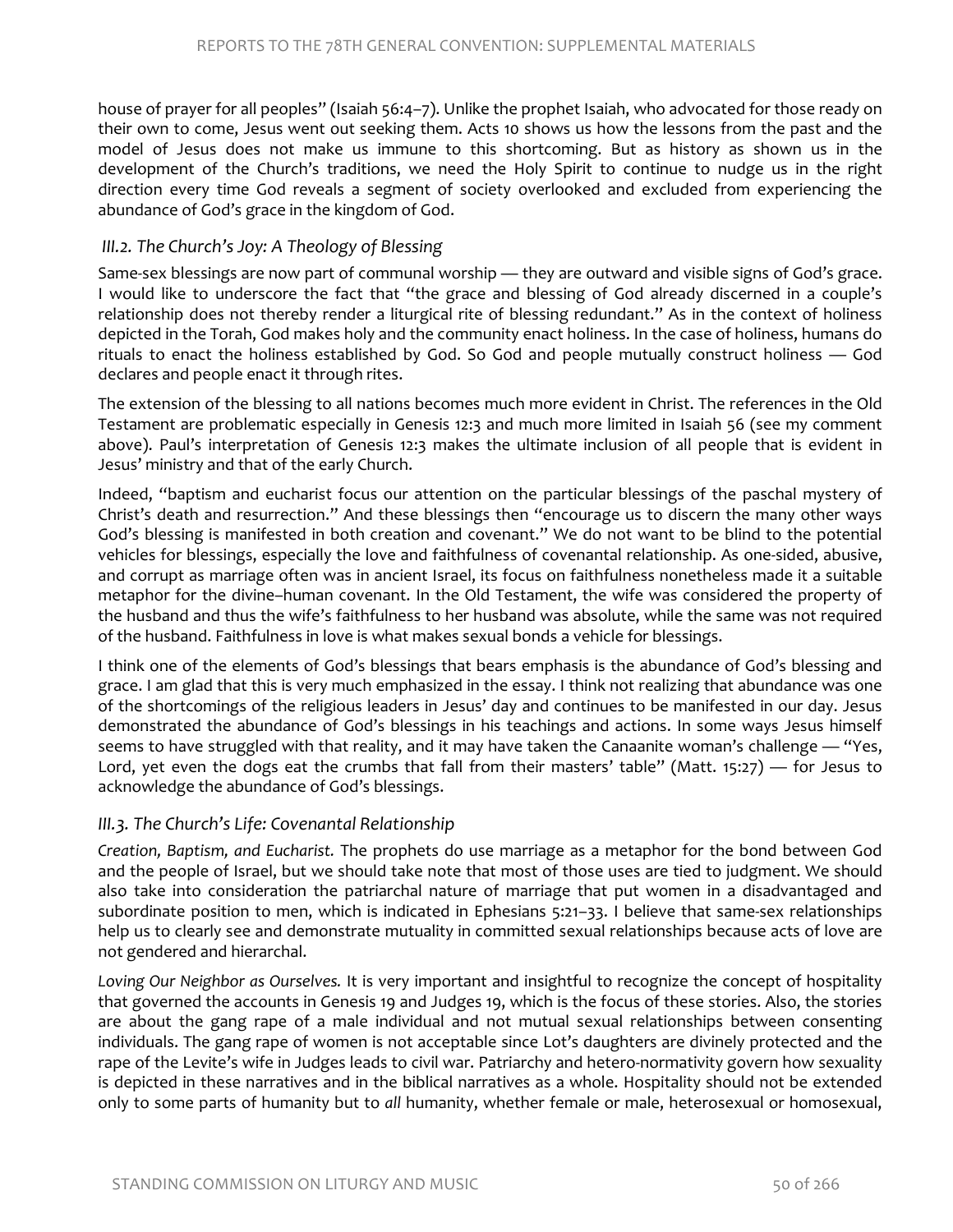house of prayer for all peoples" (Isaiah 56:4–7). Unlike the prophet Isaiah, who advocated for those ready on their own to come, Jesus went out seeking them. Acts 10 shows us how the lessons from the past and the model of Jesus does not make us immune to this shortcoming. But as history as shown us in the development of the Church's traditions, we need the Holy Spirit to continue to nudge us in the right direction every time God reveals a segment of society overlooked and excluded from experiencing the abundance of God's grace in the kingdom of God.

#### *III.2. The Church's Joy: A Theology of Blessing*

Same-sex blessings are now part of communal worship — they are outward and visible signs of God's grace. I would like to underscore the fact that "the grace and blessing of God already discerned in a couple's relationship does not thereby render a liturgical rite of blessing redundant." As in the context of holiness depicted in the Torah, God makes holy and the community enact holiness. In the case of holiness, humans do rituals to enact the holiness established by God. So God and people mutually construct holiness — God declares and people enact it through rites.

The extension of the blessing to all nations becomes much more evident in Christ. The references in the Old Testament are problematic especially in Genesis 12:3 and much more limited in Isaiah 56 (see my comment above). Paul's interpretation of Genesis 12:3 makes the ultimate inclusion of all people that is evident in Jesus' ministry and that of the early Church.

Indeed, "baptism and eucharist focus our attention on the particular blessings of the paschal mystery of Christ's death and resurrection." And these blessings then "encourage us to discern the many other ways God's blessing is manifested in both creation and covenant." We do not want to be blind to the potential vehicles for blessings, especially the love and faithfulness of covenantal relationship. As one-sided, abusive, and corrupt as marriage often was in ancient Israel, its focus on faithfulness nonetheless made it a suitable metaphor for the divine–human covenant. In the Old Testament, the wife was considered the property of the husband and thus the wife's faithfulness to her husband was absolute, while the same was not required of the husband. Faithfulness in love is what makes sexual bonds a vehicle for blessings.

I think one of the elements of God's blessings that bears emphasis is the abundance of God's blessing and grace. I am glad that this is very much emphasized in the essay. I think not realizing that abundance was one of the shortcomings of the religious leaders in Jesus' day and continues to be manifested in our day. Jesus demonstrated the abundance of God's blessings in his teachings and actions. In some ways Jesus himself seems to have struggled with that reality, and it may have taken the Canaanite woman's challenge — "Yes, Lord, yet even the dogs eat the crumbs that fall from their masters' table" (Matt. 15:27) — for Jesus to acknowledge the abundance of God's blessings.

#### *III.3. The Church's Life: Covenantal Relationship*

*Creation, Baptism, and Eucharist.* The prophets do use marriage as a metaphor for the bond between God and the people of Israel, but we should take note that most of those uses are tied to judgment. We should also take into consideration the patriarchal nature of marriage that put women in a disadvantaged and subordinate position to men, which is indicated in Ephesians 5:21–33. I believe that same-sex relationships help us to clearly see and demonstrate mutuality in committed sexual relationships because acts of love are not gendered and hierarchal.

*Loving Our Neighbor as Ourselves.* It is very important and insightful to recognize the concept of hospitality that governed the accounts in Genesis 19 and Judges 19, which is the focus of these stories. Also, the stories are about the gang rape of a male individual and not mutual sexual relationships between consenting individuals. The gang rape of women is not acceptable since Lot's daughters are divinely protected and the rape of the Levite's wife in Judges leads to civil war. Patriarchy and hetero-normativity govern how sexuality is depicted in these narratives and in the biblical narratives as a whole. Hospitality should not be extended only to some parts of humanity but to *all* humanity, whether female or male, heterosexual or homosexual,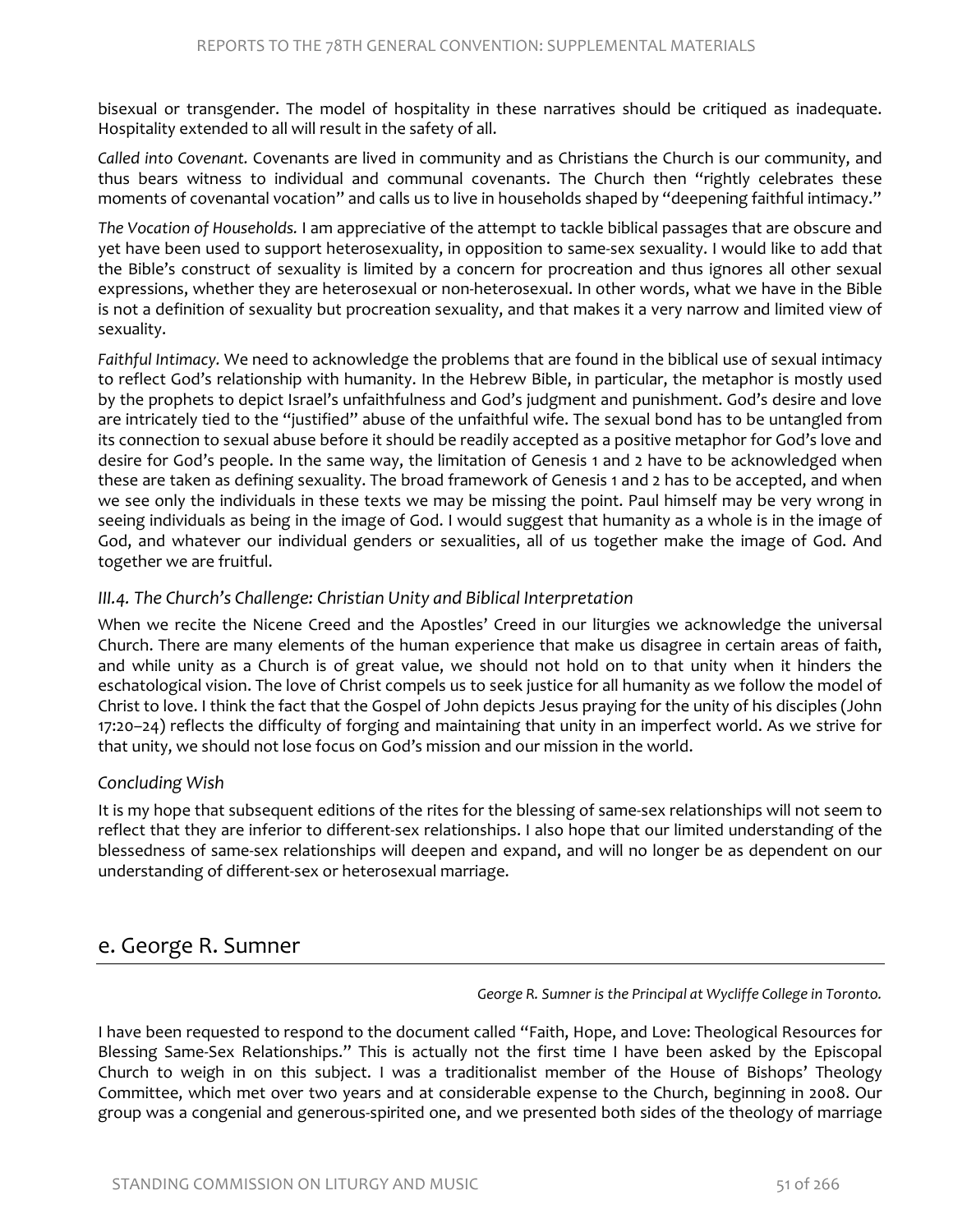bisexual or transgender. The model of hospitality in these narratives should be critiqued as inadequate. Hospitality extended to all will result in the safety of all.

*Called into Covenant.* Covenants are lived in community and as Christians the Church is our community, and thus bears witness to individual and communal covenants. The Church then "rightly celebrates these moments of covenantal vocation" and calls us to live in households shaped by "deepening faithful intimacy."

*The Vocation of Households.* I am appreciative of the attempt to tackle biblical passages that are obscure and yet have been used to support heterosexuality, in opposition to same-sex sexuality. I would like to add that the Bible's construct of sexuality is limited by a concern for procreation and thus ignores all other sexual expressions, whether they are heterosexual or non-heterosexual. In other words, what we have in the Bible is not a definition of sexuality but procreation sexuality, and that makes it a very narrow and limited view of sexuality.

*Faithful Intimacy.* We need to acknowledge the problems that are found in the biblical use of sexual intimacy to reflect God's relationship with humanity. In the Hebrew Bible, in particular, the metaphor is mostly used by the prophets to depict Israel's unfaithfulness and God's judgment and punishment. God's desire and love are intricately tied to the "justified" abuse of the unfaithful wife. The sexual bond has to be untangled from its connection to sexual abuse before it should be readily accepted as a positive metaphor for God's love and desire for God's people. In the same way, the limitation of Genesis 1 and 2 have to be acknowledged when these are taken as defining sexuality. The broad framework of Genesis 1 and 2 has to be accepted, and when we see only the individuals in these texts we may be missing the point. Paul himself may be very wrong in seeing individuals as being in the image of God. I would suggest that humanity as a whole is in the image of God, and whatever our individual genders or sexualities, all of us together make the image of God. And together we are fruitful.

#### *III.4. The Church's Challenge: Christian Unity and Biblical Interpretation*

When we recite the Nicene Creed and the Apostles' Creed in our liturgies we acknowledge the universal Church. There are many elements of the human experience that make us disagree in certain areas of faith, and while unity as a Church is of great value, we should not hold on to that unity when it hinders the eschatological vision. The love of Christ compels us to seek justice for all humanity as we follow the model of Christ to love. I think the fact that the Gospel of John depicts Jesus praying for the unity of his disciples (John 17:20–24) reflects the difficulty of forging and maintaining that unity in an imperfect world. As we strive for that unity, we should not lose focus on God's mission and our mission in the world.

#### *Concluding Wish*

It is my hope that subsequent editions of the rites for the blessing of same-sex relationships will not seem to reflect that they are inferior to different-sex relationships. I also hope that our limited understanding of the blessedness of same-sex relationships will deepen and expand, and will no longer be as dependent on our understanding of different-sex or heterosexual marriage.

### e. George R. Sumner

*George R. Sumner is the Principal at Wycliffe College in Toronto.*

I have been requested to respond to the document called "Faith, Hope, and Love: Theological Resources for Blessing Same-Sex Relationships." This is actually not the first time I have been asked by the Episcopal Church to weigh in on this subject. I was a traditionalist member of the House of Bishops' Theology Committee, which met over two years and at considerable expense to the Church, beginning in 2008. Our group was a congenial and generous-spirited one, and we presented both sides of the theology of marriage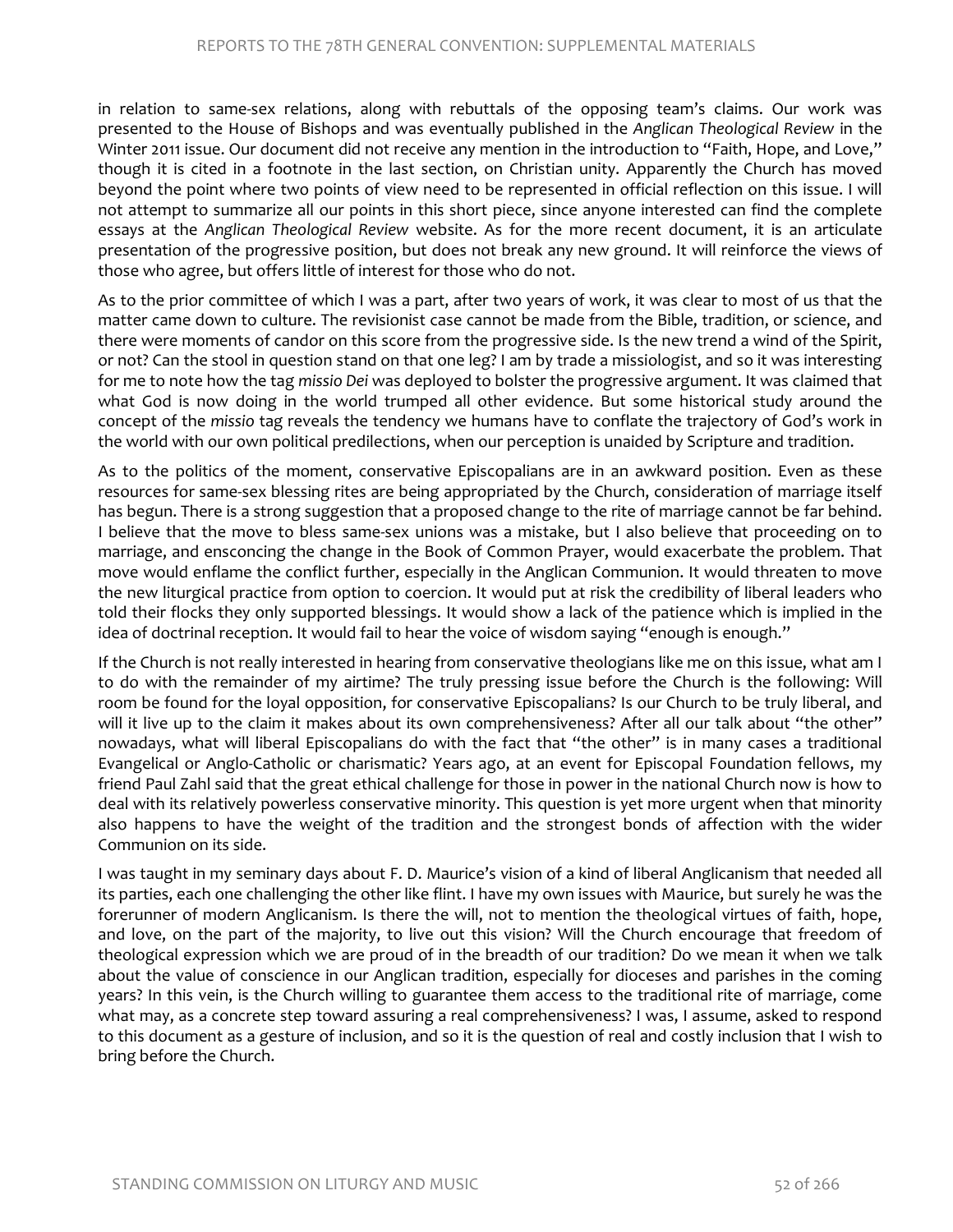in relation to same-sex relations, along with rebuttals of the opposing team's claims. Our work was presented to the House of Bishops and was eventually published in the *Anglican Theological Review* in the Winter 2011 issue. Our document did not receive any mention in the introduction to "Faith, Hope, and Love," though it is cited in a footnote in the last section, on Christian unity. Apparently the Church has moved beyond the point where two points of view need to be represented in official reflection on this issue. I will not attempt to summarize all our points in this short piece, since anyone interested can find the complete essays at the *Anglican Theological Review* website. As for the more recent document, it is an articulate presentation of the progressive position, but does not break any new ground. It will reinforce the views of those who agree, but offers little of interest for those who do not.

As to the prior committee of which I was a part, after two years of work, it was clear to most of us that the matter came down to culture. The revisionist case cannot be made from the Bible, tradition, or science, and there were moments of candor on this score from the progressive side. Is the new trend a wind of the Spirit, or not? Can the stool in question stand on that one leg? I am by trade a missiologist, and so it was interesting for me to note how the tag *missio Dei* was deployed to bolster the progressive argument. It was claimed that what God is now doing in the world trumped all other evidence. But some historical study around the concept of the *missio* tag reveals the tendency we humans have to conflate the trajectory of God's work in the world with our own political predilections, when our perception is unaided by Scripture and tradition.

As to the politics of the moment, conservative Episcopalians are in an awkward position. Even as these resources for same-sex blessing rites are being appropriated by the Church, consideration of marriage itself has begun. There is a strong suggestion that a proposed change to the rite of marriage cannot be far behind. I believe that the move to bless same-sex unions was a mistake, but I also believe that proceeding on to marriage, and ensconcing the change in the Book of Common Prayer, would exacerbate the problem. That move would enflame the conflict further, especially in the Anglican Communion. It would threaten to move the new liturgical practice from option to coercion. It would put at risk the credibility of liberal leaders who told their flocks they only supported blessings. It would show a lack of the patience which is implied in the idea of doctrinal reception. It would fail to hear the voice of wisdom saying "enough is enough."

If the Church is not really interested in hearing from conservative theologians like me on this issue, what am I to do with the remainder of my airtime? The truly pressing issue before the Church is the following: Will room be found for the loyal opposition, for conservative Episcopalians? Is our Church to be truly liberal, and will it live up to the claim it makes about its own comprehensiveness? After all our talk about "the other" nowadays, what will liberal Episcopalians do with the fact that "the other" is in many cases a traditional Evangelical or Anglo-Catholic or charismatic? Years ago, at an event for Episcopal Foundation fellows, my friend Paul Zahl said that the great ethical challenge for those in power in the national Church now is how to deal with its relatively powerless conservative minority. This question is yet more urgent when that minority also happens to have the weight of the tradition and the strongest bonds of affection with the wider Communion on its side.

I was taught in my seminary days about F. D. Maurice's vision of a kind of liberal Anglicanism that needed all its parties, each one challenging the other like flint. I have my own issues with Maurice, but surely he was the forerunner of modern Anglicanism. Is there the will, not to mention the theological virtues of faith, hope, and love, on the part of the majority, to live out this vision? Will the Church encourage that freedom of theological expression which we are proud of in the breadth of our tradition? Do we mean it when we talk about the value of conscience in our Anglican tradition, especially for dioceses and parishes in the coming years? In this vein, is the Church willing to guarantee them access to the traditional rite of marriage, come what may, as a concrete step toward assuring a real comprehensiveness? I was, I assume, asked to respond to this document as a gesture of inclusion, and so it is the question of real and costly inclusion that I wish to bring before the Church.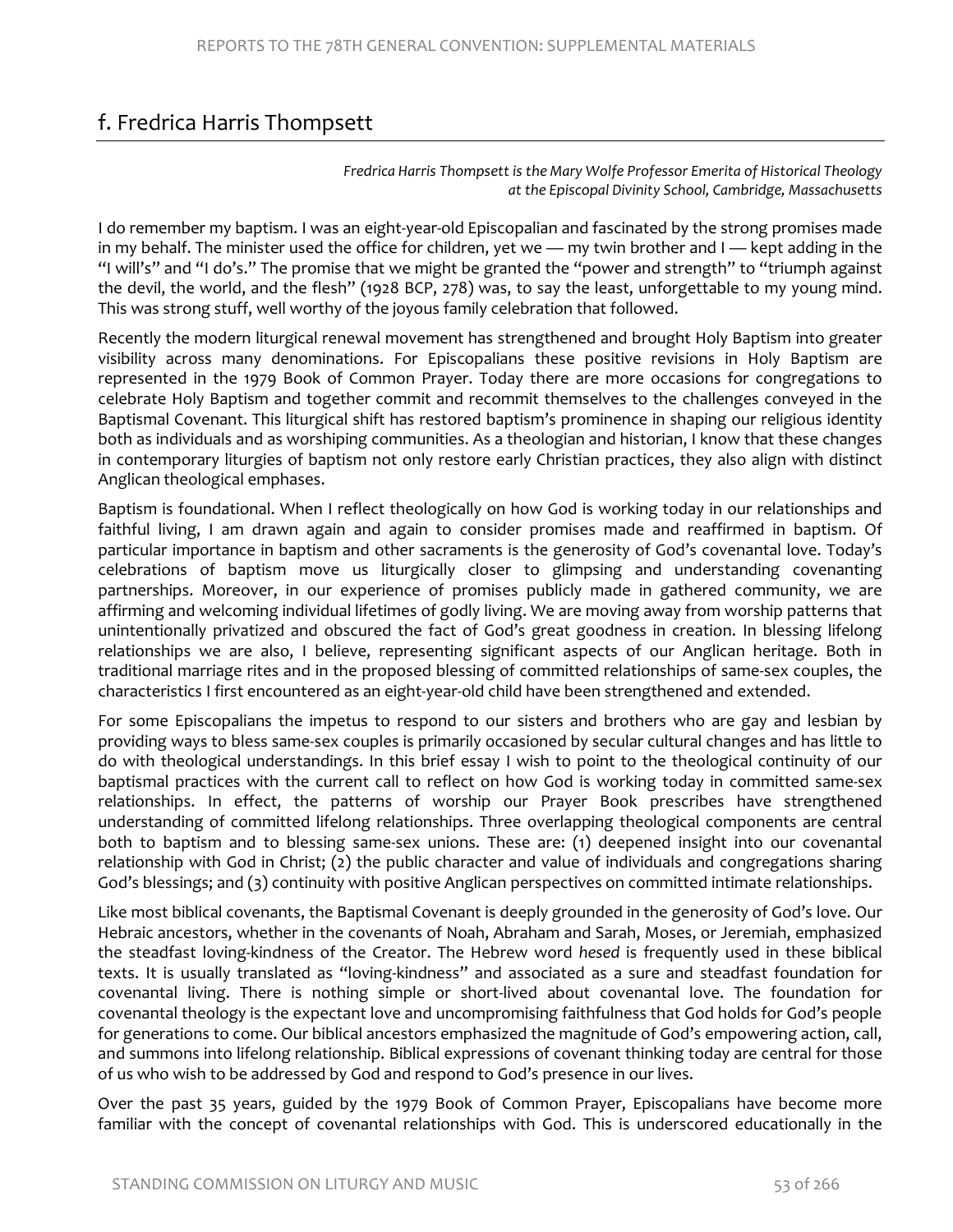# f. Fredrica Harris Thompsett

*Fredrica Harris Thompsett is the Mary Wolfe Professor Emerita of Historical Theology at the Episcopal Divinity School, Cambridge, Massachusetts*

I do remember my baptism. I was an eight-year-old Episcopalian and fascinated by the strong promises made in my behalf. The minister used the office for children, yet we — my twin brother and I — kept adding in the "I will's" and "I do's." The promise that we might be granted the "power and strength" to "triumph against the devil, the world, and the flesh" (1928 BCP, 278) was, to say the least, unforgettable to my young mind. This was strong stuff, well worthy of the joyous family celebration that followed.

Recently the modern liturgical renewal movement has strengthened and brought Holy Baptism into greater visibility across many denominations. For Episcopalians these positive revisions in Holy Baptism are represented in the 1979 Book of Common Prayer. Today there are more occasions for congregations to celebrate Holy Baptism and together commit and recommit themselves to the challenges conveyed in the Baptismal Covenant. This liturgical shift has restored baptism's prominence in shaping our religious identity both as individuals and as worshiping communities. As a theologian and historian, I know that these changes in contemporary liturgies of baptism not only restore early Christian practices, they also align with distinct Anglican theological emphases.

Baptism is foundational. When I reflect theologically on how God is working today in our relationships and faithful living, I am drawn again and again to consider promises made and reaffirmed in baptism. Of particular importance in baptism and other sacraments is the generosity of God's covenantal love. Today's celebrations of baptism move us liturgically closer to glimpsing and understanding covenanting partnerships. Moreover, in our experience of promises publicly made in gathered community, we are affirming and welcoming individual lifetimes of godly living. We are moving away from worship patterns that unintentionally privatized and obscured the fact of God's great goodness in creation. In blessing lifelong relationships we are also, I believe, representing significant aspects of our Anglican heritage. Both in traditional marriage rites and in the proposed blessing of committed relationships of same-sex couples, the characteristics I first encountered as an eight-year-old child have been strengthened and extended.

For some Episcopalians the impetus to respond to our sisters and brothers who are gay and lesbian by providing ways to bless same-sex couples is primarily occasioned by secular cultural changes and has little to do with theological understandings. In this brief essay I wish to point to the theological continuity of our baptismal practices with the current call to reflect on how God is working today in committed same-sex relationships. In effect, the patterns of worship our Prayer Book prescribes have strengthened understanding of committed lifelong relationships. Three overlapping theological components are central both to baptism and to blessing same-sex unions. These are: (1) deepened insight into our covenantal relationship with God in Christ; (2) the public character and value of individuals and congregations sharing God's blessings; and (3) continuity with positive Anglican perspectives on committed intimate relationships.

Like most biblical covenants, the Baptismal Covenant is deeply grounded in the generosity of God's love. Our Hebraic ancestors, whether in the covenants of Noah, Abraham and Sarah, Moses, or Jeremiah, emphasized the steadfast loving-kindness of the Creator. The Hebrew word *hesed* is frequently used in these biblical texts. It is usually translated as "loving-kindness" and associated as a sure and steadfast foundation for covenantal living. There is nothing simple or short-lived about covenantal love. The foundation for covenantal theology is the expectant love and uncompromising faithfulness that God holds for God's people for generations to come. Our biblical ancestors emphasized the magnitude of God's empowering action, call, and summons into lifelong relationship. Biblical expressions of covenant thinking today are central for those of us who wish to be addressed by God and respond to God's presence in our lives.

Over the past 35 years, guided by the 1979 Book of Common Prayer, Episcopalians have become more familiar with the concept of covenantal relationships with God. This is underscored educationally in the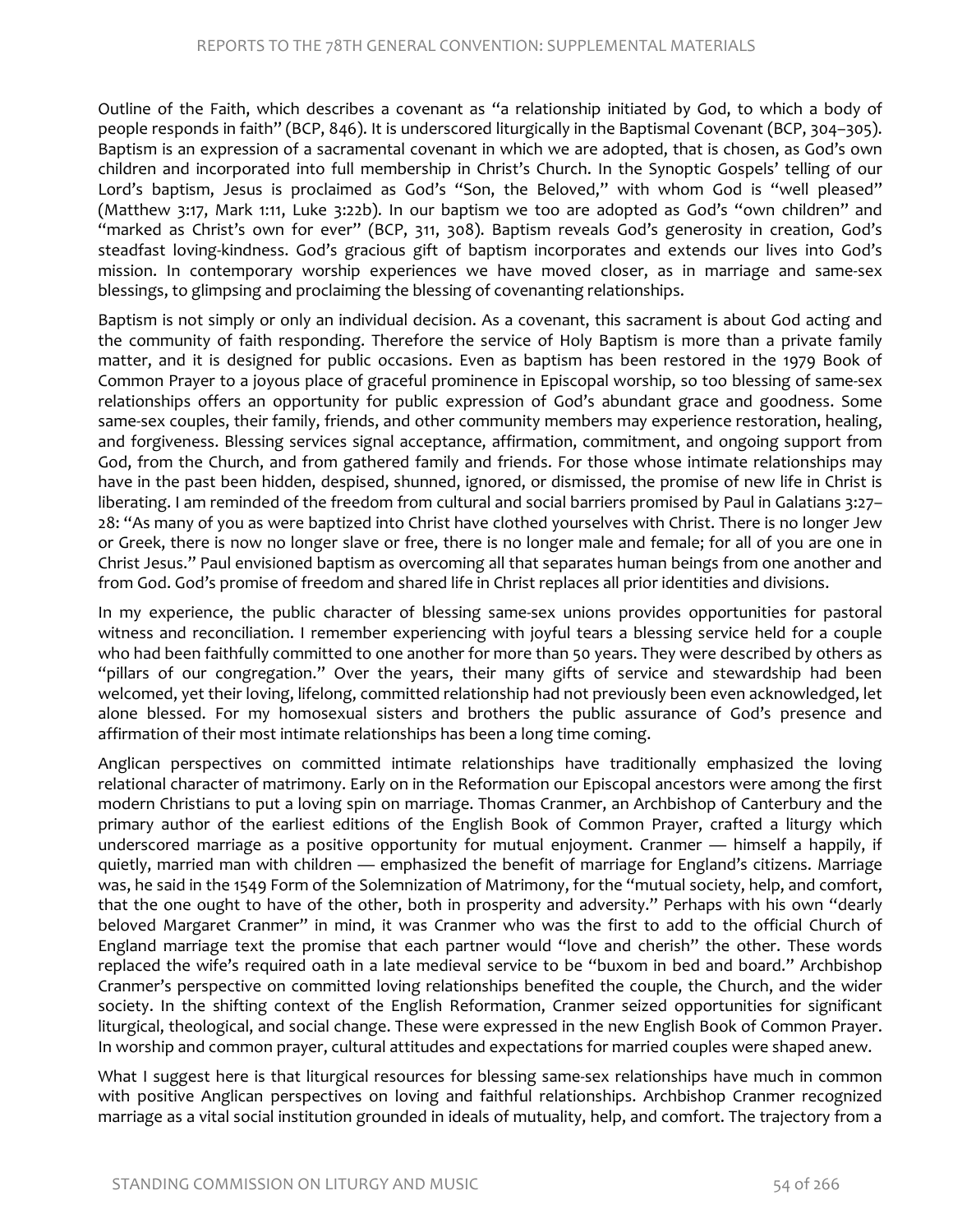Outline of the Faith, which describes a covenant as "a relationship initiated by God, to which a body of people responds in faith" (BCP, 846). It is underscored liturgically in the Baptismal Covenant (BCP, 304–305). Baptism is an expression of a sacramental covenant in which we are adopted, that is chosen, as God's own children and incorporated into full membership in Christ's Church. In the Synoptic Gospels' telling of our Lord's baptism, Jesus is proclaimed as God's "Son, the Beloved," with whom God is "well pleased" (Matthew 3:17, Mark 1:11, Luke 3:22b). In our baptism we too are adopted as God's "own children" and "marked as Christ's own for ever" (BCP, 311, 308). Baptism reveals God's generosity in creation, God's steadfast loving-kindness. God's gracious gift of baptism incorporates and extends our lives into God's mission. In contemporary worship experiences we have moved closer, as in marriage and same-sex blessings, to glimpsing and proclaiming the blessing of covenanting relationships.

Baptism is not simply or only an individual decision. As a covenant, this sacrament is about God acting and the community of faith responding. Therefore the service of Holy Baptism is more than a private family matter, and it is designed for public occasions. Even as baptism has been restored in the 1979 Book of Common Prayer to a joyous place of graceful prominence in Episcopal worship, so too blessing of same-sex relationships offers an opportunity for public expression of God's abundant grace and goodness. Some same-sex couples, their family, friends, and other community members may experience restoration, healing, and forgiveness. Blessing services signal acceptance, affirmation, commitment, and ongoing support from God, from the Church, and from gathered family and friends. For those whose intimate relationships may have in the past been hidden, despised, shunned, ignored, or dismissed, the promise of new life in Christ is liberating. I am reminded of the freedom from cultural and social barriers promised by Paul in Galatians 3:27– 28: "As many of you as were baptized into Christ have clothed yourselves with Christ. There is no longer Jew or Greek, there is now no longer slave or free, there is no longer male and female; for all of you are one in Christ Jesus." Paul envisioned baptism as overcoming all that separates human beings from one another and from God. God's promise of freedom and shared life in Christ replaces all prior identities and divisions.

In my experience, the public character of blessing same-sex unions provides opportunities for pastoral witness and reconciliation. I remember experiencing with joyful tears a blessing service held for a couple who had been faithfully committed to one another for more than 50 years. They were described by others as "pillars of our congregation." Over the years, their many gifts of service and stewardship had been welcomed, yet their loving, lifelong, committed relationship had not previously been even acknowledged, let alone blessed. For my homosexual sisters and brothers the public assurance of God's presence and affirmation of their most intimate relationships has been a long time coming.

Anglican perspectives on committed intimate relationships have traditionally emphasized the loving relational character of matrimony. Early on in the Reformation our Episcopal ancestors were among the first modern Christians to put a loving spin on marriage. Thomas Cranmer, an Archbishop of Canterbury and the primary author of the earliest editions of the English Book of Common Prayer, crafted a liturgy which underscored marriage as a positive opportunity for mutual enjoyment. Cranmer — himself a happily, if quietly, married man with children — emphasized the benefit of marriage for England's citizens. Marriage was, he said in the 1549 Form of the Solemnization of Matrimony, for the "mutual society, help, and comfort, that the one ought to have of the other, both in prosperity and adversity." Perhaps with his own "dearly beloved Margaret Cranmer" in mind, it was Cranmer who was the first to add to the official Church of England marriage text the promise that each partner would "love and cherish" the other. These words replaced the wife's required oath in a late medieval service to be "buxom in bed and board." Archbishop Cranmer's perspective on committed loving relationships benefited the couple, the Church, and the wider society. In the shifting context of the English Reformation, Cranmer seized opportunities for significant liturgical, theological, and social change. These were expressed in the new English Book of Common Prayer. In worship and common prayer, cultural attitudes and expectations for married couples were shaped anew.

What I suggest here is that liturgical resources for blessing same-sex relationships have much in common with positive Anglican perspectives on loving and faithful relationships. Archbishop Cranmer recognized marriage as a vital social institution grounded in ideals of mutuality, help, and comfort. The trajectory from a